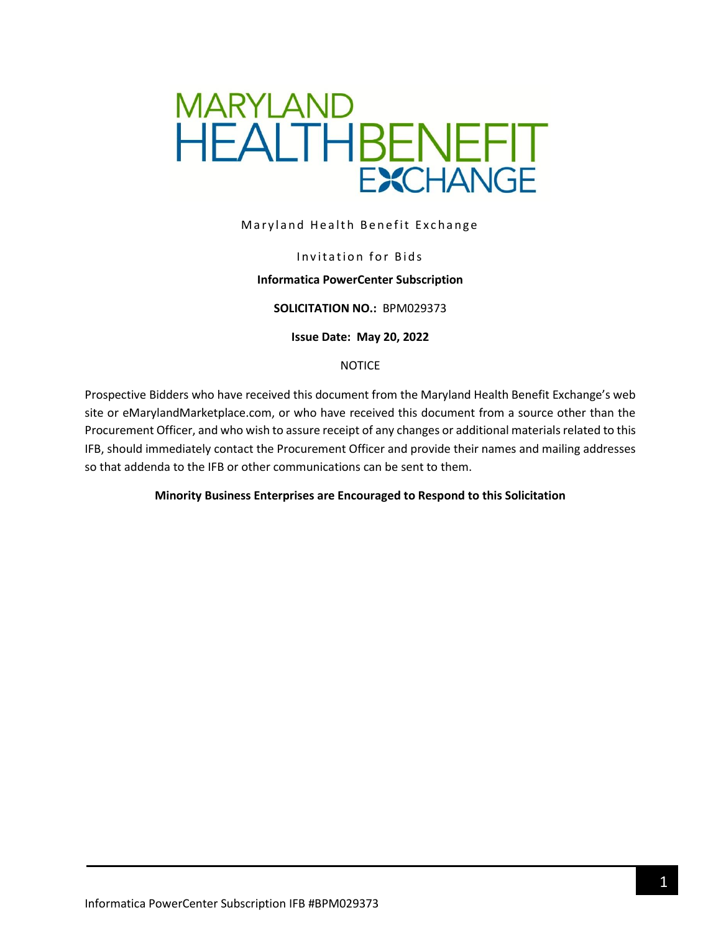

Maryland Health Benefit Exchange

#### Invitation for Bids

#### **Informatica PowerCenter Subscription**

#### **SOLICITATION NO.:** BPM029373

**Issue Date: May 20, 2022**

#### NOTICE

Prospective Bidders who have received this document from the Maryland Health Benefit Exchange's web site or eMarylandMarketplace.com, or who have received this document from a source other than the Procurement Officer, and who wish to assure receipt of any changes or additional materials related to this IFB, should immediately contact the Procurement Officer and provide their names and mailing addresses so that addenda to the IFB or other communications can be sent to them.

#### **Minority Business Enterprises are Encouraged to Respond to this Solicitation**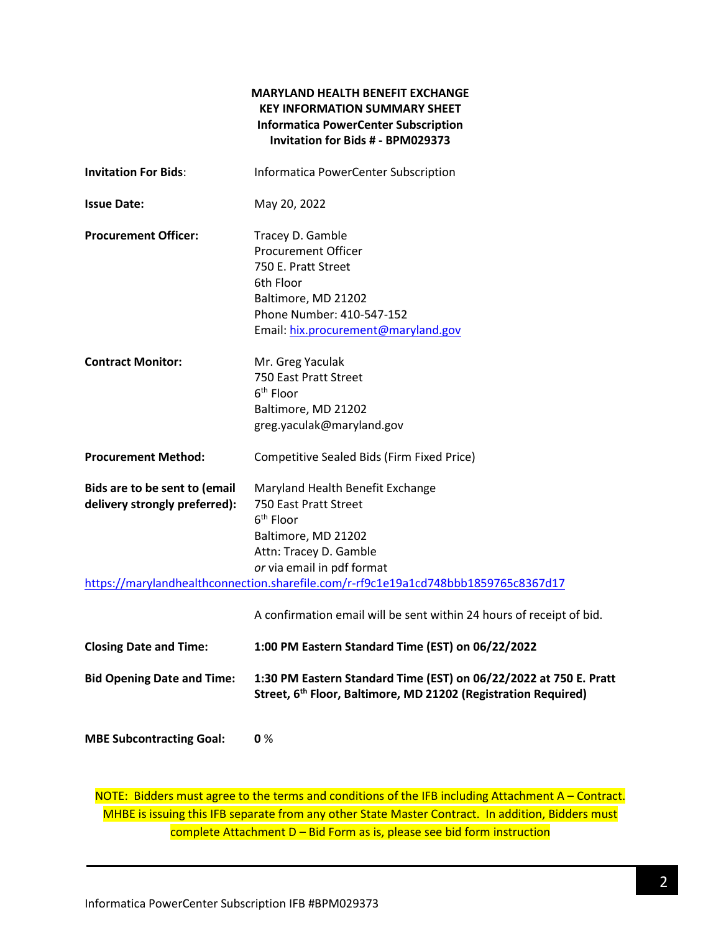### **MARYLAND HEALTH BENEFIT EXCHANGE KEY INFORMATION SUMMARY SHEET Informatica PowerCenter Subscription Invitation for Bids # - BPM029373**

| <b>Invitation For Bids:</b>       | Informatica PowerCenter Subscription                                                                                                            |
|-----------------------------------|-------------------------------------------------------------------------------------------------------------------------------------------------|
| <b>Issue Date:</b>                | May 20, 2022                                                                                                                                    |
| <b>Procurement Officer:</b>       | Tracey D. Gamble<br><b>Procurement Officer</b><br>750 E. Pratt Street<br>6th Floor<br>Baltimore, MD 21202                                       |
|                                   | Phone Number: 410-547-152                                                                                                                       |
|                                   | Email: hix.procurement@maryland.gov                                                                                                             |
| <b>Contract Monitor:</b>          | Mr. Greg Yaculak<br>750 East Pratt Street                                                                                                       |
|                                   | 6 <sup>th</sup> Floor                                                                                                                           |
|                                   | Baltimore, MD 21202                                                                                                                             |
|                                   | greg.yaculak@maryland.gov                                                                                                                       |
| <b>Procurement Method:</b>        | Competitive Sealed Bids (Firm Fixed Price)                                                                                                      |
| Bids are to be sent to (email     | Maryland Health Benefit Exchange                                                                                                                |
| delivery strongly preferred):     | 750 East Pratt Street                                                                                                                           |
|                                   | 6 <sup>th</sup> Floor                                                                                                                           |
|                                   | Baltimore, MD 21202                                                                                                                             |
|                                   | Attn: Tracey D. Gamble                                                                                                                          |
|                                   | or via email in pdf format                                                                                                                      |
|                                   | https://marylandhealthconnection.sharefile.com/r-rf9c1e19a1cd748bbb1859765c8367d17                                                              |
|                                   | A confirmation email will be sent within 24 hours of receipt of bid.                                                                            |
| <b>Closing Date and Time:</b>     | 1:00 PM Eastern Standard Time (EST) on 06/22/2022                                                                                               |
| <b>Bid Opening Date and Time:</b> | 1:30 PM Eastern Standard Time (EST) on 06/22/2022 at 750 E. Pratt<br>Street, 6 <sup>th</sup> Floor, Baltimore, MD 21202 (Registration Required) |
| <b>MBE Subcontracting Goal:</b>   | 0%                                                                                                                                              |

NOTE: Bidders must agree to the terms and conditions of the IFB including Attachment A - Contract. MHBE is issuing this IFB separate from any other State Master Contract. In addition, Bidders must complete Attachment D – Bid Form as is, please see bid form instruction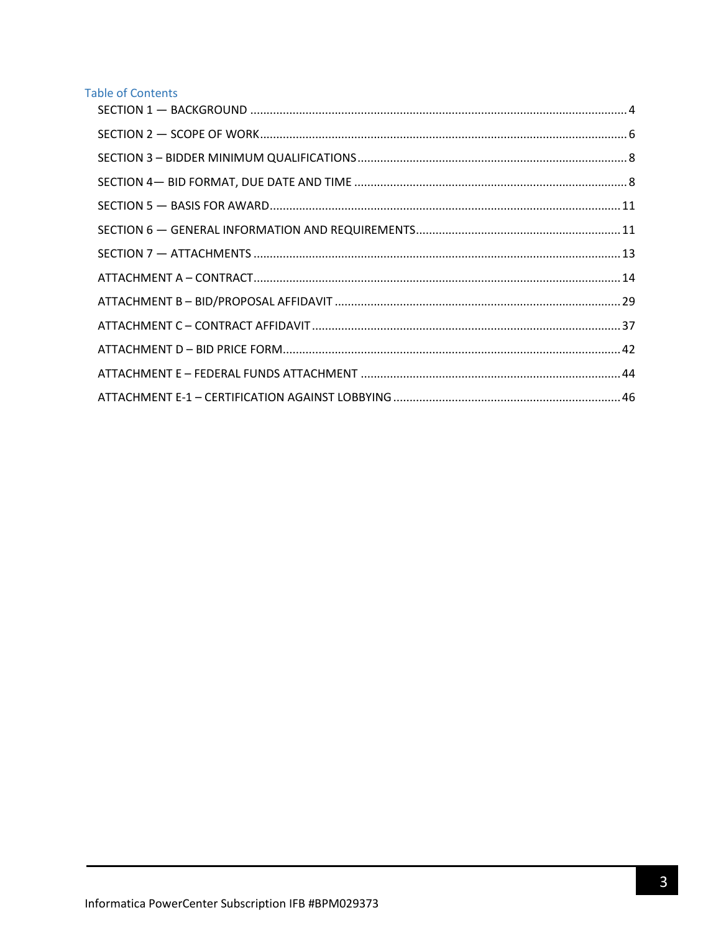# **Table of Contents**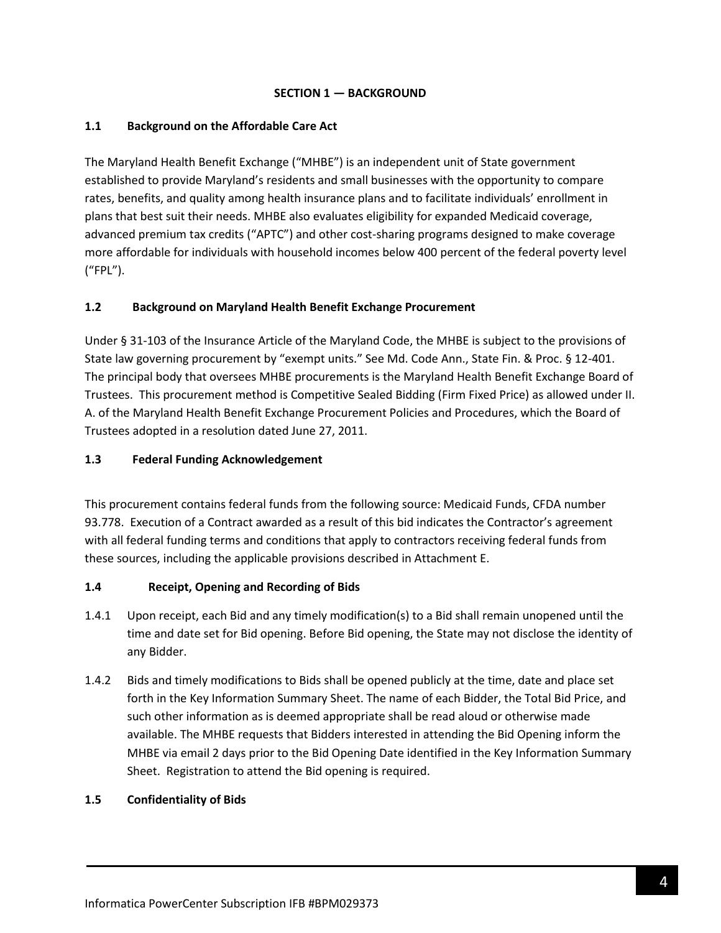### **SECTION 1 — BACKGROUND**

### <span id="page-3-0"></span>**1.1 Background on the Affordable Care Act**

The Maryland Health Benefit Exchange ("MHBE") is an independent unit of State government established to provide Maryland's residents and small businesses with the opportunity to compare rates, benefits, and quality among health insurance plans and to facilitate individuals' enrollment in plans that best suit their needs. MHBE also evaluates eligibility for expanded Medicaid coverage, advanced premium tax credits ("APTC") and other cost-sharing programs designed to make coverage more affordable for individuals with household incomes below 400 percent of the federal poverty level ("FPL").

## **1.2 Background on Maryland Health Benefit Exchange Procurement**

Under § 31-103 of the Insurance Article of the Maryland Code, the MHBE is subject to the provisions of State law governing procurement by "exempt units." See Md. Code Ann., State Fin. & Proc. § 12-401. The principal body that oversees MHBE procurements is the Maryland Health Benefit Exchange Board of Trustees. This procurement method is Competitive Sealed Bidding (Firm Fixed Price) as allowed under II. A. of the Maryland Health Benefit Exchange Procurement Policies and Procedures, which the Board of Trustees adopted in a resolution dated June 27, 2011.

### **1.3 Federal Funding Acknowledgement**

This procurement contains federal funds from the following source: Medicaid Funds, CFDA number 93.778. Execution of a Contract awarded as a result of this bid indicates the Contractor's agreement with all federal funding terms and conditions that apply to contractors receiving federal funds from these sources, including the applicable provisions described in Attachment E.

### **1.4 Receipt, Opening and Recording of Bids**

- 1.4.1 Upon receipt, each Bid and any timely modification(s) to a Bid shall remain unopened until the time and date set for Bid opening. Before Bid opening, the State may not disclose the identity of any Bidder.
- 1.4.2 Bids and timely modifications to Bids shall be opened publicly at the time, date and place set forth in the Key Information Summary Sheet. The name of each Bidder, the Total Bid Price, and such other information as is deemed appropriate shall be read aloud or otherwise made available. The MHBE requests that Bidders interested in attending the Bid Opening inform the MHBE via email 2 days prior to the Bid Opening Date identified in the Key Information Summary Sheet. Registration to attend the Bid opening is required.

### **1.5 Confidentiality of Bids**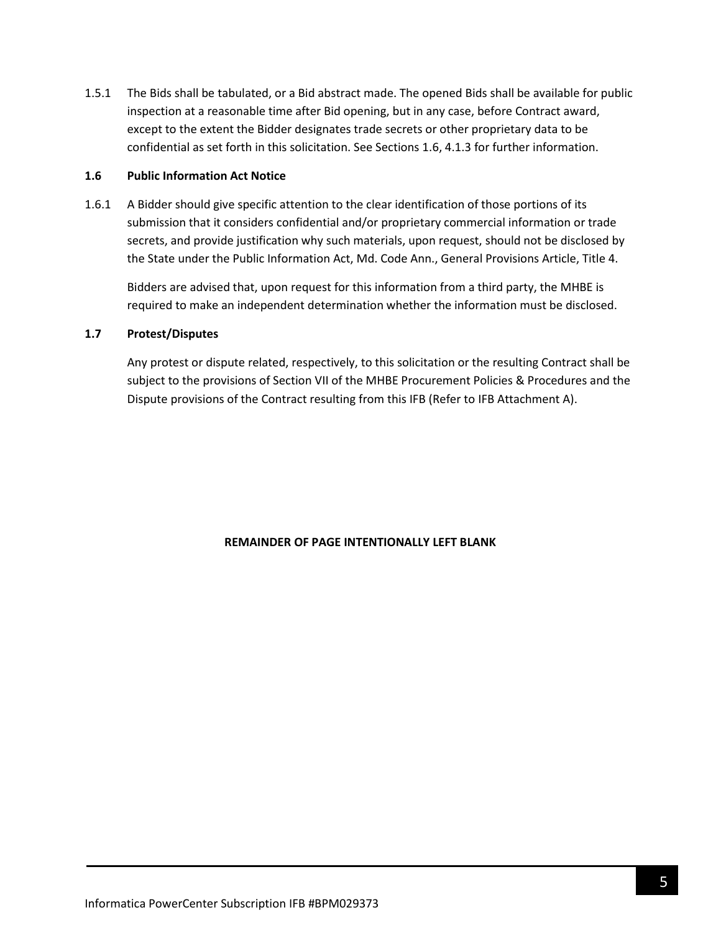1.5.1 The Bids shall be tabulated, or a Bid abstract made. The opened Bids shall be available for public inspection at a reasonable time after Bid opening, but in any case, before Contract award, except to the extent the Bidder designates trade secrets or other proprietary data to be confidential as set forth in this solicitation. See Sections 1.6, 4.1.3 for further information.

#### **1.6 Public Information Act Notice**

1.6.1 A Bidder should give specific attention to the clear identification of those portions of its submission that it considers confidential and/or proprietary commercial information or trade secrets, and provide justification why such materials, upon request, should not be disclosed by the State under the Public Information Act, Md. Code Ann., General Provisions Article, Title 4.

Bidders are advised that, upon request for this information from a third party, the MHBE is required to make an independent determination whether the information must be disclosed.

### **1.7 Protest/Disputes**

Any protest or dispute related, respectively, to this solicitation or the resulting Contract shall be subject to the provisions of Section VII of the MHBE Procurement Policies & Procedures and the Dispute provisions of the Contract resulting from this IFB (Refer to IFB Attachment A).

### **REMAINDER OF PAGE INTENTIONALLY LEFT BLANK**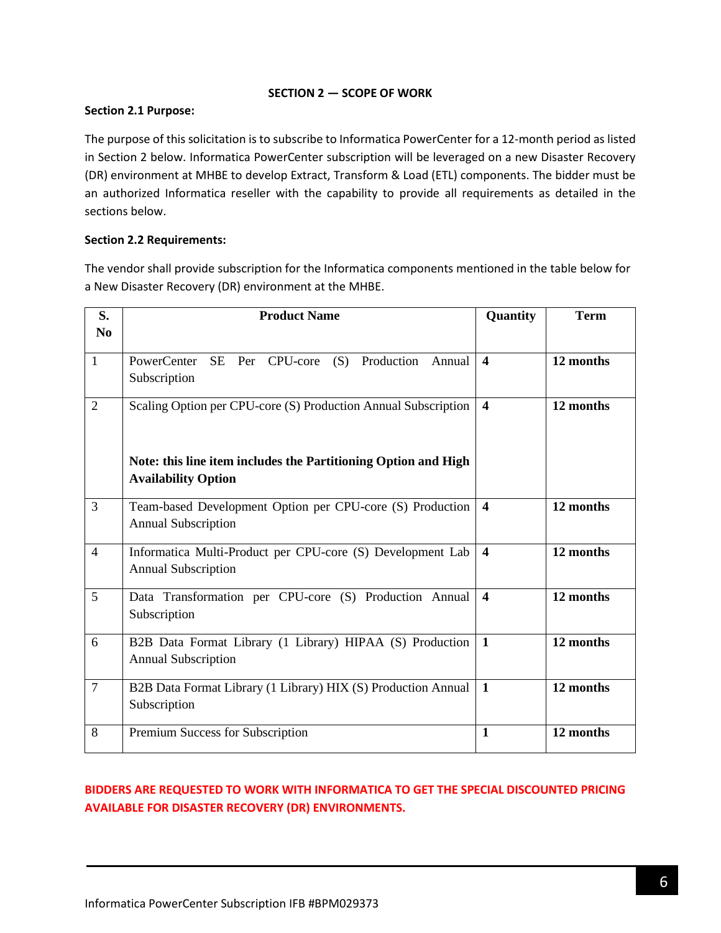### **SECTION 2 — SCOPE OF WORK**

### <span id="page-5-0"></span>**Section 2.1 Purpose:**

The purpose of this solicitation is to subscribe to Informatica PowerCenter for a 12-month period as listed in Section 2 below. Informatica PowerCenter subscription will be leveraged on a new Disaster Recovery (DR) environment at MHBE to develop Extract, Transform & Load (ETL) components. The bidder must be an authorized Informatica reseller with the capability to provide all requirements as detailed in the sections below.

### **Section 2.2 Requirements:**

The vendor shall provide subscription for the Informatica components mentioned in the table below for a New Disaster Recovery (DR) environment at the MHBE.

| S.             | <b>Product Name</b>                                                                                                                                            | Quantity                | <b>Term</b> |
|----------------|----------------------------------------------------------------------------------------------------------------------------------------------------------------|-------------------------|-------------|
| N <sub>0</sub> |                                                                                                                                                                |                         |             |
| $\mathbf{1}$   | PowerCenter<br>Per CPU-core<br>(S)<br>Production<br><b>SE</b><br>Annual<br>Subscription                                                                        | $\overline{\mathbf{4}}$ | 12 months   |
| $\overline{2}$ | Scaling Option per CPU-core (S) Production Annual Subscription<br>Note: this line item includes the Partitioning Option and High<br><b>Availability Option</b> | $\overline{\mathbf{4}}$ | 12 months   |
| 3              | Team-based Development Option per CPU-core (S) Production<br><b>Annual Subscription</b>                                                                        | $\boldsymbol{4}$        | 12 months   |
| $\overline{4}$ | Informatica Multi-Product per CPU-core (S) Development Lab<br><b>Annual Subscription</b>                                                                       | $\overline{\mathbf{4}}$ | 12 months   |
| 5              | Data Transformation per CPU-core (S) Production Annual<br>Subscription                                                                                         | $\overline{\mathbf{4}}$ | 12 months   |
| 6              | B2B Data Format Library (1 Library) HIPAA (S) Production<br><b>Annual Subscription</b>                                                                         | $\mathbf{1}$            | 12 months   |
| $\overline{7}$ | B2B Data Format Library (1 Library) HIX (S) Production Annual<br>Subscription                                                                                  | 1                       | 12 months   |
| 8              | Premium Success for Subscription                                                                                                                               | $\mathbf{1}$            | 12 months   |

# **BIDDERS ARE REQUESTED TO WORK WITH INFORMATICA TO GET THE SPECIAL DISCOUNTED PRICING AVAILABLE FOR DISASTER RECOVERY (DR) ENVIRONMENTS.**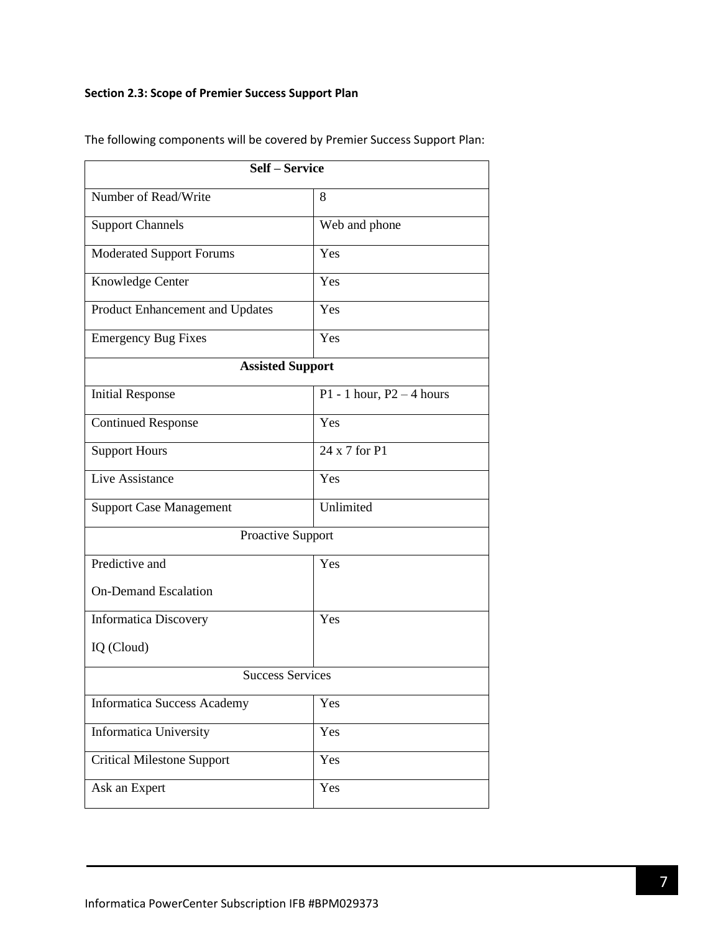# **Section 2.3: Scope of Premier Success Support Plan**

| Self - Service                     |                             |  |  |
|------------------------------------|-----------------------------|--|--|
| Number of Read/Write               | 8                           |  |  |
| <b>Support Channels</b>            | Web and phone               |  |  |
| <b>Moderated Support Forums</b>    | Yes                         |  |  |
| Knowledge Center                   | Yes                         |  |  |
| Product Enhancement and Updates    | Yes                         |  |  |
| <b>Emergency Bug Fixes</b>         | Yes                         |  |  |
| <b>Assisted Support</b>            |                             |  |  |
| <b>Initial Response</b>            | P1 - 1 hour, $P2 - 4$ hours |  |  |
| <b>Continued Response</b>          | Yes                         |  |  |
| <b>Support Hours</b>               | 24 x 7 for P1               |  |  |
| Live Assistance                    | Yes                         |  |  |
| <b>Support Case Management</b>     | Unlimited                   |  |  |
| <b>Proactive Support</b>           |                             |  |  |
| Predictive and                     | Yes                         |  |  |
| <b>On-Demand Escalation</b>        |                             |  |  |
| <b>Informatica Discovery</b>       | Yes                         |  |  |
| IQ (Cloud)                         |                             |  |  |
| <b>Success Services</b>            |                             |  |  |
| <b>Informatica Success Academy</b> | Yes                         |  |  |
| Informatica University             | Yes                         |  |  |
| <b>Critical Milestone Support</b>  | Yes                         |  |  |
| Ask an Expert                      | Yes                         |  |  |

The following components will be covered by Premier Success Support Plan: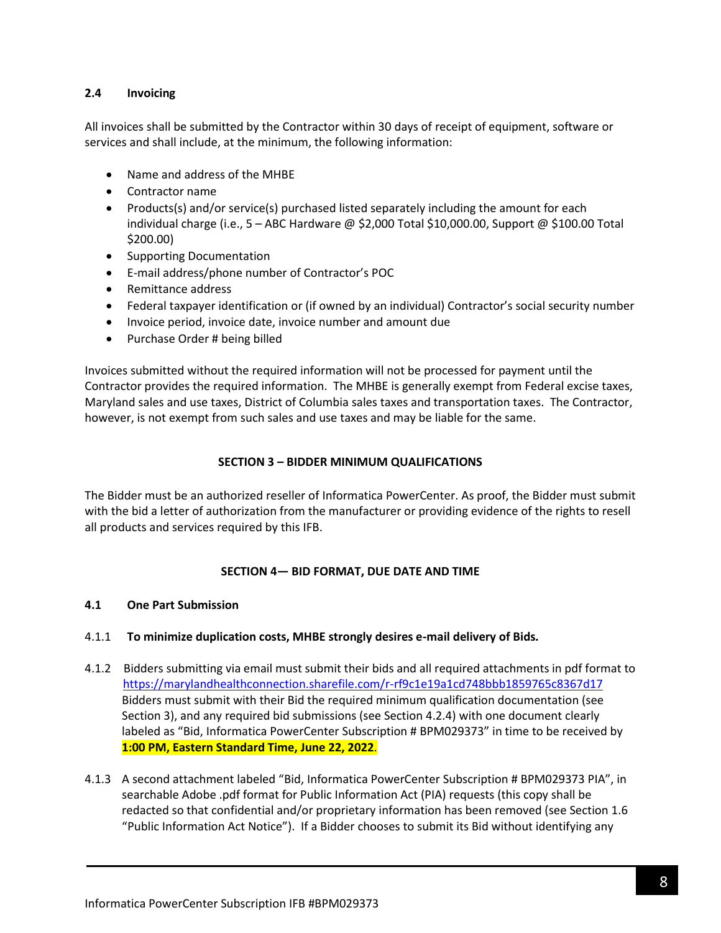### **2.4 Invoicing**

All invoices shall be submitted by the Contractor within 30 days of receipt of equipment, software or services and shall include, at the minimum, the following information:

- Name and address of the MHBE
- Contractor name
- Products(s) and/or service(s) purchased listed separately including the amount for each individual charge (i.e., 5 – ABC Hardware @ \$2,000 Total \$10,000.00, Support @ \$100.00 Total \$200.00)
- Supporting Documentation
- E-mail address/phone number of Contractor's POC
- Remittance address
- Federal taxpayer identification or (if owned by an individual) Contractor's social security number
- Invoice period, invoice date, invoice number and amount due
- Purchase Order # being billed

Invoices submitted without the required information will not be processed for payment until the Contractor provides the required information. The MHBE is generally exempt from Federal excise taxes, Maryland sales and use taxes, District of Columbia sales taxes and transportation taxes. The Contractor, however, is not exempt from such sales and use taxes and may be liable for the same.

### **SECTION 3 – BIDDER MINIMUM QUALIFICATIONS**

<span id="page-7-0"></span>The Bidder must be an authorized reseller of Informatica PowerCenter. As proof, the Bidder must submit with the bid a letter of authorization from the manufacturer or providing evidence of the rights to resell all products and services required by this IFB.

### **SECTION 4— BID FORMAT, DUE DATE AND TIME**

### <span id="page-7-1"></span>**4.1 One Part Submission**

### 4.1.1 **To minimize duplication costs, MHBE strongly desires e-mail delivery of Bids***.*

- 4.1.2 Bidders submitting via email must submit their bids and all required attachments in pdf format to <https://marylandhealthconnection.sharefile.com/r-rf9c1e19a1cd748bbb1859765c8367d17> Bidders must submit with their Bid the required minimum qualification documentation (see Section 3), and any required bid submissions (see Section 4.2.4) with one document clearly labeled as "Bid, Informatica PowerCenter Subscription # BPM029373" in time to be received by **1:00 PM, Eastern Standard Time, June 22, 2022**.
- 4.1.3 A second attachment labeled "Bid, Informatica PowerCenter Subscription # BPM029373 PIA", in searchable Adobe .pdf format for Public Information Act (PIA) requests (this copy shall be redacted so that confidential and/or proprietary information has been removed (see Section 1.6 "Public Information Act Notice"). If a Bidder chooses to submit its Bid without identifying any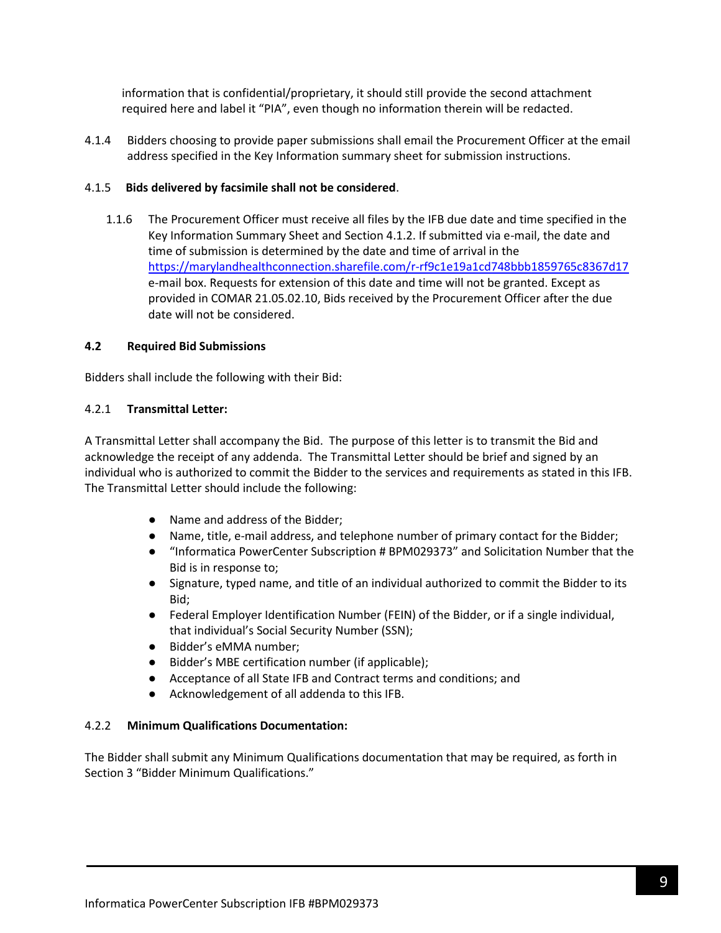information that is confidential/proprietary, it should still provide the second attachment required here and label it "PIA", even though no information therein will be redacted.

4.1.4 Bidders choosing to provide paper submissions shall email the Procurement Officer at the email address specified in the Key Information summary sheet for submission instructions.

### 4.1.5 **Bids delivered by facsimile shall not be considered**.

1.1.6 The Procurement Officer must receive all files by the IFB due date and time specified in the Key Information Summary Sheet and Section 4.1.2. If submitted via e-mail, the date and time of submission is determined by the date and time of arrival in the <https://marylandhealthconnection.sharefile.com/r-rf9c1e19a1cd748bbb1859765c8367d17> e-mail box. Requests for extension of this date and time will not be granted. Except as provided in COMAR 21.05.02.10, Bids received by the Procurement Officer after the due date will not be considered.

### **4.2 Required Bid Submissions**

Bidders shall include the following with their Bid:

### 4.2.1 **Transmittal Letter:**

A Transmittal Letter shall accompany the Bid. The purpose of this letter is to transmit the Bid and acknowledge the receipt of any addenda. The Transmittal Letter should be brief and signed by an individual who is authorized to commit the Bidder to the services and requirements as stated in this IFB. The Transmittal Letter should include the following:

- Name and address of the Bidder;
- Name, title, e-mail address, and telephone number of primary contact for the Bidder;
- "Informatica PowerCenter Subscription # BPM029373" and Solicitation Number that the Bid is in response to;
- Signature, typed name, and title of an individual authorized to commit the Bidder to its Bid;
- Federal Employer Identification Number (FEIN) of the Bidder, or if a single individual, that individual's Social Security Number (SSN);
- Bidder's eMMA number;
- Bidder's MBE certification number (if applicable);
- Acceptance of all State IFB and Contract terms and conditions; and
- Acknowledgement of all addenda to this IFB.

### 4.2.2 **Minimum Qualifications Documentation:**

The Bidder shall submit any Minimum Qualifications documentation that may be required, as forth in Section 3 "Bidder Minimum Qualifications."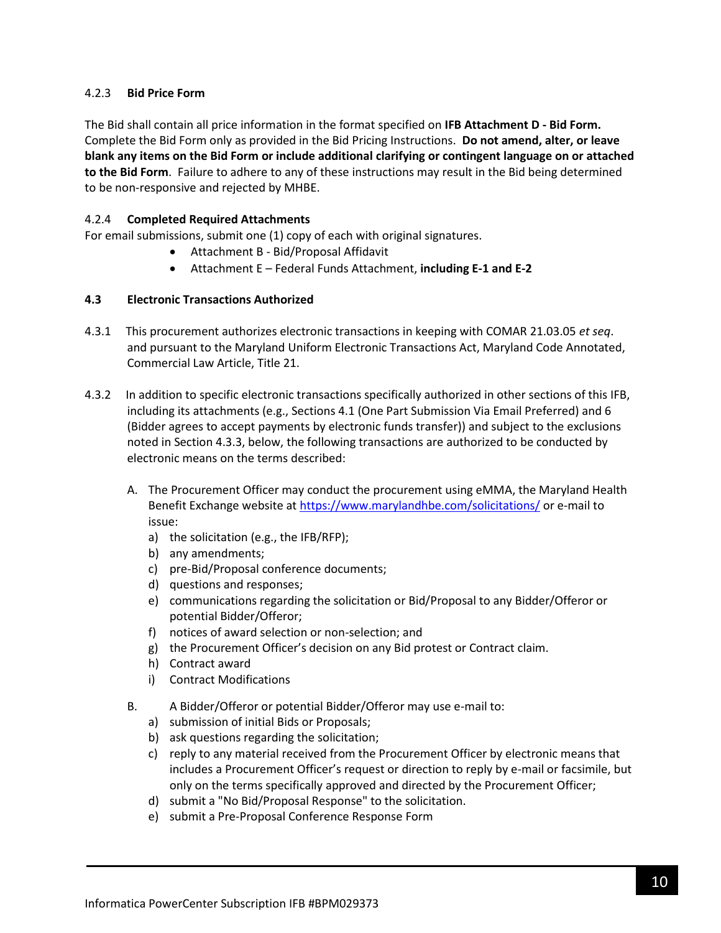### 4.2.3 **Bid Price Form**

The Bid shall contain all price information in the format specified on **IFB Attachment D - Bid Form.** Complete the Bid Form only as provided in the Bid Pricing Instructions. **Do not amend, alter, or leave blank any items on the Bid Form or include additional clarifying or contingent language on or attached to the Bid Form**. Failure to adhere to any of these instructions may result in the Bid being determined to be non-responsive and rejected by MHBE.

### 4.2.4 **Completed Required Attachments**

For email submissions, submit one (1) copy of each with original signatures.

- Attachment B Bid/Proposal Affidavit
- Attachment E Federal Funds Attachment, **including E-1 and E-2**

### **4.3 Electronic Transactions Authorized**

- 4.3.1 This procurement authorizes electronic transactions in keeping with COMAR 21.03.05 *et seq*. and pursuant to the Maryland Uniform Electronic Transactions Act, Maryland Code Annotated, Commercial Law Article, Title 21.
- 4.3.2 In addition to specific electronic transactions specifically authorized in other sections of this IFB, including its attachments (e.g., Sections 4.1 (One Part Submission Via Email Preferred) and 6 (Bidder agrees to accept payments by electronic funds transfer)) and subject to the exclusions noted in Section 4.3.3, below, the following transactions are authorized to be conducted by electronic means on the terms described:
	- A. The Procurement Officer may conduct the procurement using eMMA, the Maryland Health Benefit Exchange website a[t https://www.marylandhbe.com/solicitations/](https://www.marylandhbe.com/solicitations/) or e-mail to issue:
		- a) the solicitation (e.g., the IFB/RFP);
		- b) any amendments;
		- c) pre-Bid/Proposal conference documents;
		- d) questions and responses;
		- e) communications regarding the solicitation or Bid/Proposal to any Bidder/Offeror or potential Bidder/Offeror;
		- f) notices of award selection or non-selection; and
		- g) the Procurement Officer's decision on any Bid protest or Contract claim.
		- h) Contract award
		- i) Contract Modifications
	- B. A Bidder/Offeror or potential Bidder/Offeror may use e-mail to:
		- a) submission of initial Bids or Proposals;
		- b) ask questions regarding the solicitation;
		- c) reply to any material received from the Procurement Officer by electronic means that includes a Procurement Officer's request or direction to reply by e-mail or facsimile, but only on the terms specifically approved and directed by the Procurement Officer;
		- d) submit a "No Bid/Proposal Response" to the solicitation.
		- e) submit a Pre-Proposal Conference Response Form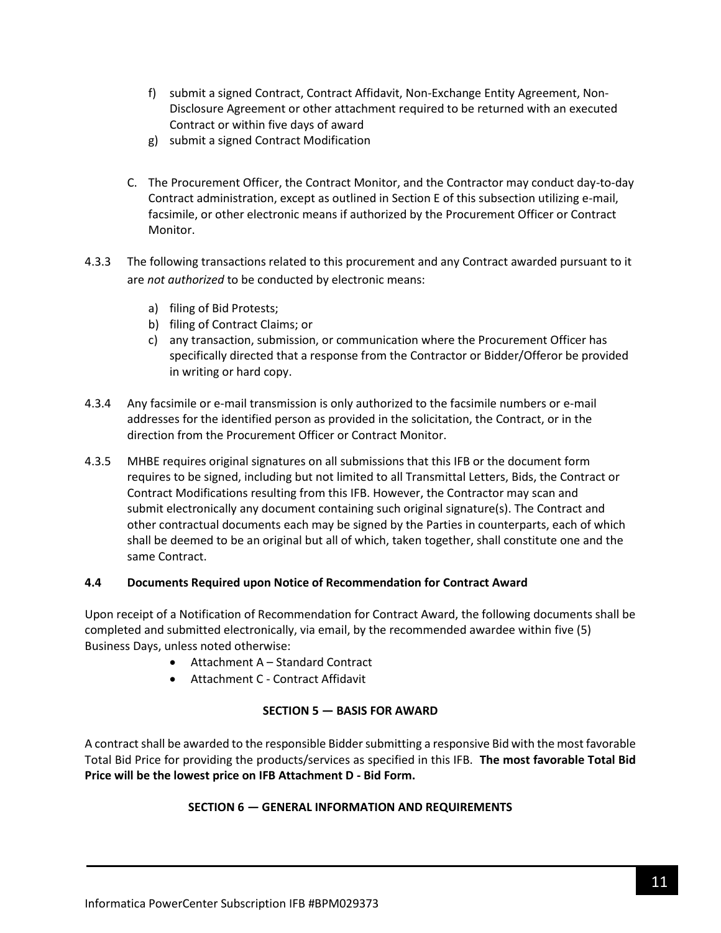- f) submit a signed Contract, Contract Affidavit, Non-Exchange Entity Agreement, Non-Disclosure Agreement or other attachment required to be returned with an executed Contract or within five days of award
- g) submit a signed Contract Modification
- C. The Procurement Officer, the Contract Monitor, and the Contractor may conduct day-to-day Contract administration, except as outlined in Section E of this subsection utilizing e-mail, facsimile, or other electronic means if authorized by the Procurement Officer or Contract Monitor.
- 4.3.3 The following transactions related to this procurement and any Contract awarded pursuant to it are *not authorized* to be conducted by electronic means:
	- a) filing of Bid Protests;
	- b) filing of Contract Claims; or
	- c) any transaction, submission, or communication where the Procurement Officer has specifically directed that a response from the Contractor or Bidder/Offeror be provided in writing or hard copy.
- 4.3.4 Any facsimile or e-mail transmission is only authorized to the facsimile numbers or e-mail addresses for the identified person as provided in the solicitation, the Contract, or in the direction from the Procurement Officer or Contract Monitor.
- 4.3.5 MHBE requires original signatures on all submissions that this IFB or the document form requires to be signed, including but not limited to all Transmittal Letters, Bids, the Contract or Contract Modifications resulting from this IFB. However, the Contractor may scan and submit electronically any document containing such original signature(s). The Contract and other contractual documents each may be signed by the Parties in counterparts, each of which shall be deemed to be an original but all of which, taken together, shall constitute one and the same Contract.

### **4.4 Documents Required upon Notice of Recommendation for Contract Award**

Upon receipt of a Notification of Recommendation for Contract Award, the following documents shall be completed and submitted electronically, via email, by the recommended awardee within five (5) Business Days, unless noted otherwise:

- Attachment A Standard Contract
- Attachment C Contract Affidavit

## **SECTION 5 — BASIS FOR AWARD**

<span id="page-10-1"></span><span id="page-10-0"></span>A contract shall be awarded to the responsible Bidder submitting a responsive Bid with the most favorable Total Bid Price for providing the products/services as specified in this IFB. **The most favorable Total Bid Price will be the lowest price on IFB Attachment D - Bid Form.**

### **SECTION 6 — GENERAL INFORMATION AND REQUIREMENTS**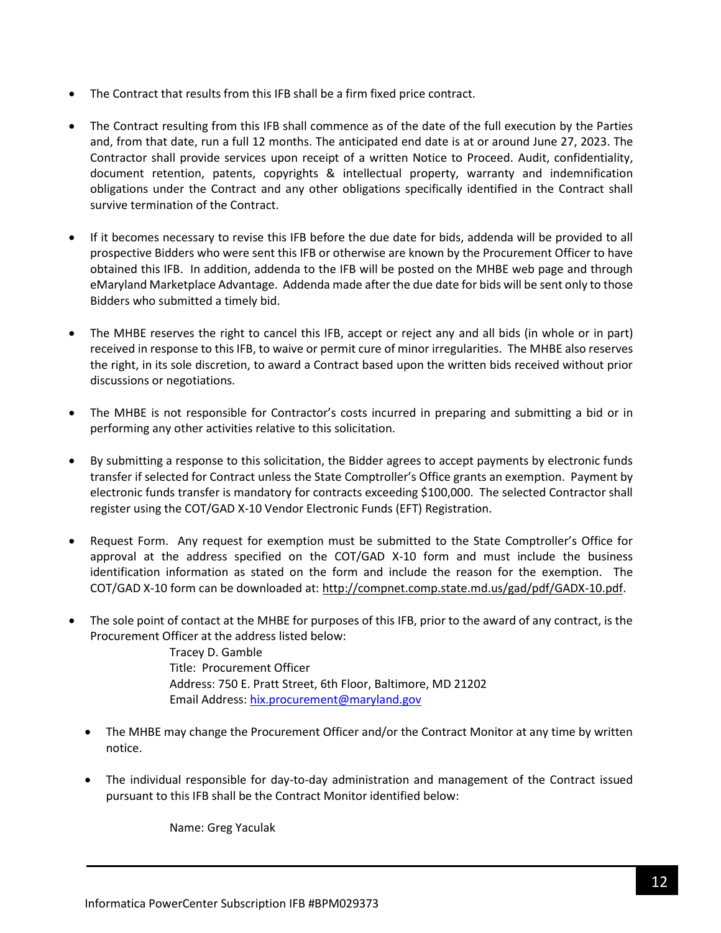- The Contract that results from this IFB shall be a firm fixed price contract.
- The Contract resulting from this IFB shall commence as of the date of the full execution by the Parties and, from that date, run a full 12 months. The anticipated end date is at or around June 27, 2023. The Contractor shall provide services upon receipt of a written Notice to Proceed. Audit, confidentiality, document retention, patents, copyrights & intellectual property, warranty and indemnification obligations under the Contract and any other obligations specifically identified in the Contract shall survive termination of the Contract.
- If it becomes necessary to revise this IFB before the due date for bids, addenda will be provided to all prospective Bidders who were sent this IFB or otherwise are known by the Procurement Officer to have obtained this IFB. In addition, addenda to the IFB will be posted on the MHBE web page and through eMaryland Marketplace Advantage. Addenda made after the due date for bids will be sent only to those Bidders who submitted a timely bid.
- The MHBE reserves the right to cancel this IFB, accept or reject any and all bids (in whole or in part) received in response to this IFB, to waive or permit cure of minor irregularities. The MHBE also reserves the right, in its sole discretion, to award a Contract based upon the written bids received without prior discussions or negotiations.
- The MHBE is not responsible for Contractor's costs incurred in preparing and submitting a bid or in performing any other activities relative to this solicitation.
- By submitting a response to this solicitation, the Bidder agrees to accept payments by electronic funds transfer if selected for Contract unless the State Comptroller's Office grants an exemption. Payment by electronic funds transfer is mandatory for contracts exceeding \$100,000. The selected Contractor shall register using the COT/GAD X-10 Vendor Electronic Funds (EFT) Registration.
- Request Form. Any request for exemption must be submitted to the State Comptroller's Office for approval at the address specified on the COT/GAD X-10 form and must include the business identification information as stated on the form and include the reason for the exemption. The COT/GAD X-10 form can be downloaded at[: http://compnet.comp.state.md.us/gad/pdf/GADX-10.pdf.](http://compnet.comp.state.md.us/gad/pdf/GADX-10.pdf)
- The sole point of contact at the MHBE for purposes of this IFB, prior to the award of any contract, is the Procurement Officer at the address listed below:

Tracey D. Gamble Title: Procurement Officer Address: 750 E. Pratt Street, 6th Floor, Baltimore, MD 21202 Email Address: [hix.procurement@maryland.gov](mailto:hix.procurement@maryland.gov)

- The MHBE may change the Procurement Officer and/or the Contract Monitor at any time by written notice.
- The individual responsible for day-to-day administration and management of the Contract issued pursuant to this IFB shall be the Contract Monitor identified below:

Name: Greg Yaculak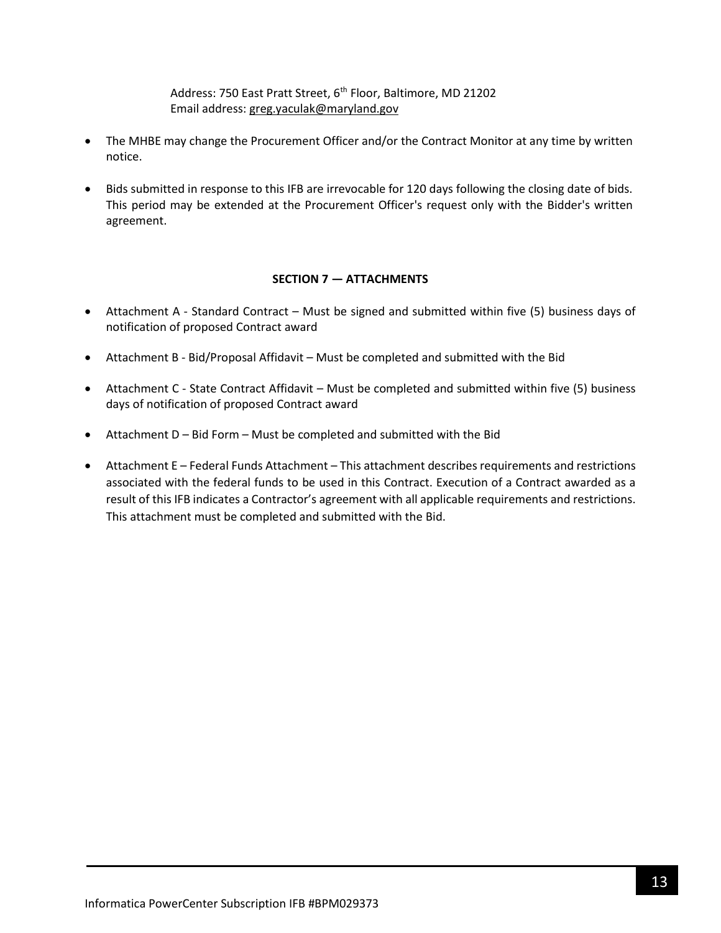Address: 750 East Pratt Street, 6<sup>th</sup> Floor, Baltimore, MD 21202 Email address: [greg.yaculak@maryland.gov](mailto:greg.yaculak@maryland.gov) 

- The MHBE may change the Procurement Officer and/or the Contract Monitor at any time by written notice.
- Bids submitted in response to this IFB are irrevocable for 120 days following the closing date of bids. This period may be extended at the Procurement Officer's request only with the Bidder's written agreement.

### **SECTION 7 — ATTACHMENTS**

- <span id="page-12-0"></span>• Attachment A - Standard Contract – Must be signed and submitted within five (5) business days of notification of proposed Contract award
- Attachment B Bid/Proposal Affidavit Must be completed and submitted with the Bid
- Attachment C State Contract Affidavit Must be completed and submitted within five (5) business days of notification of proposed Contract award
- Attachment D Bid Form Must be completed and submitted with the Bid
- Attachment E Federal Funds Attachment This attachment describes requirements and restrictions associated with the federal funds to be used in this Contract. Execution of a Contract awarded as a result of this IFB indicates a Contractor's agreement with all applicable requirements and restrictions. This attachment must be completed and submitted with the Bid.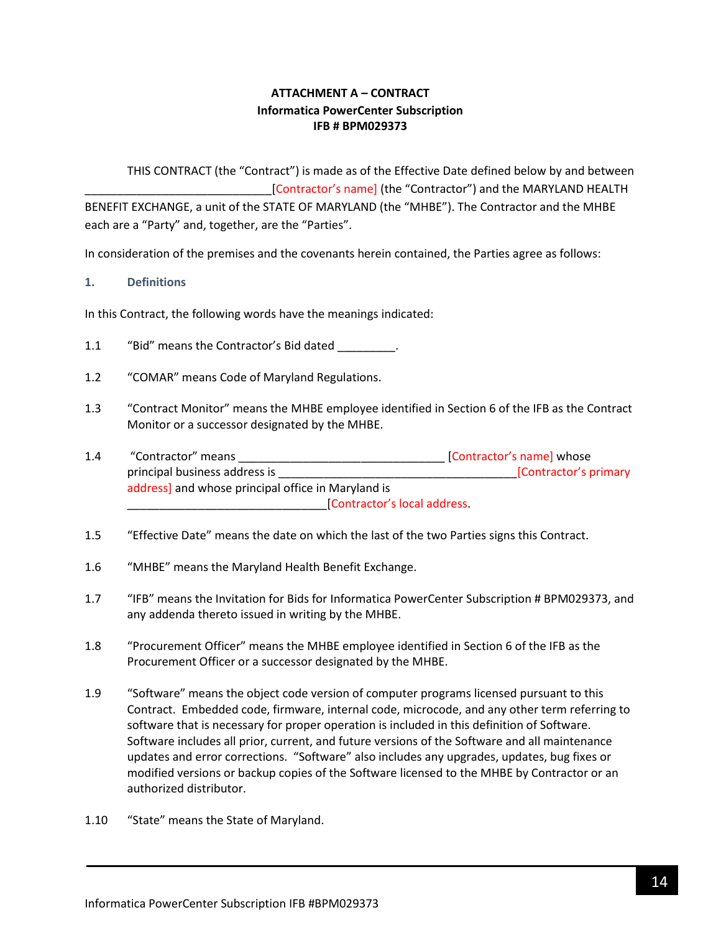## **ATTACHMENT A – CONTRACT Informatica PowerCenter Subscription IFB # BPM029373**

<span id="page-13-0"></span>THIS CONTRACT (the "Contract") is made as of the Effective Date defined below by and between [Contractor's name] (the "Contractor") and the MARYLAND HEALTH BENEFIT EXCHANGE, a unit of the STATE OF MARYLAND (the "MHBE"). The Contractor and the MHBE each are a "Party" and, together, are the "Parties".

In consideration of the premises and the covenants herein contained, the Parties agree as follows:

### **1. Definitions**

In this Contract, the following words have the meanings indicated:

- 1.1 "Bid" means the Contractor's Bid dated \_\_\_\_\_\_\_\_.
- 1.2 "COMAR" means Code of Maryland Regulations.
- 1.3 "Contract Monitor" means the MHBE employee identified in Section 6 of the IFB as the Contract Monitor or a successor designated by the MHBE.
- 1.4 "Contractor" means \_\_\_\_\_\_\_\_\_\_\_\_\_\_\_\_\_\_\_\_\_\_\_\_\_\_\_\_\_\_\_\_ [Contractor's name] whose principal business address is \_\_\_\_\_\_\_\_\_\_\_\_\_\_\_\_\_\_\_\_\_\_\_\_\_\_\_\_\_\_\_\_\_\_\_\_\_[Contractor's primary address] and whose principal office in Maryland is \_\_\_\_\_\_\_\_\_\_\_\_\_\_\_\_\_\_\_\_\_\_\_\_\_\_\_\_\_\_\_[Contractor's local address.
- 1.5 "Effective Date" means the date on which the last of the two Parties signs this Contract.
- 1.6 "MHBE" means the Maryland Health Benefit Exchange.
- 1.7 "IFB" means the Invitation for Bids for Informatica PowerCenter Subscription # BPM029373, and any addenda thereto issued in writing by the MHBE.
- 1.8 "Procurement Officer" means the MHBE employee identified in Section 6 of the IFB as the Procurement Officer or a successor designated by the MHBE.
- 1.9 "Software" means the object code version of computer programs licensed pursuant to this Contract. Embedded code, firmware, internal code, microcode, and any other term referring to software that is necessary for proper operation is included in this definition of Software. Software includes all prior, current, and future versions of the Software and all maintenance updates and error corrections. "Software" also includes any upgrades, updates, bug fixes or modified versions or backup copies of the Software licensed to the MHBE by Contractor or an authorized distributor.
- 1.10 "State" means the State of Maryland.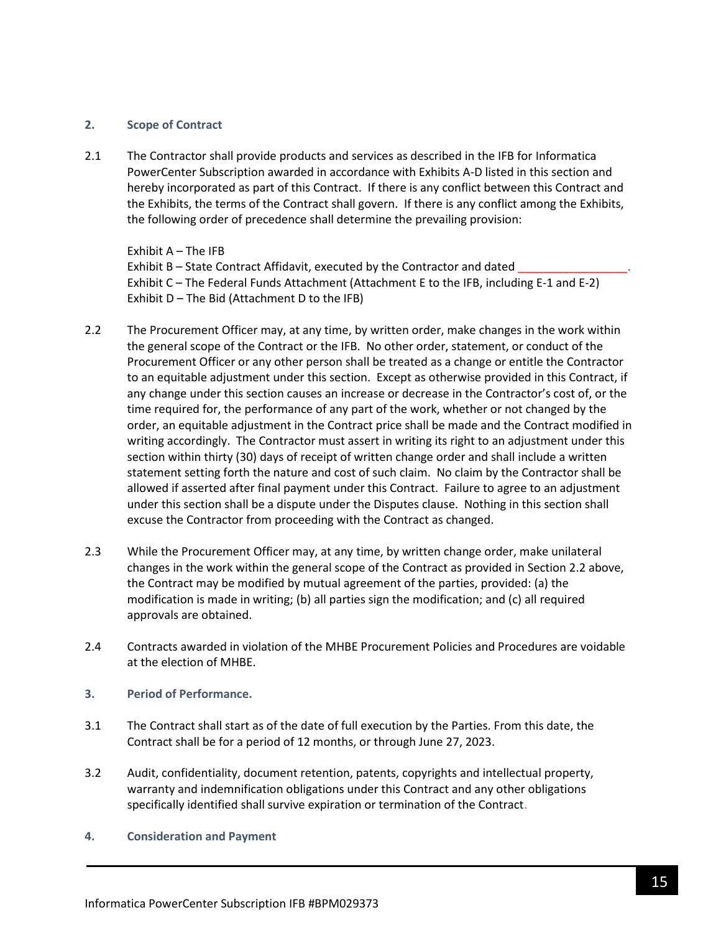#### **2. Scope of Contract**

2.1 The Contractor shall provide products and services as described in the IFB for Informatica PowerCenter Subscription awarded in accordance with Exhibits A-D listed in this section and hereby incorporated as part of this Contract. If there is any conflict between this Contract and the Exhibits, the terms of the Contract shall govern. If there is any conflict among the Exhibits, the following order of precedence shall determine the prevailing provision:

Exhibit A – The IFB Exhibit B – State Contract Affidavit, executed by the Contractor and dated Exhibit C – The Federal Funds Attachment (Attachment E to the IFB, including E-1 and E-2) Exhibit D – The Bid (Attachment D to the IFB)

- 2.2 The Procurement Officer may, at any time, by written order, make changes in the work within the general scope of the Contract or the IFB. No other order, statement, or conduct of the Procurement Officer or any other person shall be treated as a change or entitle the Contractor to an equitable adjustment under this section. Except as otherwise provided in this Contract, if any change under this section causes an increase or decrease in the Contractor's cost of, or the time required for, the performance of any part of the work, whether or not changed by the order, an equitable adjustment in the Contract price shall be made and the Contract modified in writing accordingly. The Contractor must assert in writing its right to an adjustment under this section within thirty (30) days of receipt of written change order and shall include a written statement setting forth the nature and cost of such claim. No claim by the Contractor shall be allowed if asserted after final payment under this Contract. Failure to agree to an adjustment under this section shall be a dispute under the Disputes clause. Nothing in this section shall excuse the Contractor from proceeding with the Contract as changed.
- 2.3 While the Procurement Officer may, at any time, by written change order, make unilateral changes in the work within the general scope of the Contract as provided in Section 2.2 above, the Contract may be modified by mutual agreement of the parties, provided: (a) the modification is made in writing; (b) all parties sign the modification; and (c) all required approvals are obtained.
- 2.4 Contracts awarded in violation of the MHBE Procurement Policies and Procedures are voidable at the election of MHBE.
- **3. Period of Performance.**
- 3.1 The Contract shall start as of the date of full execution by the Parties. From this date, the Contract shall be for a period of 12 months, or through June 27, 2023.
- 3.2 Audit, confidentiality, document retention, patents, copyrights and intellectual property, warranty and indemnification obligations under this Contract and any other obligations specifically identified shall survive expiration or termination of the Contract.
- **4. Consideration and Payment**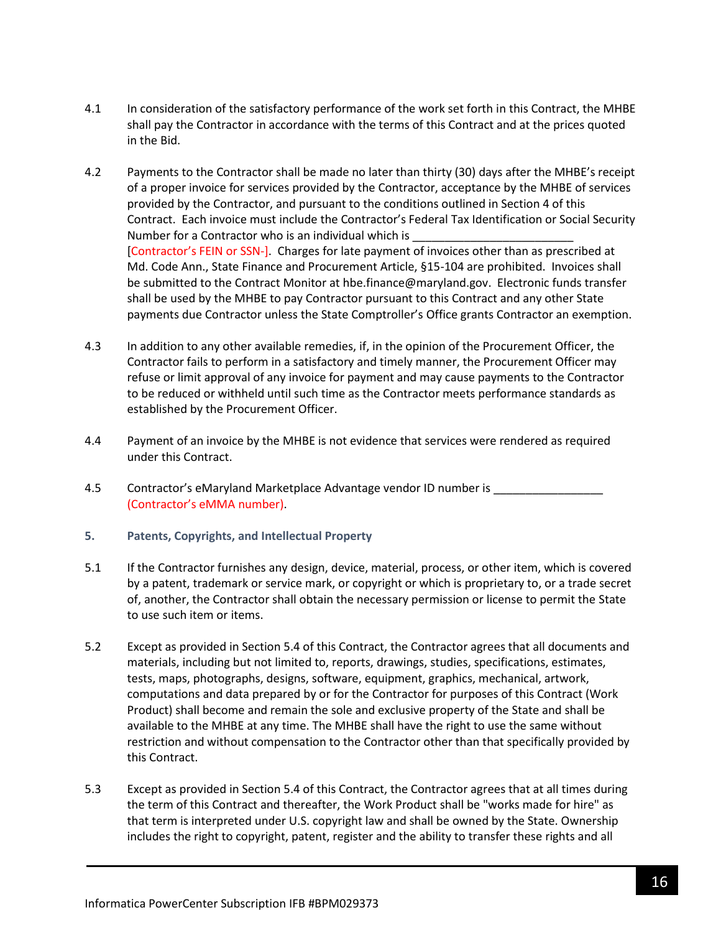- 4.1 In consideration of the satisfactory performance of the work set forth in this Contract, the MHBE shall pay the Contractor in accordance with the terms of this Contract and at the prices quoted in the Bid.
- 4.2 Payments to the Contractor shall be made no later than thirty (30) days after the MHBE's receipt of a proper invoice for services provided by the Contractor, acceptance by the MHBE of services provided by the Contractor, and pursuant to the conditions outlined in Section 4 of this Contract. Each invoice must include the Contractor's Federal Tax Identification or Social Security Number for a Contractor who is an individual which is [Contractor's FEIN or SSN-]. Charges for late payment of invoices other than as prescribed at Md. Code Ann., State Finance and Procurement Article, §15-104 are prohibited. Invoices shall be submitted to the Contract Monitor at hbe.finance@maryland.gov. Electronic funds transfer shall be used by the MHBE to pay Contractor pursuant to this Contract and any other State payments due Contractor unless the State Comptroller's Office grants Contractor an exemption.
- 4.3 In addition to any other available remedies, if, in the opinion of the Procurement Officer, the Contractor fails to perform in a satisfactory and timely manner, the Procurement Officer may refuse or limit approval of any invoice for payment and may cause payments to the Contractor to be reduced or withheld until such time as the Contractor meets performance standards as established by the Procurement Officer.
- 4.4 Payment of an invoice by the MHBE is not evidence that services were rendered as required under this Contract.
- 4.5 Contractor's eMaryland Marketplace Advantage vendor ID number is \_\_\_\_\_\_\_\_\_\_\_ (Contractor's eMMA number).
- **5. Patents, Copyrights, and Intellectual Property**
- 5.1 If the Contractor furnishes any design, device, material, process, or other item, which is covered by a patent, trademark or service mark, or copyright or which is proprietary to, or a trade secret of, another, the Contractor shall obtain the necessary permission or license to permit the State to use such item or items.
- 5.2 Except as provided in Section 5.4 of this Contract, the Contractor agrees that all documents and materials, including but not limited to, reports, drawings, studies, specifications, estimates, tests, maps, photographs, designs, software, equipment, graphics, mechanical, artwork, computations and data prepared by or for the Contractor for purposes of this Contract (Work Product) shall become and remain the sole and exclusive property of the State and shall be available to the MHBE at any time. The MHBE shall have the right to use the same without restriction and without compensation to the Contractor other than that specifically provided by this Contract.
- 5.3 Except as provided in Section 5.4 of this Contract, the Contractor agrees that at all times during the term of this Contract and thereafter, the Work Product shall be "works made for hire" as that term is interpreted under U.S. copyright law and shall be owned by the State. Ownership includes the right to copyright, patent, register and the ability to transfer these rights and all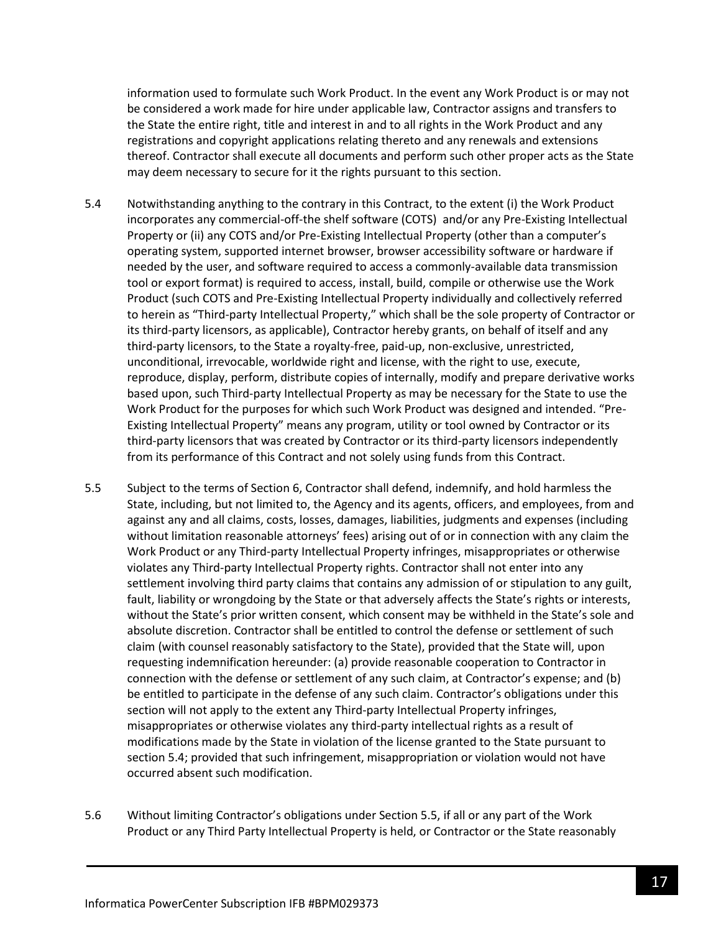information used to formulate such Work Product. In the event any Work Product is or may not be considered a work made for hire under applicable law, Contractor assigns and transfers to the State the entire right, title and interest in and to all rights in the Work Product and any registrations and copyright applications relating thereto and any renewals and extensions thereof. Contractor shall execute all documents and perform such other proper acts as the State may deem necessary to secure for it the rights pursuant to this section.

- 5.4 Notwithstanding anything to the contrary in this Contract, to the extent (i) the Work Product incorporates any commercial-off-the shelf software (COTS) and/or any Pre-Existing Intellectual Property or (ii) any COTS and/or Pre-Existing Intellectual Property (other than a computer's operating system, supported internet browser, browser accessibility software or hardware if needed by the user, and software required to access a commonly-available data transmission tool or export format) is required to access, install, build, compile or otherwise use the Work Product (such COTS and Pre-Existing Intellectual Property individually and collectively referred to herein as "Third-party Intellectual Property," which shall be the sole property of Contractor or its third-party licensors, as applicable), Contractor hereby grants, on behalf of itself and any third-party licensors, to the State a royalty-free, paid-up, non-exclusive, unrestricted, unconditional, irrevocable, worldwide right and license, with the right to use, execute, reproduce, display, perform, distribute copies of internally, modify and prepare derivative works based upon, such Third-party Intellectual Property as may be necessary for the State to use the Work Product for the purposes for which such Work Product was designed and intended. "Pre-Existing Intellectual Property" means any program, utility or tool owned by Contractor or its third-party licensors that was created by Contractor or its third-party licensors independently from its performance of this Contract and not solely using funds from this Contract.
- 5.5 Subject to the terms of Section 6, Contractor shall defend, indemnify, and hold harmless the State, including, but not limited to, the Agency and its agents, officers, and employees, from and against any and all claims, costs, losses, damages, liabilities, judgments and expenses (including without limitation reasonable attorneys' fees) arising out of or in connection with any claim the Work Product or any Third-party Intellectual Property infringes, misappropriates or otherwise violates any Third-party Intellectual Property rights. Contractor shall not enter into any settlement involving third party claims that contains any admission of or stipulation to any guilt, fault, liability or wrongdoing by the State or that adversely affects the State's rights or interests, without the State's prior written consent, which consent may be withheld in the State's sole and absolute discretion. Contractor shall be entitled to control the defense or settlement of such claim (with counsel reasonably satisfactory to the State), provided that the State will, upon requesting indemnification hereunder: (a) provide reasonable cooperation to Contractor in connection with the defense or settlement of any such claim, at Contractor's expense; and (b) be entitled to participate in the defense of any such claim. Contractor's obligations under this section will not apply to the extent any Third-party Intellectual Property infringes, misappropriates or otherwise violates any third-party intellectual rights as a result of modifications made by the State in violation of the license granted to the State pursuant to section 5.4; provided that such infringement, misappropriation or violation would not have occurred absent such modification.
- 5.6 Without limiting Contractor's obligations under Section 5.5, if all or any part of the Work Product or any Third Party Intellectual Property is held, or Contractor or the State reasonably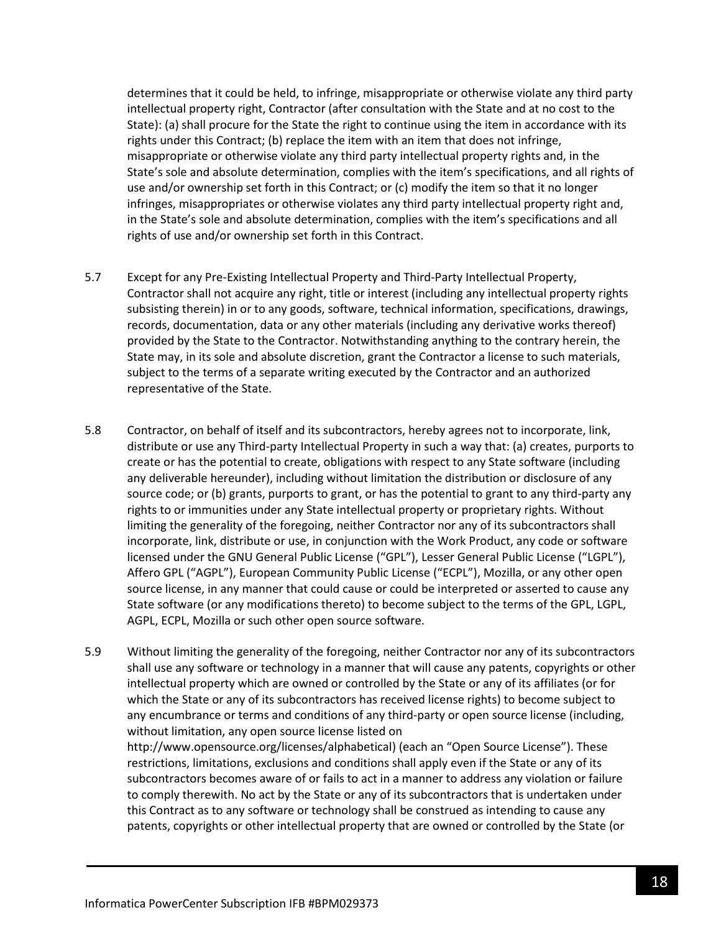determines that it could be held, to infringe, misappropriate or otherwise violate any third party intellectual property right, Contractor (after consultation with the State and at no cost to the State): (a) shall procure for the State the right to continue using the item in accordance with its rights under this Contract; (b) replace the item with an item that does not infringe, misappropriate or otherwise violate any third party intellectual property rights and, in the State's sole and absolute determination, complies with the item's specifications, and all rights of use and/or ownership set forth in this Contract; or (c) modify the item so that it no longer infringes, misappropriates or otherwise violates any third party intellectual property right and, in the State's sole and absolute determination, complies with the item's specifications and all rights of use and/or ownership set forth in this Contract.

- 5.7 Except for any Pre-Existing Intellectual Property and Third-Party Intellectual Property, Contractor shall not acquire any right, title or interest (including any intellectual property rights subsisting therein) in or to any goods, software, technical information, specifications, drawings, records, documentation, data or any other materials (including any derivative works thereof) provided by the State to the Contractor. Notwithstanding anything to the contrary herein, the State may, in its sole and absolute discretion, grant the Contractor a license to such materials, subject to the terms of a separate writing executed by the Contractor and an authorized representative of the State.
- 5.8 Contractor, on behalf of itself and its subcontractors, hereby agrees not to incorporate, link, distribute or use any Third-party Intellectual Property in such a way that: (a) creates, purports to create or has the potential to create, obligations with respect to any State software (including any deliverable hereunder), including without limitation the distribution or disclosure of any source code; or (b) grants, purports to grant, or has the potential to grant to any third-party any rights to or immunities under any State intellectual property or proprietary rights. Without limiting the generality of the foregoing, neither Contractor nor any of its subcontractors shall incorporate, link, distribute or use, in conjunction with the Work Product, any code or software licensed under the GNU General Public License ("GPL"), Lesser General Public License ("LGPL"), Affero GPL ("AGPL"), European Community Public License ("ECPL"), Mozilla, or any other open source license, in any manner that could cause or could be interpreted or asserted to cause any State software (or any modifications thereto) to become subject to the terms of the GPL, LGPL, AGPL, ECPL, Mozilla or such other open source software.
- 5.9 Without limiting the generality of the foregoing, neither Contractor nor any of its subcontractors shall use any software or technology in a manner that will cause any patents, copyrights or other intellectual property which are owned or controlled by the State or any of its affiliates (or for which the State or any of its subcontractors has received license rights) to become subject to any encumbrance or terms and conditions of any third-party or open source license (including, without limitation, any open source license listed on http://www.opensource.org/licenses/alphabetical) (each an "Open Source License"). These restrictions, limitations, exclusions and conditions shall apply even if the State or any of its subcontractors becomes aware of or fails to act in a manner to address any violation or failure to comply therewith. No act by the State or any of its subcontractors that is undertaken under this Contract as to any software or technology shall be construed as intending to cause any patents, copyrights or other intellectual property that are owned or controlled by the State (or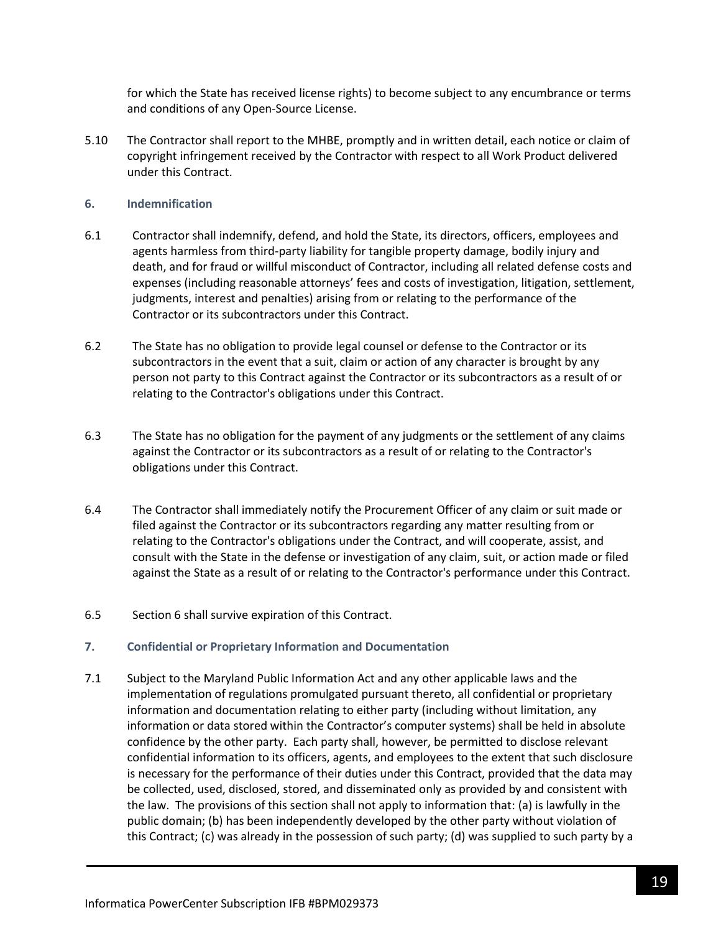for which the State has received license rights) to become subject to any encumbrance or terms and conditions of any Open-Source License.

5.10 The Contractor shall report to the MHBE, promptly and in written detail, each notice or claim of copyright infringement received by the Contractor with respect to all Work Product delivered under this Contract.

#### **6. Indemnification**

- 6.1 Contractor shall indemnify, defend, and hold the State, its directors, officers, employees and agents harmless from third-party liability for tangible property damage, bodily injury and death, and for fraud or willful misconduct of Contractor, including all related defense costs and expenses (including reasonable attorneys' fees and costs of investigation, litigation, settlement, judgments, interest and penalties) arising from or relating to the performance of the Contractor or its subcontractors under this Contract.
- 6.2 The State has no obligation to provide legal counsel or defense to the Contractor or its subcontractors in the event that a suit, claim or action of any character is brought by any person not party to this Contract against the Contractor or its subcontractors as a result of or relating to the Contractor's obligations under this Contract.
- 6.3 The State has no obligation for the payment of any judgments or the settlement of any claims against the Contractor or its subcontractors as a result of or relating to the Contractor's obligations under this Contract.
- 6.4 The Contractor shall immediately notify the Procurement Officer of any claim or suit made or filed against the Contractor or its subcontractors regarding any matter resulting from or relating to the Contractor's obligations under the Contract, and will cooperate, assist, and consult with the State in the defense or investigation of any claim, suit, or action made or filed against the State as a result of or relating to the Contractor's performance under this Contract.
- 6.5 Section 6 shall survive expiration of this Contract.

#### **7. Confidential or Proprietary Information and Documentation**

7.1 Subject to the Maryland Public Information Act and any other applicable laws and the implementation of regulations promulgated pursuant thereto, all confidential or proprietary information and documentation relating to either party (including without limitation, any information or data stored within the Contractor's computer systems) shall be held in absolute confidence by the other party. Each party shall, however, be permitted to disclose relevant confidential information to its officers, agents, and employees to the extent that such disclosure is necessary for the performance of their duties under this Contract, provided that the data may be collected, used, disclosed, stored, and disseminated only as provided by and consistent with the law. The provisions of this section shall not apply to information that: (a) is lawfully in the public domain; (b) has been independently developed by the other party without violation of this Contract; (c) was already in the possession of such party; (d) was supplied to such party by a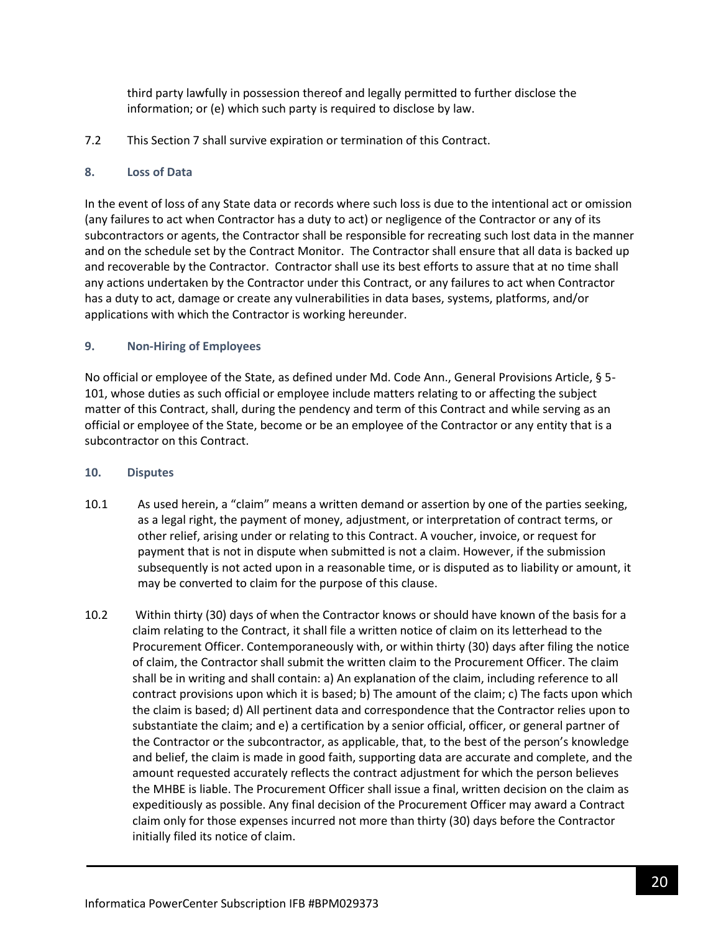third party lawfully in possession thereof and legally permitted to further disclose the information; or (e) which such party is required to disclose by law.

7.2 This Section 7 shall survive expiration or termination of this Contract.

### **8. Loss of Data**

In the event of loss of any State data or records where such loss is due to the intentional act or omission (any failures to act when Contractor has a duty to act) or negligence of the Contractor or any of its subcontractors or agents, the Contractor shall be responsible for recreating such lost data in the manner and on the schedule set by the Contract Monitor. The Contractor shall ensure that all data is backed up and recoverable by the Contractor. Contractor shall use its best efforts to assure that at no time shall any actions undertaken by the Contractor under this Contract, or any failures to act when Contractor has a duty to act, damage or create any vulnerabilities in data bases, systems, platforms, and/or applications with which the Contractor is working hereunder.

### **9. Non-Hiring of Employees**

No official or employee of the State, as defined under Md. Code Ann., General Provisions Article, § 5- 101, whose duties as such official or employee include matters relating to or affecting the subject matter of this Contract, shall, during the pendency and term of this Contract and while serving as an official or employee of the State, become or be an employee of the Contractor or any entity that is a subcontractor on this Contract.

### **10. Disputes**

- 10.1 As used herein, a "claim" means a written demand or assertion by one of the parties seeking, as a legal right, the payment of money, adjustment, or interpretation of contract terms, or other relief, arising under or relating to this Contract. A voucher, invoice, or request for payment that is not in dispute when submitted is not a claim. However, if the submission subsequently is not acted upon in a reasonable time, or is disputed as to liability or amount, it may be converted to claim for the purpose of this clause.
- 10.2 Within thirty (30) days of when the Contractor knows or should have known of the basis for a claim relating to the Contract, it shall file a written notice of claim on its letterhead to the Procurement Officer. Contemporaneously with, or within thirty (30) days after filing the notice of claim, the Contractor shall submit the written claim to the Procurement Officer. The claim shall be in writing and shall contain: a) An explanation of the claim, including reference to all contract provisions upon which it is based; b) The amount of the claim; c) The facts upon which the claim is based; d) All pertinent data and correspondence that the Contractor relies upon to substantiate the claim; and e) a certification by a senior official, officer, or general partner of the Contractor or the subcontractor, as applicable, that, to the best of the person's knowledge and belief, the claim is made in good faith, supporting data are accurate and complete, and the amount requested accurately reflects the contract adjustment for which the person believes the MHBE is liable. The Procurement Officer shall issue a final, written decision on the claim as expeditiously as possible. Any final decision of the Procurement Officer may award a Contract claim only for those expenses incurred not more than thirty (30) days before the Contractor initially filed its notice of claim.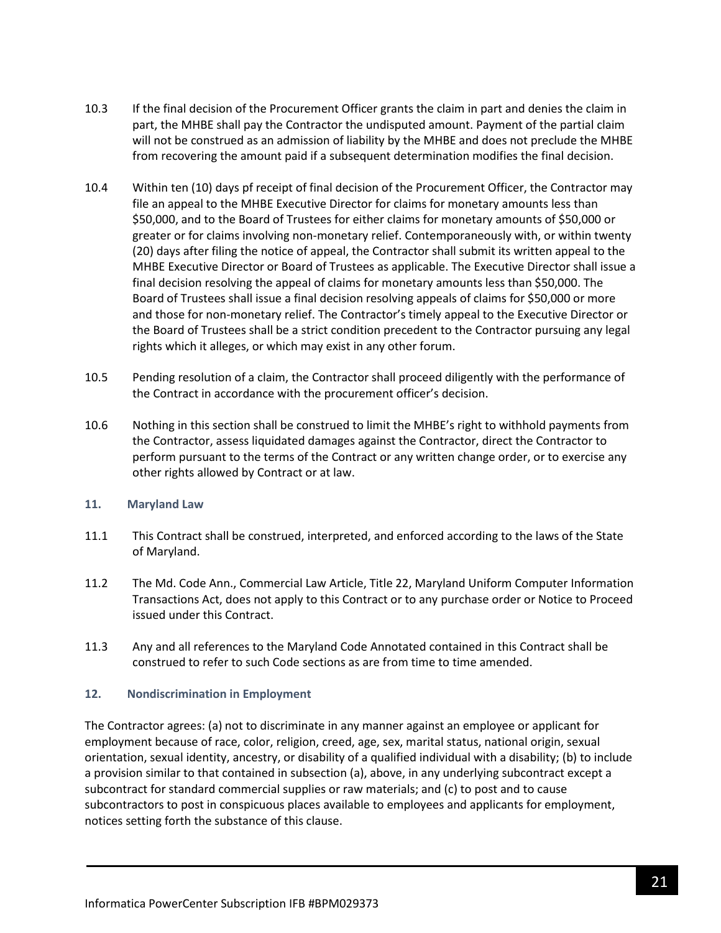- 10.3 If the final decision of the Procurement Officer grants the claim in part and denies the claim in part, the MHBE shall pay the Contractor the undisputed amount. Payment of the partial claim will not be construed as an admission of liability by the MHBE and does not preclude the MHBE from recovering the amount paid if a subsequent determination modifies the final decision.
- 10.4 Within ten (10) days pf receipt of final decision of the Procurement Officer, the Contractor may file an appeal to the MHBE Executive Director for claims for monetary amounts less than \$50,000, and to the Board of Trustees for either claims for monetary amounts of \$50,000 or greater or for claims involving non-monetary relief. Contemporaneously with, or within twenty (20) days after filing the notice of appeal, the Contractor shall submit its written appeal to the MHBE Executive Director or Board of Trustees as applicable. The Executive Director shall issue a final decision resolving the appeal of claims for monetary amounts less than \$50,000. The Board of Trustees shall issue a final decision resolving appeals of claims for \$50,000 or more and those for non-monetary relief. The Contractor's timely appeal to the Executive Director or the Board of Trustees shall be a strict condition precedent to the Contractor pursuing any legal rights which it alleges, or which may exist in any other forum.
- 10.5 Pending resolution of a claim, the Contractor shall proceed diligently with the performance of the Contract in accordance with the procurement officer's decision.
- 10.6 Nothing in this section shall be construed to limit the MHBE's right to withhold payments from the Contractor, assess liquidated damages against the Contractor, direct the Contractor to perform pursuant to the terms of the Contract or any written change order, or to exercise any other rights allowed by Contract or at law.

### **11. Maryland Law**

- 11.1 This Contract shall be construed, interpreted, and enforced according to the laws of the State of Maryland.
- 11.2 The Md. Code Ann., Commercial Law Article, Title 22, Maryland Uniform Computer Information Transactions Act, does not apply to this Contract or to any purchase order or Notice to Proceed issued under this Contract.
- 11.3 Any and all references to the Maryland Code Annotated contained in this Contract shall be construed to refer to such Code sections as are from time to time amended.

### **12. Nondiscrimination in Employment**

The Contractor agrees: (a) not to discriminate in any manner against an employee or applicant for employment because of race, color, religion, creed, age, sex, marital status, national origin, sexual orientation, sexual identity, ancestry, or disability of a qualified individual with a disability; (b) to include a provision similar to that contained in subsection (a), above, in any underlying subcontract except a subcontract for standard commercial supplies or raw materials; and (c) to post and to cause subcontractors to post in conspicuous places available to employees and applicants for employment, notices setting forth the substance of this clause.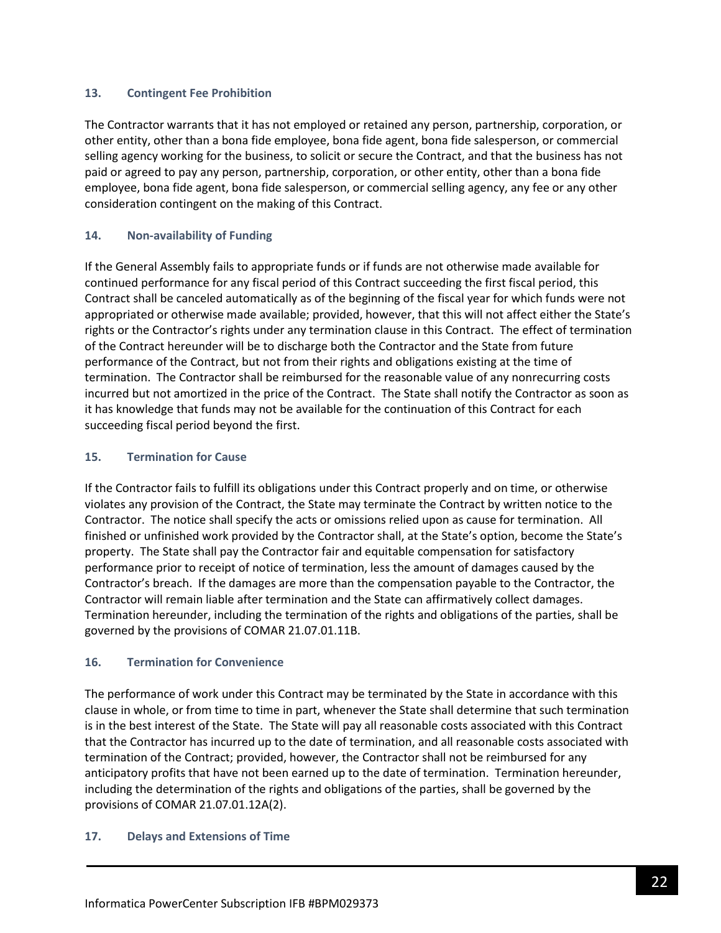### **13. Contingent Fee Prohibition**

The Contractor warrants that it has not employed or retained any person, partnership, corporation, or other entity, other than a bona fide employee, bona fide agent, bona fide salesperson, or commercial selling agency working for the business, to solicit or secure the Contract, and that the business has not paid or agreed to pay any person, partnership, corporation, or other entity, other than a bona fide employee, bona fide agent, bona fide salesperson, or commercial selling agency, any fee or any other consideration contingent on the making of this Contract.

### **14. Non-availability of Funding**

If the General Assembly fails to appropriate funds or if funds are not otherwise made available for continued performance for any fiscal period of this Contract succeeding the first fiscal period, this Contract shall be canceled automatically as of the beginning of the fiscal year for which funds were not appropriated or otherwise made available; provided, however, that this will not affect either the State's rights or the Contractor's rights under any termination clause in this Contract. The effect of termination of the Contract hereunder will be to discharge both the Contractor and the State from future performance of the Contract, but not from their rights and obligations existing at the time of termination. The Contractor shall be reimbursed for the reasonable value of any nonrecurring costs incurred but not amortized in the price of the Contract. The State shall notify the Contractor as soon as it has knowledge that funds may not be available for the continuation of this Contract for each succeeding fiscal period beyond the first.

### **15. Termination for Cause**

If the Contractor fails to fulfill its obligations under this Contract properly and on time, or otherwise violates any provision of the Contract, the State may terminate the Contract by written notice to the Contractor. The notice shall specify the acts or omissions relied upon as cause for termination. All finished or unfinished work provided by the Contractor shall, at the State's option, become the State's property. The State shall pay the Contractor fair and equitable compensation for satisfactory performance prior to receipt of notice of termination, less the amount of damages caused by the Contractor's breach. If the damages are more than the compensation payable to the Contractor, the Contractor will remain liable after termination and the State can affirmatively collect damages. Termination hereunder, including the termination of the rights and obligations of the parties, shall be governed by the provisions of COMAR 21.07.01.11B.

### **16. Termination for Convenience**

The performance of work under this Contract may be terminated by the State in accordance with this clause in whole, or from time to time in part, whenever the State shall determine that such termination is in the best interest of the State. The State will pay all reasonable costs associated with this Contract that the Contractor has incurred up to the date of termination, and all reasonable costs associated with termination of the Contract; provided, however, the Contractor shall not be reimbursed for any anticipatory profits that have not been earned up to the date of termination. Termination hereunder, including the determination of the rights and obligations of the parties, shall be governed by the provisions of COMAR 21.07.01.12A(2).

### **17. Delays and Extensions of Time**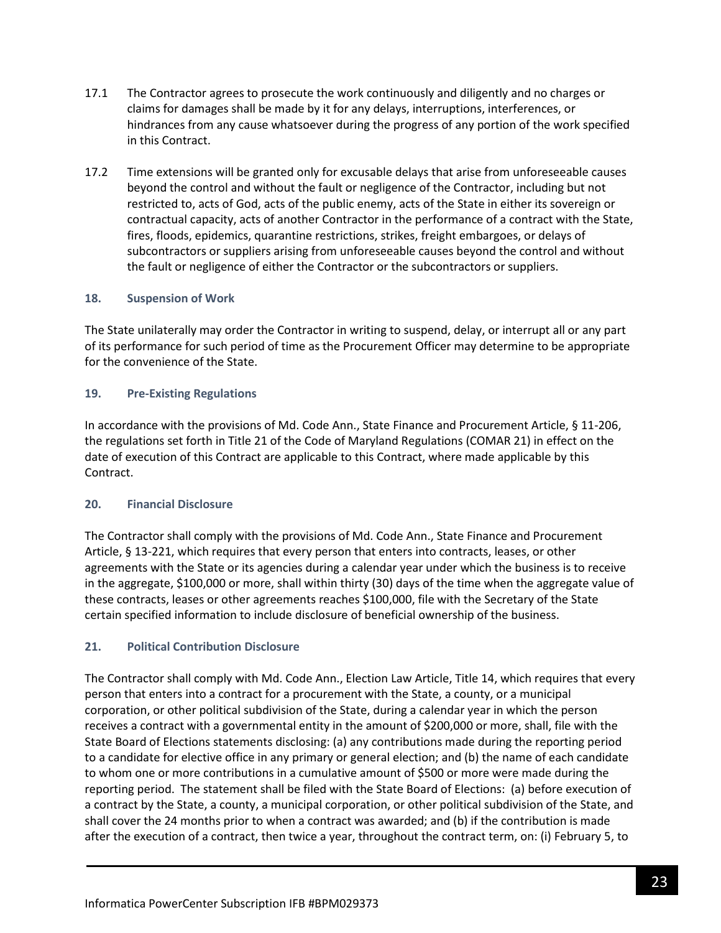- 17.1 The Contractor agrees to prosecute the work continuously and diligently and no charges or claims for damages shall be made by it for any delays, interruptions, interferences, or hindrances from any cause whatsoever during the progress of any portion of the work specified in this Contract.
- 17.2 Time extensions will be granted only for excusable delays that arise from unforeseeable causes beyond the control and without the fault or negligence of the Contractor, including but not restricted to, acts of God, acts of the public enemy, acts of the State in either its sovereign or contractual capacity, acts of another Contractor in the performance of a contract with the State, fires, floods, epidemics, quarantine restrictions, strikes, freight embargoes, or delays of subcontractors or suppliers arising from unforeseeable causes beyond the control and without the fault or negligence of either the Contractor or the subcontractors or suppliers.

### **18. Suspension of Work**

The State unilaterally may order the Contractor in writing to suspend, delay, or interrupt all or any part of its performance for such period of time as the Procurement Officer may determine to be appropriate for the convenience of the State.

### **19. Pre-Existing Regulations**

In accordance with the provisions of Md. Code Ann., State Finance and Procurement Article, § 11-206, the regulations set forth in Title 21 of the Code of Maryland Regulations (COMAR 21) in effect on the date of execution of this Contract are applicable to this Contract, where made applicable by this Contract.

### **20. Financial Disclosure**

The Contractor shall comply with the provisions of Md. Code Ann., State Finance and Procurement Article, § 13-221, which requires that every person that enters into contracts, leases, or other agreements with the State or its agencies during a calendar year under which the business is to receive in the aggregate, \$100,000 or more, shall within thirty (30) days of the time when the aggregate value of these contracts, leases or other agreements reaches \$100,000, file with the Secretary of the State certain specified information to include disclosure of beneficial ownership of the business.

### **21. Political Contribution Disclosure**

The Contractor shall comply with Md. Code Ann., Election Law Article, Title 14, which requires that every person that enters into a contract for a procurement with the State, a county, or a municipal corporation, or other political subdivision of the State, during a calendar year in which the person receives a contract with a governmental entity in the amount of \$200,000 or more, shall, file with the State Board of Elections statements disclosing: (a) any contributions made during the reporting period to a candidate for elective office in any primary or general election; and (b) the name of each candidate to whom one or more contributions in a cumulative amount of \$500 or more were made during the reporting period. The statement shall be filed with the State Board of Elections: (a) before execution of a contract by the State, a county, a municipal corporation, or other political subdivision of the State, and shall cover the 24 months prior to when a contract was awarded; and (b) if the contribution is made after the execution of a contract, then twice a year, throughout the contract term, on: (i) February 5, to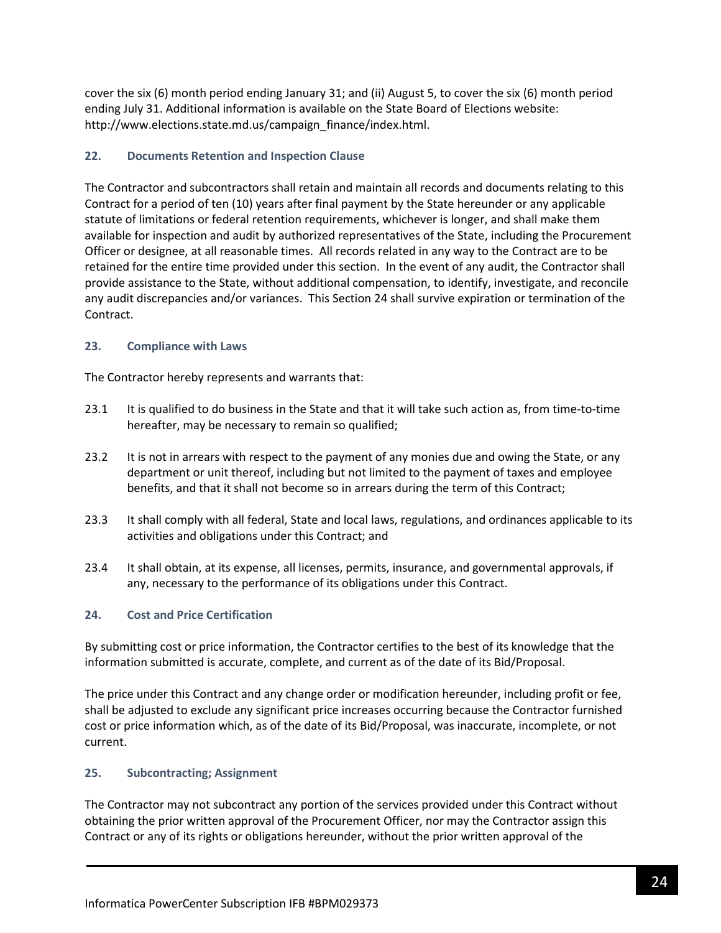cover the six (6) month period ending January 31; and (ii) August 5, to cover the six (6) month period ending July 31. Additional information is available on the State Board of Elections website: http://www.elections.state.md.us/campaign\_finance/index.html.

## **22. Documents Retention and Inspection Clause**

The Contractor and subcontractors shall retain and maintain all records and documents relating to this Contract for a period of ten (10) years after final payment by the State hereunder or any applicable statute of limitations or federal retention requirements, whichever is longer, and shall make them available for inspection and audit by authorized representatives of the State, including the Procurement Officer or designee, at all reasonable times. All records related in any way to the Contract are to be retained for the entire time provided under this section. In the event of any audit, the Contractor shall provide assistance to the State, without additional compensation, to identify, investigate, and reconcile any audit discrepancies and/or variances. This Section 24 shall survive expiration or termination of the Contract.

### **23. Compliance with Laws**

The Contractor hereby represents and warrants that:

- 23.1 It is qualified to do business in the State and that it will take such action as, from time-to-time hereafter, may be necessary to remain so qualified;
- 23.2 It is not in arrears with respect to the payment of any monies due and owing the State, or any department or unit thereof, including but not limited to the payment of taxes and employee benefits, and that it shall not become so in arrears during the term of this Contract;
- 23.3 It shall comply with all federal, State and local laws, regulations, and ordinances applicable to its activities and obligations under this Contract; and
- 23.4 It shall obtain, at its expense, all licenses, permits, insurance, and governmental approvals, if any, necessary to the performance of its obligations under this Contract.

## **24. Cost and Price Certification**

By submitting cost or price information, the Contractor certifies to the best of its knowledge that the information submitted is accurate, complete, and current as of the date of its Bid/Proposal.

The price under this Contract and any change order or modification hereunder, including profit or fee, shall be adjusted to exclude any significant price increases occurring because the Contractor furnished cost or price information which, as of the date of its Bid/Proposal, was inaccurate, incomplete, or not current.

### **25. Subcontracting; Assignment**

The Contractor may not subcontract any portion of the services provided under this Contract without obtaining the prior written approval of the Procurement Officer, nor may the Contractor assign this Contract or any of its rights or obligations hereunder, without the prior written approval of the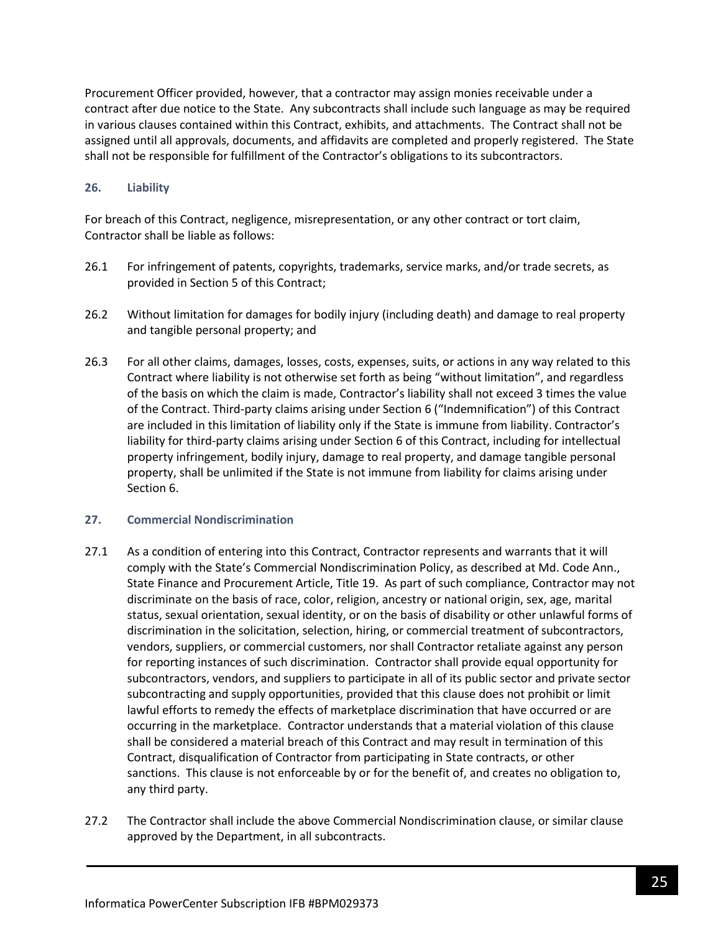Procurement Officer provided, however, that a contractor may assign monies receivable under a contract after due notice to the State. Any subcontracts shall include such language as may be required in various clauses contained within this Contract, exhibits, and attachments. The Contract shall not be assigned until all approvals, documents, and affidavits are completed and properly registered. The State shall not be responsible for fulfillment of the Contractor's obligations to its subcontractors.

### **26. Liability**

For breach of this Contract, negligence, misrepresentation, or any other contract or tort claim, Contractor shall be liable as follows:

- 26.1 For infringement of patents, copyrights, trademarks, service marks, and/or trade secrets, as provided in Section 5 of this Contract;
- 26.2 Without limitation for damages for bodily injury (including death) and damage to real property and tangible personal property; and
- 26.3 For all other claims, damages, losses, costs, expenses, suits, or actions in any way related to this Contract where liability is not otherwise set forth as being "without limitation", and regardless of the basis on which the claim is made, Contractor's liability shall not exceed 3 times the value of the Contract. Third-party claims arising under Section 6 ("Indemnification") of this Contract are included in this limitation of liability only if the State is immune from liability. Contractor's liability for third-party claims arising under Section 6 of this Contract, including for intellectual property infringement, bodily injury, damage to real property, and damage tangible personal property, shall be unlimited if the State is not immune from liability for claims arising under Section 6.

### **27. Commercial Nondiscrimination**

- 27.1 As a condition of entering into this Contract, Contractor represents and warrants that it will comply with the State's Commercial Nondiscrimination Policy, as described at Md. Code Ann., State Finance and Procurement Article, Title 19. As part of such compliance, Contractor may not discriminate on the basis of race, color, religion, ancestry or national origin, sex, age, marital status, sexual orientation, sexual identity, or on the basis of disability or other unlawful forms of discrimination in the solicitation, selection, hiring, or commercial treatment of subcontractors, vendors, suppliers, or commercial customers, nor shall Contractor retaliate against any person for reporting instances of such discrimination. Contractor shall provide equal opportunity for subcontractors, vendors, and suppliers to participate in all of its public sector and private sector subcontracting and supply opportunities, provided that this clause does not prohibit or limit lawful efforts to remedy the effects of marketplace discrimination that have occurred or are occurring in the marketplace. Contractor understands that a material violation of this clause shall be considered a material breach of this Contract and may result in termination of this Contract, disqualification of Contractor from participating in State contracts, or other sanctions. This clause is not enforceable by or for the benefit of, and creates no obligation to, any third party.
- 27.2 The Contractor shall include the above Commercial Nondiscrimination clause, or similar clause approved by the Department, in all subcontracts.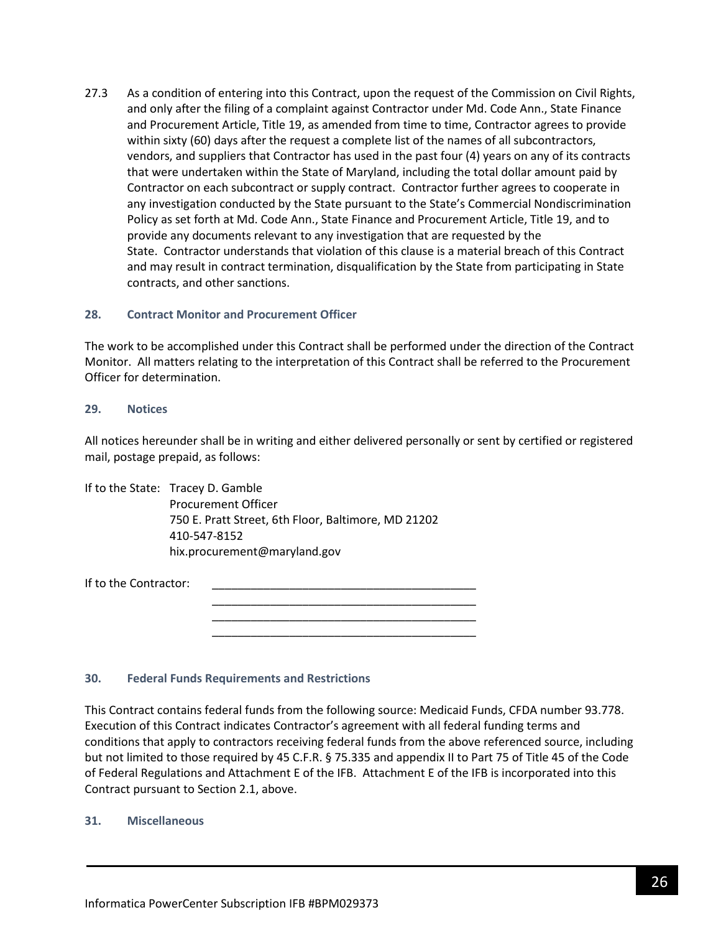27.3 As a condition of entering into this Contract, upon the request of the Commission on Civil Rights, and only after the filing of a complaint against Contractor under Md. Code Ann., State Finance and Procurement Article, Title 19, as amended from time to time, Contractor agrees to provide within sixty (60) days after the request a complete list of the names of all subcontractors, vendors, and suppliers that Contractor has used in the past four (4) years on any of its contracts that were undertaken within the State of Maryland, including the total dollar amount paid by Contractor on each subcontract or supply contract. Contractor further agrees to cooperate in any investigation conducted by the State pursuant to the State's Commercial Nondiscrimination Policy as set forth at Md. Code Ann., State Finance and Procurement Article, Title 19, and to provide any documents relevant to any investigation that are requested by the State. Contractor understands that violation of this clause is a material breach of this Contract and may result in contract termination, disqualification by the State from participating in State contracts, and other sanctions.

#### **28. Contract Monitor and Procurement Officer**

The work to be accomplished under this Contract shall be performed under the direction of the Contract Monitor. All matters relating to the interpretation of this Contract shall be referred to the Procurement Officer for determination.

#### **29. Notices**

All notices hereunder shall be in writing and either delivered personally or sent by certified or registered mail, postage prepaid, as follows:

> \_\_\_\_\_\_\_\_\_\_\_\_\_\_\_\_\_\_\_\_\_\_\_\_\_\_\_\_\_\_\_\_\_\_\_\_\_\_\_\_\_ \_\_\_\_\_\_\_\_\_\_\_\_\_\_\_\_\_\_\_\_\_\_\_\_\_\_\_\_\_\_\_\_\_\_\_\_\_\_\_\_\_ \_\_\_\_\_\_\_\_\_\_\_\_\_\_\_\_\_\_\_\_\_\_\_\_\_\_\_\_\_\_\_\_\_\_\_\_\_\_\_\_\_

If to the State: Tracey D. Gamble Procurement Officer 750 E. Pratt Street, 6th Floor, Baltimore, MD 21202 410-547-8152 hix.procurement@maryland.gov

If to the Contractor:

#### **30. Federal Funds Requirements and Restrictions**

This Contract contains federal funds from the following source: Medicaid Funds, CFDA number 93.778. Execution of this Contract indicates Contractor's agreement with all federal funding terms and conditions that apply to contractors receiving federal funds from the above referenced source, including but not limited to those required by 45 C.F.R. § 75.335 and appendix II to Part 75 of Title 45 of the Code of Federal Regulations and Attachment E of the IFB. Attachment E of the IFB is incorporated into this Contract pursuant to Section 2.1, above.

#### **31. Miscellaneous**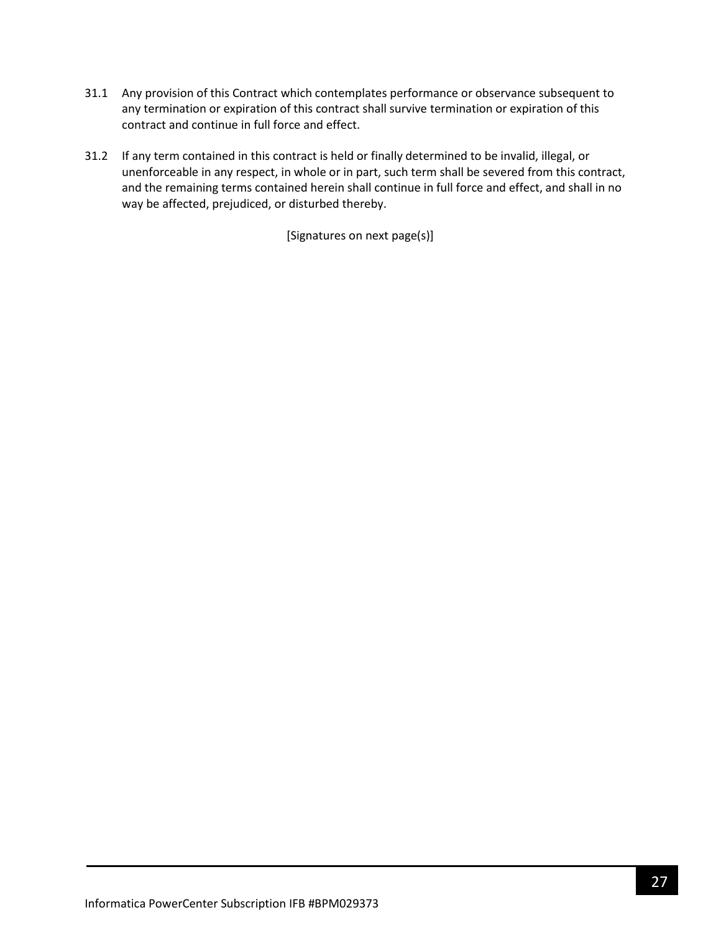- 31.1 Any provision of this Contract which contemplates performance or observance subsequent to any termination or expiration of this contract shall survive termination or expiration of this contract and continue in full force and effect.
- 31.2 If any term contained in this contract is held or finally determined to be invalid, illegal, or unenforceable in any respect, in whole or in part, such term shall be severed from this contract, and the remaining terms contained herein shall continue in full force and effect, and shall in no way be affected, prejudiced, or disturbed thereby.

[Signatures on next page(s)]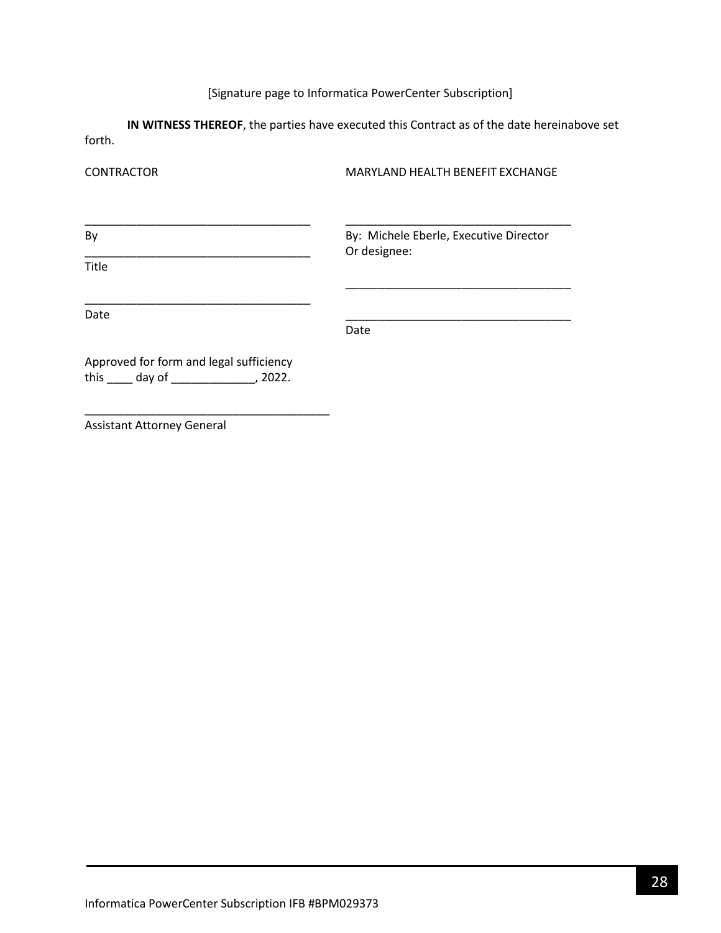# [Signature page to Informatica PowerCenter Subscription]

**IN WITNESS THEREOF**, the parties have executed this Contract as of the date hereinabove set forth.

| <b>CONTRACTOR</b>                                                                              | MARYLAND HEALTH BENEFIT EXCHANGE                       |
|------------------------------------------------------------------------------------------------|--------------------------------------------------------|
| By                                                                                             | By: Michele Eberle, Executive Director<br>Or designee: |
| Title                                                                                          |                                                        |
| Date                                                                                           | Date                                                   |
| Approved for form and legal sufficiency<br>this $\qquad \qquad$ day of $\qquad \qquad$ , 2022. |                                                        |

Assistant Attorney General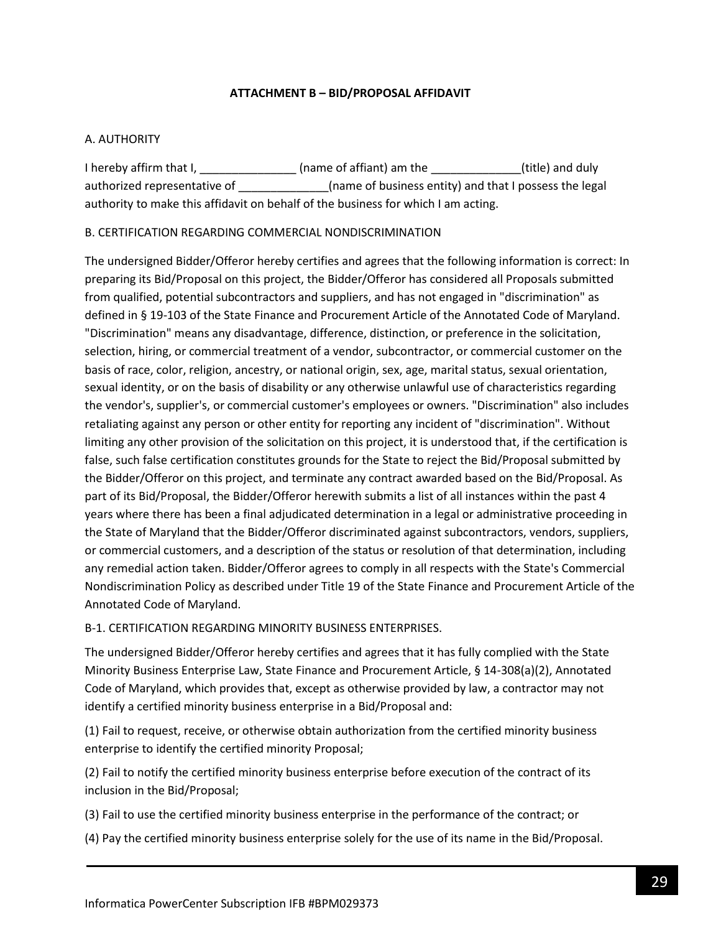### **ATTACHMENT B – BID/PROPOSAL AFFIDAVIT**

### <span id="page-28-0"></span>A. AUTHORITY

I hereby affirm that I, \_\_\_\_\_\_\_\_\_\_\_\_\_\_\_\_\_\_\_(name of affiant) am the \_\_\_\_\_\_\_\_\_\_\_\_\_\_\_\_(title) and duly authorized representative of \_\_\_\_\_\_\_\_\_\_\_\_\_(name of business entity) and that I possess the legal authority to make this affidavit on behalf of the business for which I am acting.

### B. CERTIFICATION REGARDING COMMERCIAL NONDISCRIMINATION

The undersigned Bidder/Offeror hereby certifies and agrees that the following information is correct: In preparing its Bid/Proposal on this project, the Bidder/Offeror has considered all Proposals submitted from qualified, potential subcontractors and suppliers, and has not engaged in "discrimination" as defined in § 19-103 of the State Finance and Procurement Article of the Annotated Code of Maryland. "Discrimination" means any disadvantage, difference, distinction, or preference in the solicitation, selection, hiring, or commercial treatment of a vendor, subcontractor, or commercial customer on the basis of race, color, religion, ancestry, or national origin, sex, age, marital status, sexual orientation, sexual identity, or on the basis of disability or any otherwise unlawful use of characteristics regarding the vendor's, supplier's, or commercial customer's employees or owners. "Discrimination" also includes retaliating against any person or other entity for reporting any incident of "discrimination". Without limiting any other provision of the solicitation on this project, it is understood that, if the certification is false, such false certification constitutes grounds for the State to reject the Bid/Proposal submitted by the Bidder/Offeror on this project, and terminate any contract awarded based on the Bid/Proposal. As part of its Bid/Proposal, the Bidder/Offeror herewith submits a list of all instances within the past 4 years where there has been a final adjudicated determination in a legal or administrative proceeding in the State of Maryland that the Bidder/Offeror discriminated against subcontractors, vendors, suppliers, or commercial customers, and a description of the status or resolution of that determination, including any remedial action taken. Bidder/Offeror agrees to comply in all respects with the State's Commercial Nondiscrimination Policy as described under Title 19 of the State Finance and Procurement Article of the Annotated Code of Maryland.

### B-1. CERTIFICATION REGARDING MINORITY BUSINESS ENTERPRISES.

The undersigned Bidder/Offeror hereby certifies and agrees that it has fully complied with the State Minority Business Enterprise Law, State Finance and Procurement Article, § 14-308(a)(2), Annotated Code of Maryland, which provides that, except as otherwise provided by law, a contractor may not identify a certified minority business enterprise in a Bid/Proposal and:

(1) Fail to request, receive, or otherwise obtain authorization from the certified minority business enterprise to identify the certified minority Proposal;

(2) Fail to notify the certified minority business enterprise before execution of the contract of its inclusion in the Bid/Proposal;

- (3) Fail to use the certified minority business enterprise in the performance of the contract; or
- (4) Pay the certified minority business enterprise solely for the use of its name in the Bid/Proposal.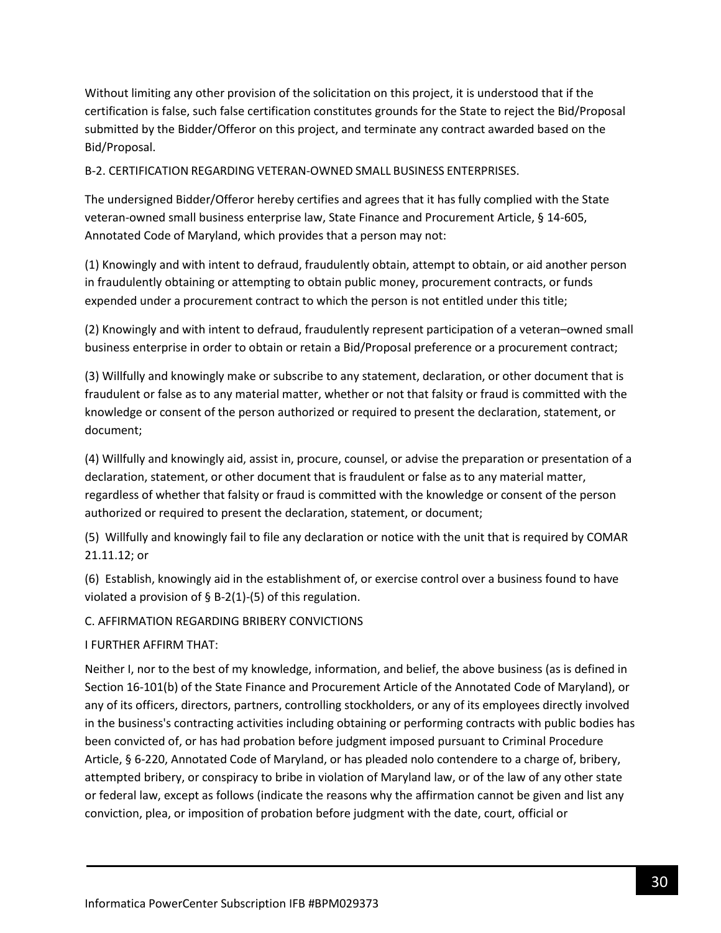Without limiting any other provision of the solicitation on this project, it is understood that if the certification is false, such false certification constitutes grounds for the State to reject the Bid/Proposal submitted by the Bidder/Offeror on this project, and terminate any contract awarded based on the Bid/Proposal.

B-2. CERTIFICATION REGARDING VETERAN-OWNED SMALL BUSINESS ENTERPRISES.

The undersigned Bidder/Offeror hereby certifies and agrees that it has fully complied with the State veteran-owned small business enterprise law, State Finance and Procurement Article, § 14-605, Annotated Code of Maryland, which provides that a person may not:

(1) Knowingly and with intent to defraud, fraudulently obtain, attempt to obtain, or aid another person in fraudulently obtaining or attempting to obtain public money, procurement contracts, or funds expended under a procurement contract to which the person is not entitled under this title;

(2) Knowingly and with intent to defraud, fraudulently represent participation of a veteran–owned small business enterprise in order to obtain or retain a Bid/Proposal preference or a procurement contract;

(3) Willfully and knowingly make or subscribe to any statement, declaration, or other document that is fraudulent or false as to any material matter, whether or not that falsity or fraud is committed with the knowledge or consent of the person authorized or required to present the declaration, statement, or document;

(4) Willfully and knowingly aid, assist in, procure, counsel, or advise the preparation or presentation of a declaration, statement, or other document that is fraudulent or false as to any material matter, regardless of whether that falsity or fraud is committed with the knowledge or consent of the person authorized or required to present the declaration, statement, or document;

(5) Willfully and knowingly fail to file any declaration or notice with the unit that is required by COMAR 21.11.12; or

(6) Establish, knowingly aid in the establishment of, or exercise control over a business found to have violated a provision of  $\S$  B-2(1)-(5) of this regulation.

C. AFFIRMATION REGARDING BRIBERY CONVICTIONS

I FURTHER AFFIRM THAT:

Neither I, nor to the best of my knowledge, information, and belief, the above business (as is defined in Section 16-101(b) of the State Finance and Procurement Article of the Annotated Code of Maryland), or any of its officers, directors, partners, controlling stockholders, or any of its employees directly involved in the business's contracting activities including obtaining or performing contracts with public bodies has been convicted of, or has had probation before judgment imposed pursuant to Criminal Procedure Article, § 6-220, Annotated Code of Maryland, or has pleaded nolo contendere to a charge of, bribery, attempted bribery, or conspiracy to bribe in violation of Maryland law, or of the law of any other state or federal law, except as follows (indicate the reasons why the affirmation cannot be given and list any conviction, plea, or imposition of probation before judgment with the date, court, official or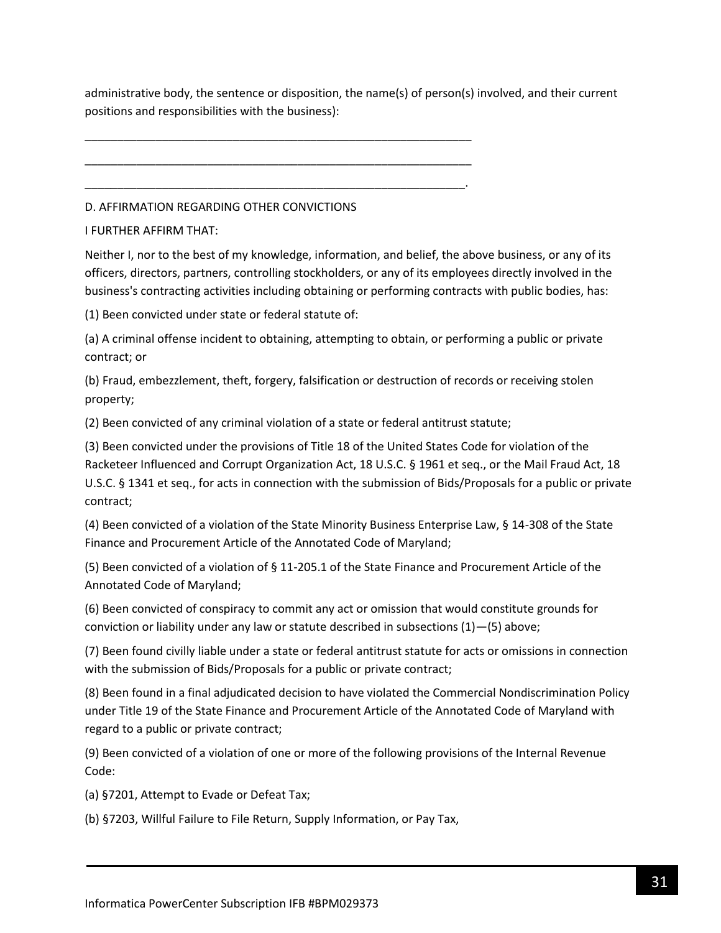administrative body, the sentence or disposition, the name(s) of person(s) involved, and their current positions and responsibilities with the business):

D. AFFIRMATION REGARDING OTHER CONVICTIONS

\_\_\_\_\_\_\_\_\_\_\_\_\_\_\_\_\_\_\_\_\_\_\_\_\_\_\_\_\_\_\_\_\_\_\_\_\_\_\_\_\_\_\_\_\_\_\_\_\_\_\_\_\_\_\_\_\_\_\_\_

\_\_\_\_\_\_\_\_\_\_\_\_\_\_\_\_\_\_\_\_\_\_\_\_\_\_\_\_\_\_\_\_\_\_\_\_\_\_\_\_\_\_\_\_\_\_\_\_\_\_\_\_\_\_\_\_\_\_\_\_

\_\_\_\_\_\_\_\_\_\_\_\_\_\_\_\_\_\_\_\_\_\_\_\_\_\_\_\_\_\_\_\_\_\_\_\_\_\_\_\_\_\_\_\_\_\_\_\_\_\_\_\_\_\_\_\_\_\_\_.

I FURTHER AFFIRM THAT:

Neither I, nor to the best of my knowledge, information, and belief, the above business, or any of its officers, directors, partners, controlling stockholders, or any of its employees directly involved in the business's contracting activities including obtaining or performing contracts with public bodies, has:

(1) Been convicted under state or federal statute of:

(a) A criminal offense incident to obtaining, attempting to obtain, or performing a public or private contract; or

(b) Fraud, embezzlement, theft, forgery, falsification or destruction of records or receiving stolen property;

(2) Been convicted of any criminal violation of a state or federal antitrust statute;

(3) Been convicted under the provisions of Title 18 of the United States Code for violation of the Racketeer Influenced and Corrupt Organization Act, 18 U.S.C. § 1961 et seq., or the Mail Fraud Act, 18 U.S.C. § 1341 et seq., for acts in connection with the submission of Bids/Proposals for a public or private contract;

(4) Been convicted of a violation of the State Minority Business Enterprise Law, § 14-308 of the State Finance and Procurement Article of the Annotated Code of Maryland;

(5) Been convicted of a violation of § 11-205.1 of the State Finance and Procurement Article of the Annotated Code of Maryland;

(6) Been convicted of conspiracy to commit any act or omission that would constitute grounds for conviction or liability under any law or statute described in subsections (1)—(5) above;

(7) Been found civilly liable under a state or federal antitrust statute for acts or omissions in connection with the submission of Bids/Proposals for a public or private contract;

(8) Been found in a final adjudicated decision to have violated the Commercial Nondiscrimination Policy under Title 19 of the State Finance and Procurement Article of the Annotated Code of Maryland with regard to a public or private contract;

(9) Been convicted of a violation of one or more of the following provisions of the Internal Revenue Code:

(a) §7201, Attempt to Evade or Defeat Tax;

(b) §7203, Willful Failure to File Return, Supply Information, or Pay Tax,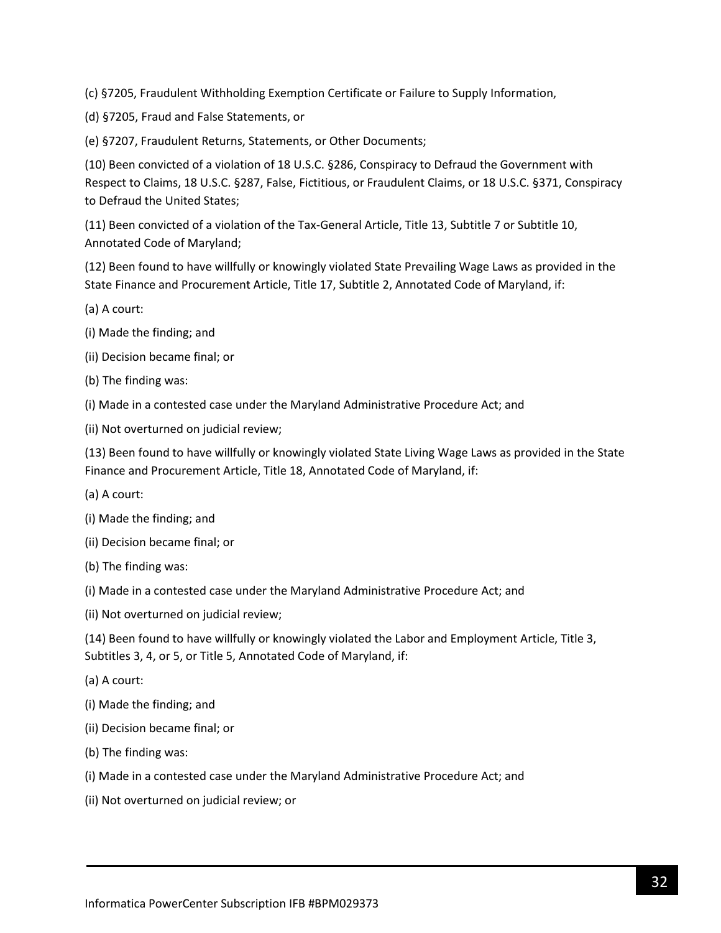(c) §7205, Fraudulent Withholding Exemption Certificate or Failure to Supply Information,

(d) §7205, Fraud and False Statements, or

(e) §7207, Fraudulent Returns, Statements, or Other Documents;

(10) Been convicted of a violation of 18 U.S.C. §286, Conspiracy to Defraud the Government with Respect to Claims, 18 U.S.C. §287, False, Fictitious, or Fraudulent Claims, or 18 U.S.C. §371, Conspiracy to Defraud the United States;

(11) Been convicted of a violation of the Tax-General Article, Title 13, Subtitle 7 or Subtitle 10, Annotated Code of Maryland;

(12) Been found to have willfully or knowingly violated State Prevailing Wage Laws as provided in the State Finance and Procurement Article, Title 17, Subtitle 2, Annotated Code of Maryland, if:

(a) A court:

- (i) Made the finding; and
- (ii) Decision became final; or
- (b) The finding was:
- (i) Made in a contested case under the Maryland Administrative Procedure Act; and
- (ii) Not overturned on judicial review;

(13) Been found to have willfully or knowingly violated State Living Wage Laws as provided in the State Finance and Procurement Article, Title 18, Annotated Code of Maryland, if:

- (a) A court:
- (i) Made the finding; and
- (ii) Decision became final; or
- (b) The finding was:
- (i) Made in a contested case under the Maryland Administrative Procedure Act; and
- (ii) Not overturned on judicial review;

(14) Been found to have willfully or knowingly violated the Labor and Employment Article, Title 3, Subtitles 3, 4, or 5, or Title 5, Annotated Code of Maryland, if:

- (a) A court:
- (i) Made the finding; and
- (ii) Decision became final; or
- (b) The finding was:
- (i) Made in a contested case under the Maryland Administrative Procedure Act; and
- (ii) Not overturned on judicial review; or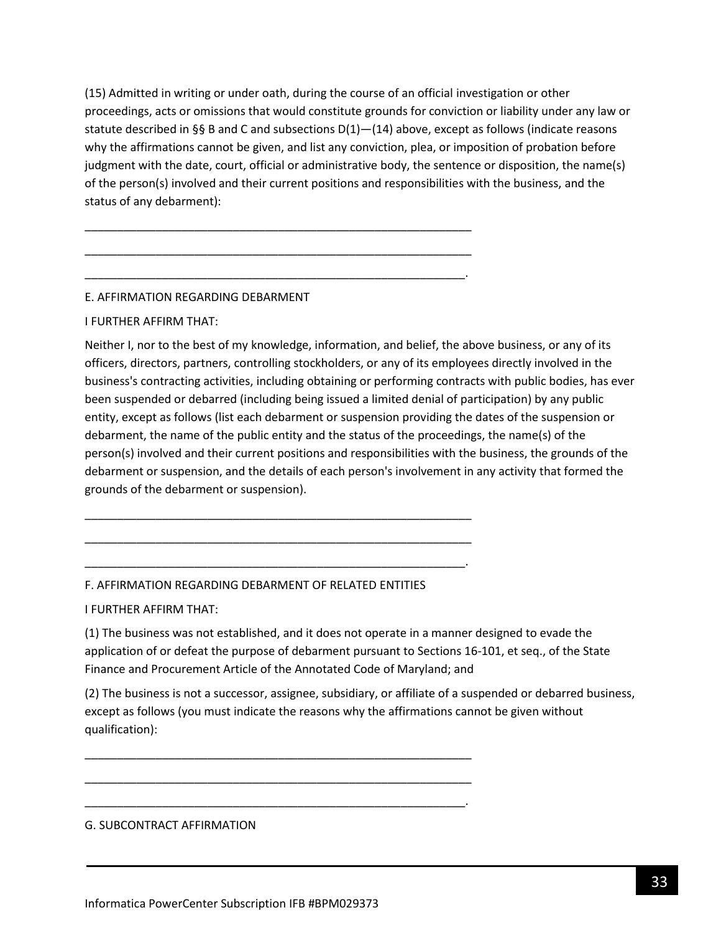(15) Admitted in writing or under oath, during the course of an official investigation or other proceedings, acts or omissions that would constitute grounds for conviction or liability under any law or statute described in §§ B and C and subsections  $D(1)$ — $(14)$  above, except as follows (indicate reasons why the affirmations cannot be given, and list any conviction, plea, or imposition of probation before judgment with the date, court, official or administrative body, the sentence or disposition, the name(s) of the person(s) involved and their current positions and responsibilities with the business, and the status of any debarment):

\_\_\_\_\_\_\_\_\_\_\_\_\_\_\_\_\_\_\_\_\_\_\_\_\_\_\_\_\_\_\_\_\_\_\_\_\_\_\_\_\_\_\_\_\_\_\_\_\_\_\_\_\_\_\_\_\_\_\_\_

\_\_\_\_\_\_\_\_\_\_\_\_\_\_\_\_\_\_\_\_\_\_\_\_\_\_\_\_\_\_\_\_\_\_\_\_\_\_\_\_\_\_\_\_\_\_\_\_\_\_\_\_\_\_\_\_\_\_\_\_

\_\_\_\_\_\_\_\_\_\_\_\_\_\_\_\_\_\_\_\_\_\_\_\_\_\_\_\_\_\_\_\_\_\_\_\_\_\_\_\_\_\_\_\_\_\_\_\_\_\_\_\_\_\_\_\_\_\_\_.

### E. AFFIRMATION REGARDING DEBARMENT

### I FURTHER AFFIRM THAT:

Neither I, nor to the best of my knowledge, information, and belief, the above business, or any of its officers, directors, partners, controlling stockholders, or any of its employees directly involved in the business's contracting activities, including obtaining or performing contracts with public bodies, has ever been suspended or debarred (including being issued a limited denial of participation) by any public entity, except as follows (list each debarment or suspension providing the dates of the suspension or debarment, the name of the public entity and the status of the proceedings, the name(s) of the person(s) involved and their current positions and responsibilities with the business, the grounds of the debarment or suspension, and the details of each person's involvement in any activity that formed the grounds of the debarment or suspension).

### F. AFFIRMATION REGARDING DEBARMENT OF RELATED ENTITIES

\_\_\_\_\_\_\_\_\_\_\_\_\_\_\_\_\_\_\_\_\_\_\_\_\_\_\_\_\_\_\_\_\_\_\_\_\_\_\_\_\_\_\_\_\_\_\_\_\_\_\_\_\_\_\_\_\_\_\_\_

\_\_\_\_\_\_\_\_\_\_\_\_\_\_\_\_\_\_\_\_\_\_\_\_\_\_\_\_\_\_\_\_\_\_\_\_\_\_\_\_\_\_\_\_\_\_\_\_\_\_\_\_\_\_\_\_\_\_\_\_

\_\_\_\_\_\_\_\_\_\_\_\_\_\_\_\_\_\_\_\_\_\_\_\_\_\_\_\_\_\_\_\_\_\_\_\_\_\_\_\_\_\_\_\_\_\_\_\_\_\_\_\_\_\_\_\_\_\_\_.

\_\_\_\_\_\_\_\_\_\_\_\_\_\_\_\_\_\_\_\_\_\_\_\_\_\_\_\_\_\_\_\_\_\_\_\_\_\_\_\_\_\_\_\_\_\_\_\_\_\_\_\_\_\_\_\_\_\_\_\_

\_\_\_\_\_\_\_\_\_\_\_\_\_\_\_\_\_\_\_\_\_\_\_\_\_\_\_\_\_\_\_\_\_\_\_\_\_\_\_\_\_\_\_\_\_\_\_\_\_\_\_\_\_\_\_\_\_\_\_\_

\_\_\_\_\_\_\_\_\_\_\_\_\_\_\_\_\_\_\_\_\_\_\_\_\_\_\_\_\_\_\_\_\_\_\_\_\_\_\_\_\_\_\_\_\_\_\_\_\_\_\_\_\_\_\_\_\_\_\_.

I FURTHER AFFIRM THAT:

(1) The business was not established, and it does not operate in a manner designed to evade the application of or defeat the purpose of debarment pursuant to Sections 16-101, et seq., of the State Finance and Procurement Article of the Annotated Code of Maryland; and

(2) The business is not a successor, assignee, subsidiary, or affiliate of a suspended or debarred business, except as follows (you must indicate the reasons why the affirmations cannot be given without qualification):

#### G. SUBCONTRACT AFFIRMATION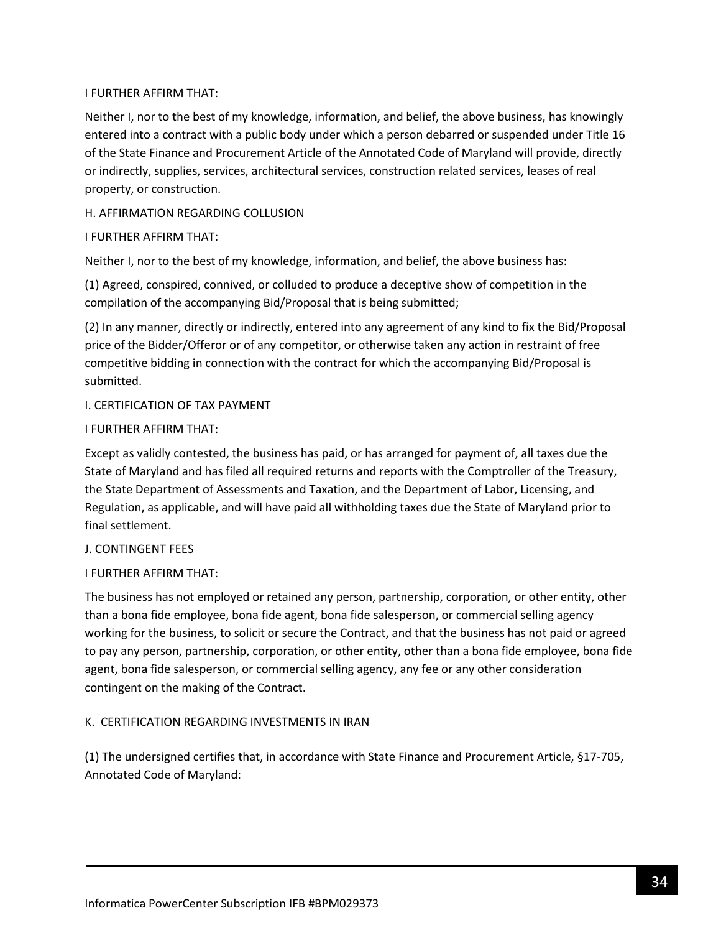### I FURTHER AFFIRM THAT:

Neither I, nor to the best of my knowledge, information, and belief, the above business, has knowingly entered into a contract with a public body under which a person debarred or suspended under Title 16 of the State Finance and Procurement Article of the Annotated Code of Maryland will provide, directly or indirectly, supplies, services, architectural services, construction related services, leases of real property, or construction.

### H. AFFIRMATION REGARDING COLLUSION

### I FURTHER AFFIRM THAT:

Neither I, nor to the best of my knowledge, information, and belief, the above business has:

(1) Agreed, conspired, connived, or colluded to produce a deceptive show of competition in the compilation of the accompanying Bid/Proposal that is being submitted;

(2) In any manner, directly or indirectly, entered into any agreement of any kind to fix the Bid/Proposal price of the Bidder/Offeror or of any competitor, or otherwise taken any action in restraint of free competitive bidding in connection with the contract for which the accompanying Bid/Proposal is submitted.

### I. CERTIFICATION OF TAX PAYMENT

### I FURTHER AFFIRM THAT:

Except as validly contested, the business has paid, or has arranged for payment of, all taxes due the State of Maryland and has filed all required returns and reports with the Comptroller of the Treasury, the State Department of Assessments and Taxation, and the Department of Labor, Licensing, and Regulation, as applicable, and will have paid all withholding taxes due the State of Maryland prior to final settlement.

### J. CONTINGENT FEES

## I FURTHER AFFIRM THAT:

The business has not employed or retained any person, partnership, corporation, or other entity, other than a bona fide employee, bona fide agent, bona fide salesperson, or commercial selling agency working for the business, to solicit or secure the Contract, and that the business has not paid or agreed to pay any person, partnership, corporation, or other entity, other than a bona fide employee, bona fide agent, bona fide salesperson, or commercial selling agency, any fee or any other consideration contingent on the making of the Contract.

## K. CERTIFICATION REGARDING INVESTMENTS IN IRAN

(1) The undersigned certifies that, in accordance with State Finance and Procurement Article, §17-705, Annotated Code of Maryland: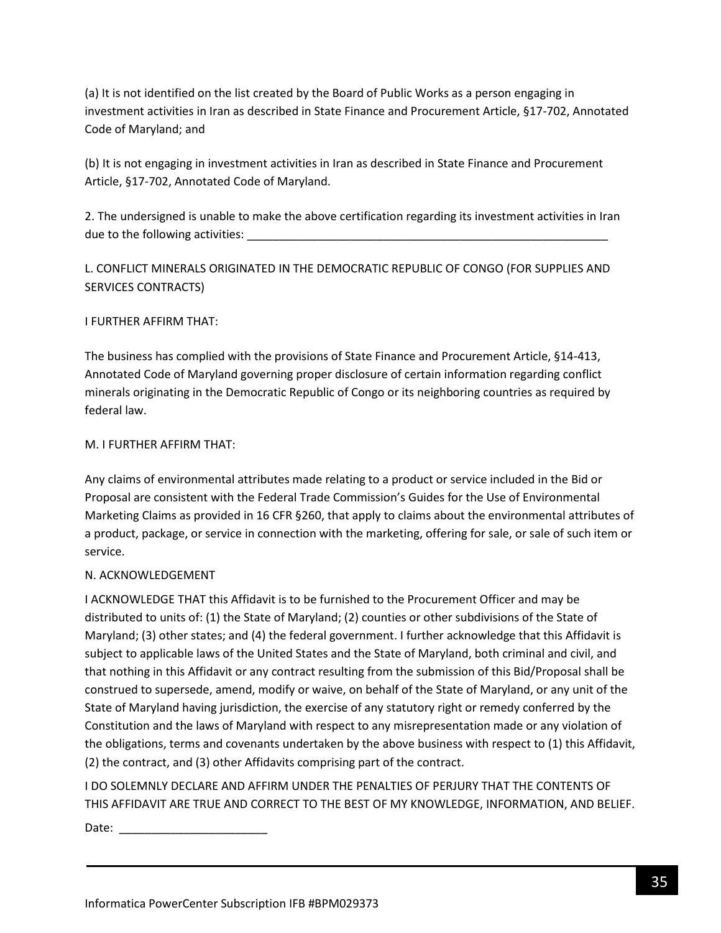(a) It is not identified on the list created by the Board of Public Works as a person engaging in investment activities in Iran as described in State Finance and Procurement Article, §17-702, Annotated Code of Maryland; and

(b) It is not engaging in investment activities in Iran as described in State Finance and Procurement Article, §17-702, Annotated Code of Maryland.

2. The undersigned is unable to make the above certification regarding its investment activities in Iran due to the following activities:

L. CONFLICT MINERALS ORIGINATED IN THE DEMOCRATIC REPUBLIC OF CONGO (FOR SUPPLIES AND SERVICES CONTRACTS)

## I FURTHER AFFIRM THAT:

The business has complied with the provisions of State Finance and Procurement Article, §14-413, Annotated Code of Maryland governing proper disclosure of certain information regarding conflict minerals originating in the Democratic Republic of Congo or its neighboring countries as required by federal law.

### M. I FURTHER AFFIRM THAT:

Any claims of environmental attributes made relating to a product or service included in the Bid or Proposal are consistent with the Federal Trade Commission's Guides for the Use of Environmental Marketing Claims as provided in 16 CFR §260, that apply to claims about the environmental attributes of a product, package, or service in connection with the marketing, offering for sale, or sale of such item or service.

## N. ACKNOWLEDGEMENT

I ACKNOWLEDGE THAT this Affidavit is to be furnished to the Procurement Officer and may be distributed to units of: (1) the State of Maryland; (2) counties or other subdivisions of the State of Maryland; (3) other states; and (4) the federal government. I further acknowledge that this Affidavit is subject to applicable laws of the United States and the State of Maryland, both criminal and civil, and that nothing in this Affidavit or any contract resulting from the submission of this Bid/Proposal shall be construed to supersede, amend, modify or waive, on behalf of the State of Maryland, or any unit of the State of Maryland having jurisdiction, the exercise of any statutory right or remedy conferred by the Constitution and the laws of Maryland with respect to any misrepresentation made or any violation of the obligations, terms and covenants undertaken by the above business with respect to (1) this Affidavit, (2) the contract, and (3) other Affidavits comprising part of the contract.

I DO SOLEMNLY DECLARE AND AFFIRM UNDER THE PENALTIES OF PERJURY THAT THE CONTENTS OF THIS AFFIDAVIT ARE TRUE AND CORRECT TO THE BEST OF MY KNOWLEDGE, INFORMATION, AND BELIEF.

Date:  $\_\_$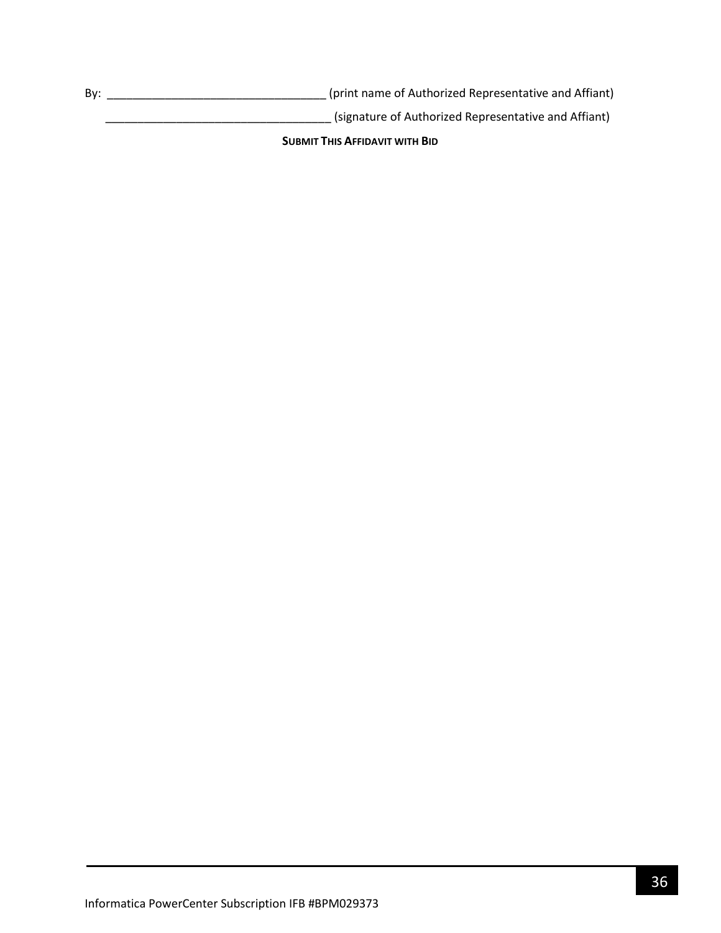By: \_\_\_\_\_\_\_\_\_\_\_\_\_\_\_\_\_\_\_\_\_\_\_\_\_\_\_\_\_\_\_\_\_\_ (print name of Authorized Representative and Affiant)

\_\_\_\_\_\_\_\_\_\_\_\_\_\_\_\_\_\_\_\_\_\_\_\_\_\_\_\_\_\_\_\_\_\_\_ (signature of Authorized Representative and Affiant)

**SUBMIT THIS AFFIDAVIT WITH BID**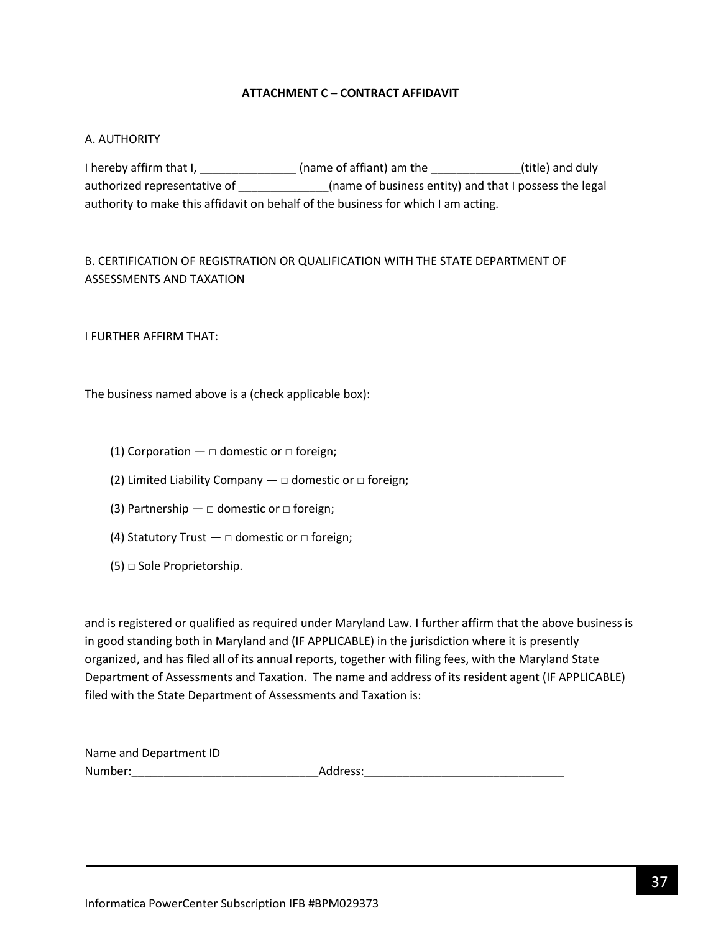### **ATTACHMENT C – CONTRACT AFFIDAVIT**

### <span id="page-36-0"></span>A. AUTHORITY

I hereby affirm that I, \_\_\_\_\_\_\_\_\_\_\_\_\_\_\_\_\_(name of affiant) am the \_\_\_\_\_\_\_\_\_\_\_\_\_\_(title) and duly authorized representative of \_\_\_\_\_\_\_\_\_\_\_\_\_\_\_\_(name of business entity) and that I possess the legal authority to make this affidavit on behalf of the business for which I am acting.

# B. CERTIFICATION OF REGISTRATION OR QUALIFICATION WITH THE STATE DEPARTMENT OF ASSESSMENTS AND TAXATION

I FURTHER AFFIRM THAT:

The business named above is a (check applicable box):

- (1) Corporation  $\Box$  domestic or  $\Box$  foreign;
- (2) Limited Liability Company  $-\Box$  domestic or  $\Box$  foreign;
- (3) Partnership  $\Box$  domestic or  $\Box$  foreign;
- (4) Statutory Trust  $\Box$  domestic or  $\Box$  foreign;
- $(5)$   $\Box$  Sole Proprietorship.

and is registered or qualified as required under Maryland Law. I further affirm that the above business is in good standing both in Maryland and (IF APPLICABLE) in the jurisdiction where it is presently organized, and has filed all of its annual reports, together with filing fees, with the Maryland State Department of Assessments and Taxation. The name and address of its resident agent (IF APPLICABLE) filed with the State Department of Assessments and Taxation is:

| Name and Department ID |          |
|------------------------|----------|
| Number:                | Address: |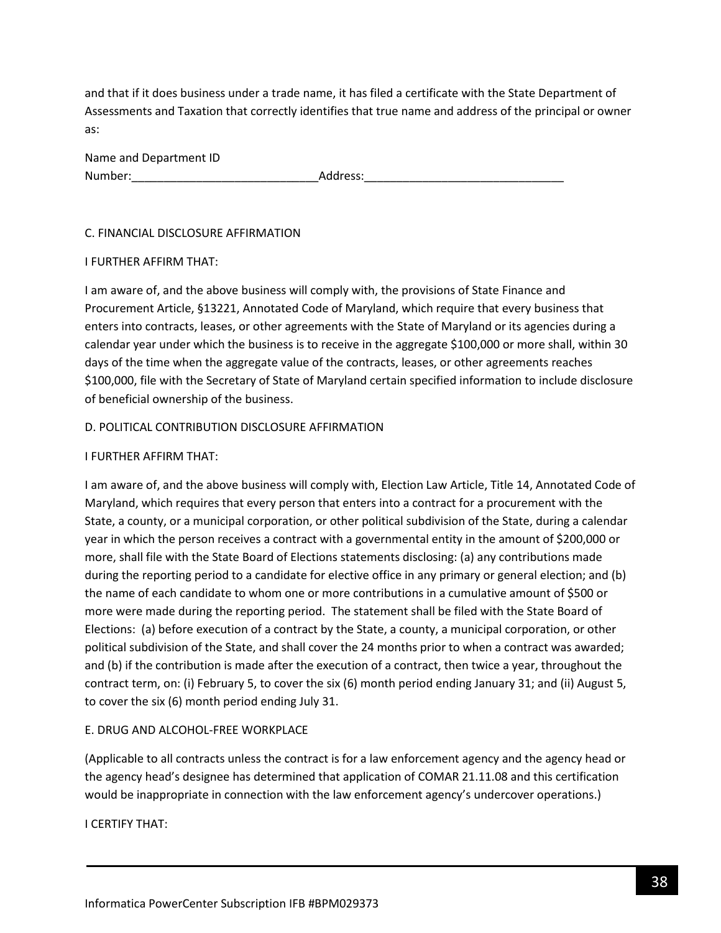and that if it does business under a trade name, it has filed a certificate with the State Department of Assessments and Taxation that correctly identifies that true name and address of the principal or owner as:

| Name and Department ID |          |
|------------------------|----------|
| Number:                | Address: |

### C. FINANCIAL DISCLOSURE AFFIRMATION

### I FURTHER AFFIRM THAT:

I am aware of, and the above business will comply with, the provisions of State Finance and Procurement Article, §13221, Annotated Code of Maryland, which require that every business that enters into contracts, leases, or other agreements with the State of Maryland or its agencies during a calendar year under which the business is to receive in the aggregate \$100,000 or more shall, within 30 days of the time when the aggregate value of the contracts, leases, or other agreements reaches \$100,000, file with the Secretary of State of Maryland certain specified information to include disclosure of beneficial ownership of the business.

### D. POLITICAL CONTRIBUTION DISCLOSURE AFFIRMATION

### I FURTHER AFFIRM THAT:

I am aware of, and the above business will comply with, Election Law Article, Title 14, Annotated Code of Maryland, which requires that every person that enters into a contract for a procurement with the State, a county, or a municipal corporation, or other political subdivision of the State, during a calendar year in which the person receives a contract with a governmental entity in the amount of \$200,000 or more, shall file with the State Board of Elections statements disclosing: (a) any contributions made during the reporting period to a candidate for elective office in any primary or general election; and (b) the name of each candidate to whom one or more contributions in a cumulative amount of \$500 or more were made during the reporting period. The statement shall be filed with the State Board of Elections: (a) before execution of a contract by the State, a county, a municipal corporation, or other political subdivision of the State, and shall cover the 24 months prior to when a contract was awarded; and (b) if the contribution is made after the execution of a contract, then twice a year, throughout the contract term, on: (i) February 5, to cover the six (6) month period ending January 31; and (ii) August 5, to cover the six (6) month period ending July 31.

## E. DRUG AND ALCOHOL-FREE WORKPLACE

(Applicable to all contracts unless the contract is for a law enforcement agency and the agency head or the agency head's designee has determined that application of COMAR 21.11.08 and this certification would be inappropriate in connection with the law enforcement agency's undercover operations.)

I CERTIFY THAT: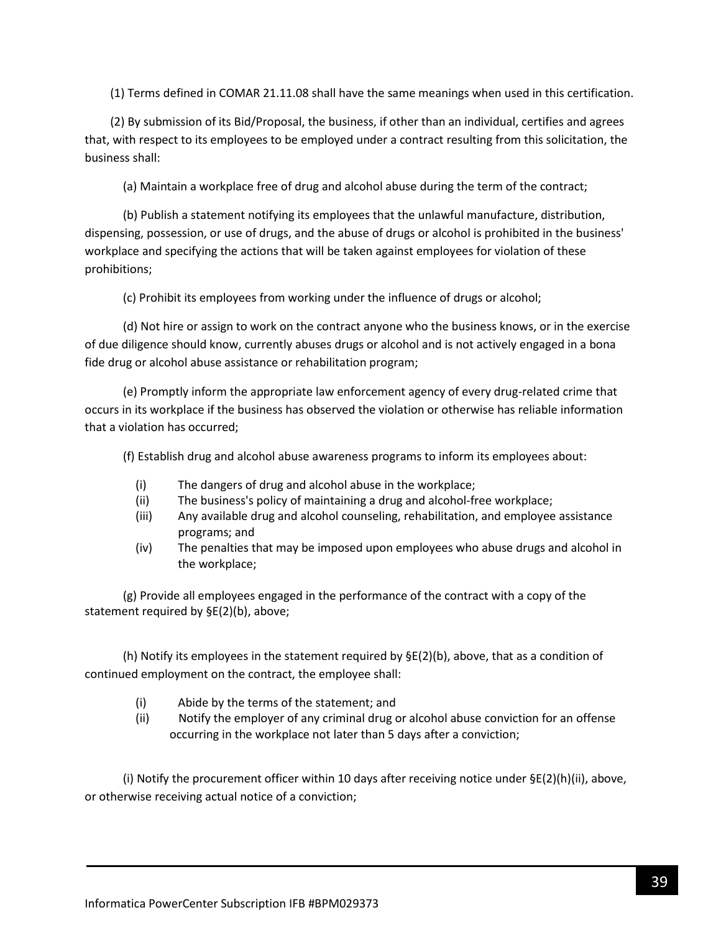(1) Terms defined in COMAR 21.11.08 shall have the same meanings when used in this certification.

(2) By submission of its Bid/Proposal, the business, if other than an individual, certifies and agrees that, with respect to its employees to be employed under a contract resulting from this solicitation, the business shall:

(a) Maintain a workplace free of drug and alcohol abuse during the term of the contract;

(b) Publish a statement notifying its employees that the unlawful manufacture, distribution, dispensing, possession, or use of drugs, and the abuse of drugs or alcohol is prohibited in the business' workplace and specifying the actions that will be taken against employees for violation of these prohibitions;

(c) Prohibit its employees from working under the influence of drugs or alcohol;

(d) Not hire or assign to work on the contract anyone who the business knows, or in the exercise of due diligence should know, currently abuses drugs or alcohol and is not actively engaged in a bona fide drug or alcohol abuse assistance or rehabilitation program;

(e) Promptly inform the appropriate law enforcement agency of every drug-related crime that occurs in its workplace if the business has observed the violation or otherwise has reliable information that a violation has occurred;

(f) Establish drug and alcohol abuse awareness programs to inform its employees about:

- (i) The dangers of drug and alcohol abuse in the workplace;
- (ii) The business's policy of maintaining a drug and alcohol-free workplace;
- (iii) Any available drug and alcohol counseling, rehabilitation, and employee assistance programs; and
- (iv) The penalties that may be imposed upon employees who abuse drugs and alcohol in the workplace;

(g) Provide all employees engaged in the performance of the contract with a copy of the statement required by §E(2)(b), above;

(h) Notify its employees in the statement required by  $\Sigma(2)(b)$ , above, that as a condition of continued employment on the contract, the employee shall:

- (i) Abide by the terms of the statement; and
- (ii) Notify the employer of any criminal drug or alcohol abuse conviction for an offense occurring in the workplace not later than 5 days after a conviction;

(i) Notify the procurement officer within 10 days after receiving notice under  $\Sigma(2)(h)(ii)$ , above, or otherwise receiving actual notice of a conviction;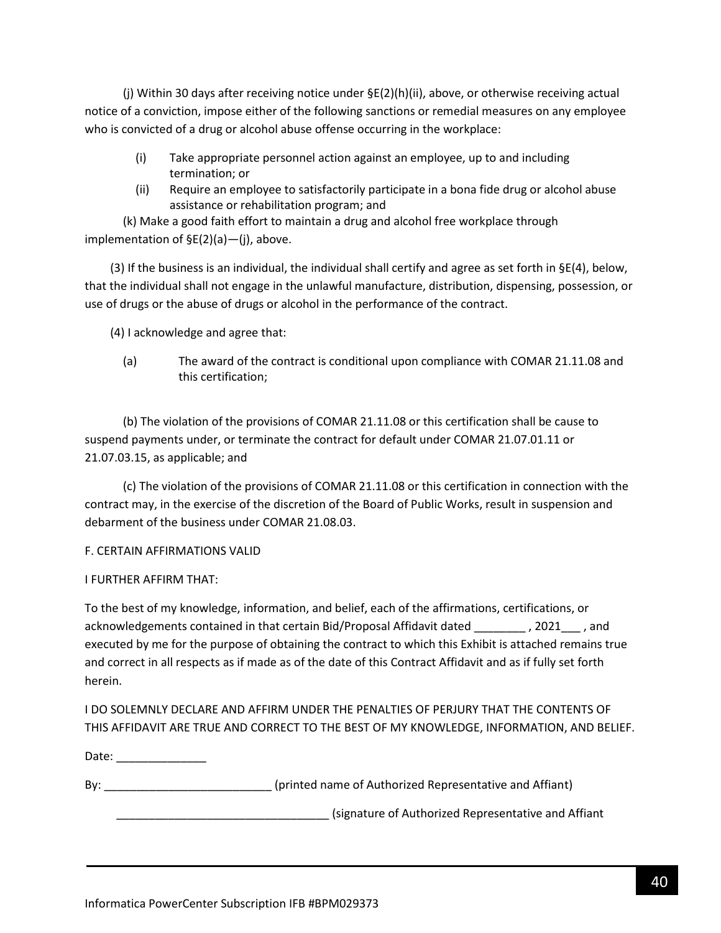(j) Within 30 days after receiving notice under §E(2)(h)(ii), above, or otherwise receiving actual notice of a conviction, impose either of the following sanctions or remedial measures on any employee who is convicted of a drug or alcohol abuse offense occurring in the workplace:

- (i) Take appropriate personnel action against an employee, up to and including termination; or
- (ii) Require an employee to satisfactorily participate in a bona fide drug or alcohol abuse assistance or rehabilitation program; and

(k) Make a good faith effort to maintain a drug and alcohol free workplace through implementation of §E(2)(a)—(j), above.

(3) If the business is an individual, the individual shall certify and agree as set forth in  $\S E(4)$ , below, that the individual shall not engage in the unlawful manufacture, distribution, dispensing, possession, or use of drugs or the abuse of drugs or alcohol in the performance of the contract.

(4) I acknowledge and agree that:

(a) The award of the contract is conditional upon compliance with COMAR 21.11.08 and this certification;

(b) The violation of the provisions of COMAR 21.11.08 or this certification shall be cause to suspend payments under, or terminate the contract for default under COMAR 21.07.01.11 or 21.07.03.15, as applicable; and

(c) The violation of the provisions of COMAR 21.11.08 or this certification in connection with the contract may, in the exercise of the discretion of the Board of Public Works, result in suspension and debarment of the business under COMAR 21.08.03.

## F. CERTAIN AFFIRMATIONS VALID

### I FURTHER AFFIRM THAT:

To the best of my knowledge, information, and belief, each of the affirmations, certifications, or acknowledgements contained in that certain Bid/Proposal Affidavit dated \_\_\_\_\_\_\_\_ , 2021\_\_\_ , and executed by me for the purpose of obtaining the contract to which this Exhibit is attached remains true and correct in all respects as if made as of the date of this Contract Affidavit and as if fully set forth herein.

I DO SOLEMNLY DECLARE AND AFFIRM UNDER THE PENALTIES OF PERJURY THAT THE CONTENTS OF THIS AFFIDAVIT ARE TRUE AND CORRECT TO THE BEST OF MY KNOWLEDGE, INFORMATION, AND BELIEF.

Date: \_\_\_\_\_\_\_\_\_\_\_\_\_\_\_

By: example and the state of authorized Representative and Affiant)

\_\_\_\_\_\_\_\_\_\_\_\_\_\_\_\_\_\_\_\_\_\_\_\_\_\_\_\_\_\_\_\_\_ (signature of Authorized Representative and Affiant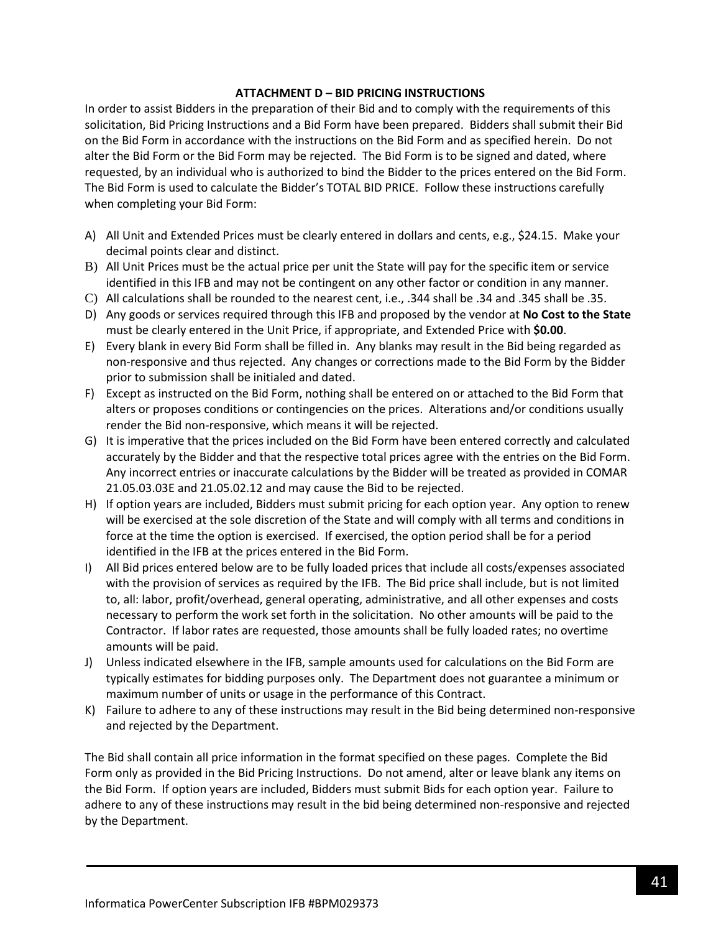### **ATTACHMENT D – BID PRICING INSTRUCTIONS**

In order to assist Bidders in the preparation of their Bid and to comply with the requirements of this solicitation, Bid Pricing Instructions and a Bid Form have been prepared. Bidders shall submit their Bid on the Bid Form in accordance with the instructions on the Bid Form and as specified herein. Do not alter the Bid Form or the Bid Form may be rejected. The Bid Form is to be signed and dated, where requested, by an individual who is authorized to bind the Bidder to the prices entered on the Bid Form. The Bid Form is used to calculate the Bidder's TOTAL BID PRICE. Follow these instructions carefully when completing your Bid Form:

- A) All Unit and Extended Prices must be clearly entered in dollars and cents, e.g., \$24.15. Make your decimal points clear and distinct.
- B) All Unit Prices must be the actual price per unit the State will pay for the specific item or service identified in this IFB and may not be contingent on any other factor or condition in any manner.
- C) All calculations shall be rounded to the nearest cent, i.e., .344 shall be .34 and .345 shall be .35.
- D) Any goods or services required through this IFB and proposed by the vendor at **No Cost to the State** must be clearly entered in the Unit Price, if appropriate, and Extended Price with **\$0.00**.
- E) Every blank in every Bid Form shall be filled in. Any blanks may result in the Bid being regarded as non-responsive and thus rejected. Any changes or corrections made to the Bid Form by the Bidder prior to submission shall be initialed and dated.
- F) Except as instructed on the Bid Form, nothing shall be entered on or attached to the Bid Form that alters or proposes conditions or contingencies on the prices. Alterations and/or conditions usually render the Bid non-responsive, which means it will be rejected.
- G) It is imperative that the prices included on the Bid Form have been entered correctly and calculated accurately by the Bidder and that the respective total prices agree with the entries on the Bid Form. Any incorrect entries or inaccurate calculations by the Bidder will be treated as provided in COMAR 21.05.03.03E and 21.05.02.12 and may cause the Bid to be rejected.
- H) If option years are included, Bidders must submit pricing for each option year. Any option to renew will be exercised at the sole discretion of the State and will comply with all terms and conditions in force at the time the option is exercised. If exercised, the option period shall be for a period identified in the IFB at the prices entered in the Bid Form.
- I) All Bid prices entered below are to be fully loaded prices that include all costs/expenses associated with the provision of services as required by the IFB. The Bid price shall include, but is not limited to, all: labor, profit/overhead, general operating, administrative, and all other expenses and costs necessary to perform the work set forth in the solicitation. No other amounts will be paid to the Contractor. If labor rates are requested, those amounts shall be fully loaded rates; no overtime amounts will be paid.
- J) Unless indicated elsewhere in the IFB, sample amounts used for calculations on the Bid Form are typically estimates for bidding purposes only. The Department does not guarantee a minimum or maximum number of units or usage in the performance of this Contract.
- K) Failure to adhere to any of these instructions may result in the Bid being determined non-responsive and rejected by the Department.

The Bid shall contain all price information in the format specified on these pages. Complete the Bid Form only as provided in the Bid Pricing Instructions. Do not amend, alter or leave blank any items on the Bid Form. If option years are included, Bidders must submit Bids for each option year. Failure to adhere to any of these instructions may result in the bid being determined non-responsive and rejected by the Department.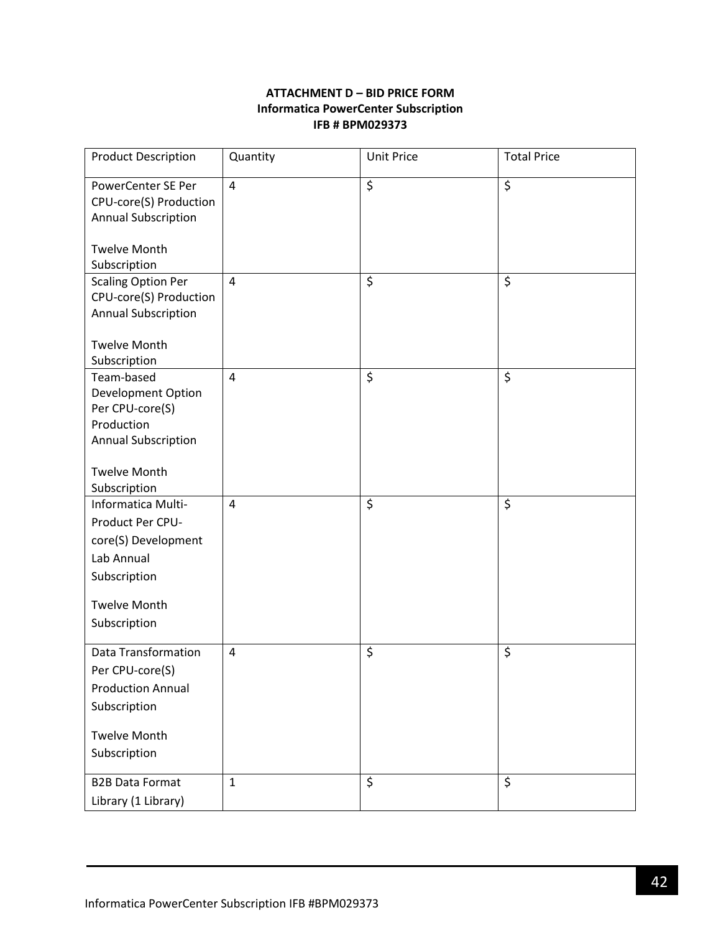## **ATTACHMENT D – BID PRICE FORM Informatica PowerCenter Subscription IFB # BPM029373**

<span id="page-41-0"></span>

| <b>Product Description</b>                                                 | Quantity       | <b>Unit Price</b>  | <b>Total Price</b> |
|----------------------------------------------------------------------------|----------------|--------------------|--------------------|
| PowerCenter SE Per<br>CPU-core(S) Production<br><b>Annual Subscription</b> | $\overline{4}$ | \$                 | \$                 |
| <b>Twelve Month</b><br>Subscription                                        |                |                    |                    |
| <b>Scaling Option Per</b>                                                  | $\overline{4}$ | $\zeta$            | \$                 |
| CPU-core(S) Production                                                     |                |                    |                    |
| <b>Annual Subscription</b>                                                 |                |                    |                    |
| <b>Twelve Month</b><br>Subscription                                        |                |                    |                    |
| Team-based                                                                 | 4              | $\zeta$            | \$                 |
| Development Option<br>Per CPU-core(S)                                      |                |                    |                    |
| Production                                                                 |                |                    |                    |
| <b>Annual Subscription</b>                                                 |                |                    |                    |
| <b>Twelve Month</b>                                                        |                |                    |                    |
| Subscription                                                               |                |                    |                    |
| Informatica Multi-                                                         | 4              | $\zeta$            | \$                 |
| Product Per CPU-                                                           |                |                    |                    |
| core(S) Development                                                        |                |                    |                    |
| Lab Annual                                                                 |                |                    |                    |
| Subscription                                                               |                |                    |                    |
| <b>Twelve Month</b>                                                        |                |                    |                    |
| Subscription                                                               |                |                    |                    |
|                                                                            |                |                    |                    |
| Data Transformation<br>Per CPU-core(S)                                     | 4              | $\ddot{\varsigma}$ | \$                 |
| <b>Production Annual</b>                                                   |                |                    |                    |
| Subscription                                                               |                |                    |                    |
|                                                                            |                |                    |                    |
| <b>Twelve Month</b>                                                        |                |                    |                    |
| Subscription                                                               |                |                    |                    |
| <b>B2B Data Format</b>                                                     | $\mathbf{1}$   | $\zeta$            | \$                 |
| Library (1 Library)                                                        |                |                    |                    |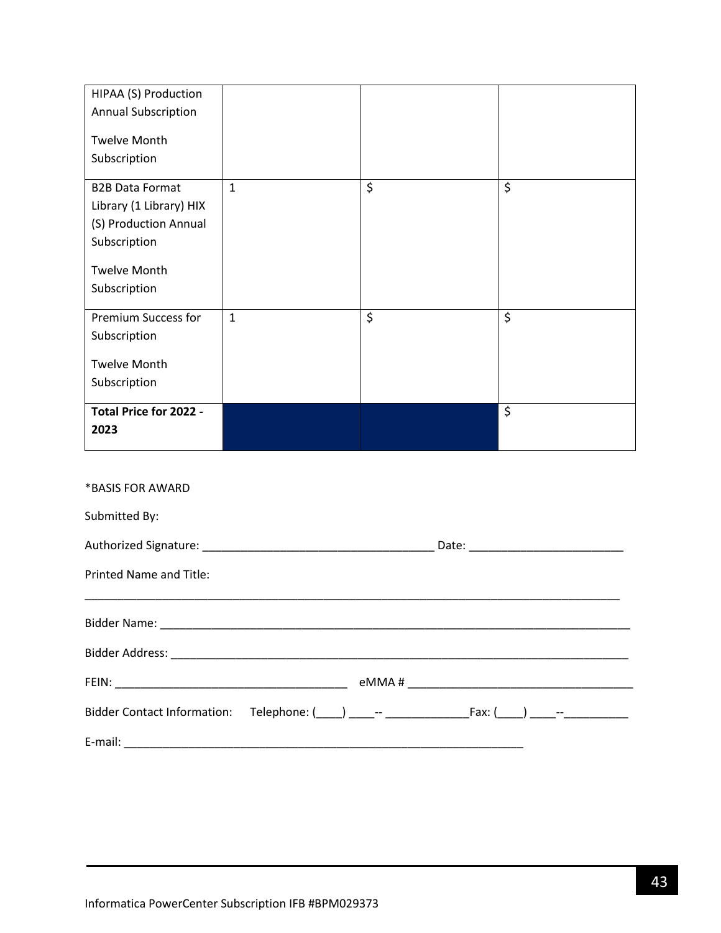| HIPAA (S) Production                                                                                                                                                                                                           |              |         |    |
|--------------------------------------------------------------------------------------------------------------------------------------------------------------------------------------------------------------------------------|--------------|---------|----|
| <b>Annual Subscription</b>                                                                                                                                                                                                     |              |         |    |
| <b>Twelve Month</b>                                                                                                                                                                                                            |              |         |    |
| Subscription                                                                                                                                                                                                                   |              |         |    |
| <b>B2B Data Format</b>                                                                                                                                                                                                         | $\mathbf{1}$ | $\zeta$ | \$ |
| Library (1 Library) HIX                                                                                                                                                                                                        |              |         |    |
| (S) Production Annual                                                                                                                                                                                                          |              |         |    |
| Subscription                                                                                                                                                                                                                   |              |         |    |
| <b>Twelve Month</b>                                                                                                                                                                                                            |              |         |    |
| Subscription                                                                                                                                                                                                                   |              |         |    |
| <b>Premium Success for</b>                                                                                                                                                                                                     | $\mathbf{1}$ | $\zeta$ | \$ |
| Subscription                                                                                                                                                                                                                   |              |         |    |
| <b>Twelve Month</b>                                                                                                                                                                                                            |              |         |    |
| Subscription                                                                                                                                                                                                                   |              |         |    |
| Total Price for 2022 -                                                                                                                                                                                                         |              |         | \$ |
| 2023                                                                                                                                                                                                                           |              |         |    |
|                                                                                                                                                                                                                                |              |         |    |
| *BASIS FOR AWARD                                                                                                                                                                                                               |              |         |    |
|                                                                                                                                                                                                                                |              |         |    |
| Submitted By:                                                                                                                                                                                                                  |              |         |    |
| Date: the contract of the contract of the contract of the contract of the contract of the contract of the contract of the contract of the contract of the contract of the contract of the contract of the contract of the cont |              |         |    |
| <b>Printed Name and Title:</b>                                                                                                                                                                                                 |              |         |    |
|                                                                                                                                                                                                                                |              |         |    |
|                                                                                                                                                                                                                                |              |         |    |
|                                                                                                                                                                                                                                |              |         |    |
|                                                                                                                                                                                                                                |              |         |    |
|                                                                                                                                                                                                                                |              |         |    |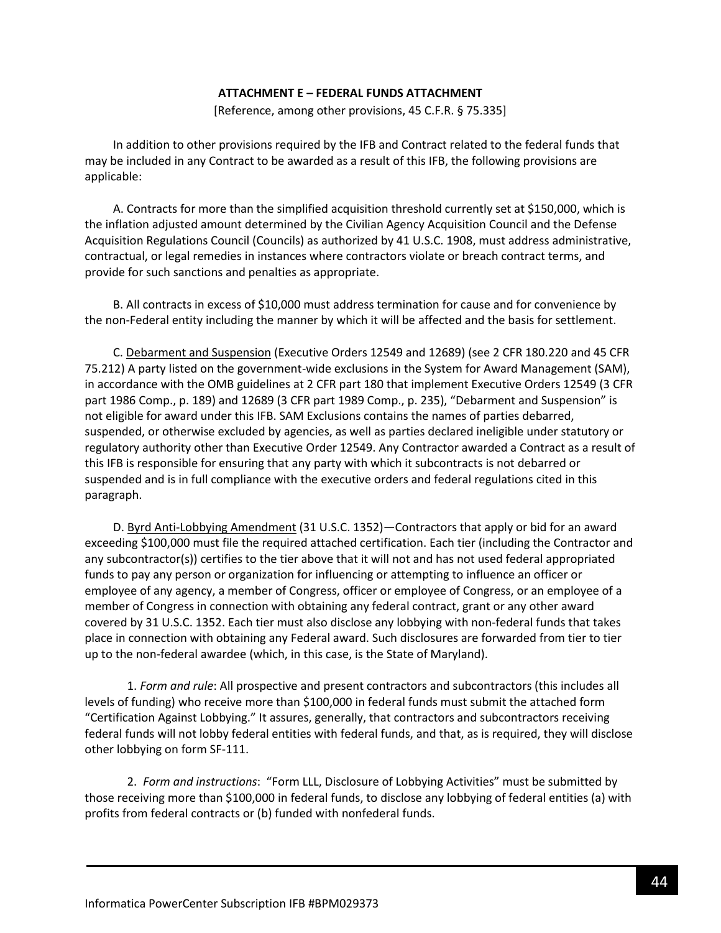#### **ATTACHMENT E – FEDERAL FUNDS ATTACHMENT**

[Reference, among other provisions, 45 C.F.R. § 75.335]

<span id="page-43-0"></span>In addition to other provisions required by the IFB and Contract related to the federal funds that may be included in any Contract to be awarded as a result of this IFB, the following provisions are applicable:

A. Contracts for more than the simplified acquisition threshold currently set at \$150,000, which is the inflation adjusted amount determined by the Civilian Agency Acquisition Council and the Defense Acquisition Regulations Council (Councils) as authorized by 41 U.S.C. 1908, must address administrative, contractual, or legal remedies in instances where contractors violate or breach contract terms, and provide for such sanctions and penalties as appropriate.

B. All contracts in excess of \$10,000 must address termination for cause and for convenience by the non-Federal entity including the manner by which it will be affected and the basis for settlement.

C. Debarment and Suspension (Executive Orders 12549 and 12689) (see 2 CFR 180.220 and 45 CFR 75.212) A party listed on the government-wide exclusions in the System for Award Management (SAM), in accordance with the OMB guidelines at 2 CFR part 180 that implement Executive Orders 12549 (3 CFR part 1986 Comp., p. 189) and 12689 (3 CFR part 1989 Comp., p. 235), "Debarment and Suspension" is not eligible for award under this IFB. SAM Exclusions contains the names of parties debarred, suspended, or otherwise excluded by agencies, as well as parties declared ineligible under statutory or regulatory authority other than Executive Order 12549. Any Contractor awarded a Contract as a result of this IFB is responsible for ensuring that any party with which it subcontracts is not debarred or suspended and is in full compliance with the executive orders and federal regulations cited in this paragraph.

D. Byrd Anti-Lobbying Amendment (31 U.S.C. 1352)—Contractors that apply or bid for an award exceeding \$100,000 must file the required attached certification. Each tier (including the Contractor and any subcontractor(s)) certifies to the tier above that it will not and has not used federal appropriated funds to pay any person or organization for influencing or attempting to influence an officer or employee of any agency, a member of Congress, officer or employee of Congress, or an employee of a member of Congress in connection with obtaining any federal contract, grant or any other award covered by 31 U.S.C. 1352. Each tier must also disclose any lobbying with non-federal funds that takes place in connection with obtaining any Federal award. Such disclosures are forwarded from tier to tier up to the non-federal awardee (which, in this case, is the State of Maryland).

1. *Form and rule*: All prospective and present contractors and subcontractors (this includes all levels of funding) who receive more than \$100,000 in federal funds must submit the attached form "Certification Against Lobbying." It assures, generally, that contractors and subcontractors receiving federal funds will not lobby federal entities with federal funds, and that, as is required, they will disclose other lobbying on form SF-111.

2. *Form and instructions*: "Form LLL, Disclosure of Lobbying Activities" must be submitted by those receiving more than \$100,000 in federal funds, to disclose any lobbying of federal entities (a) with profits from federal contracts or (b) funded with nonfederal funds.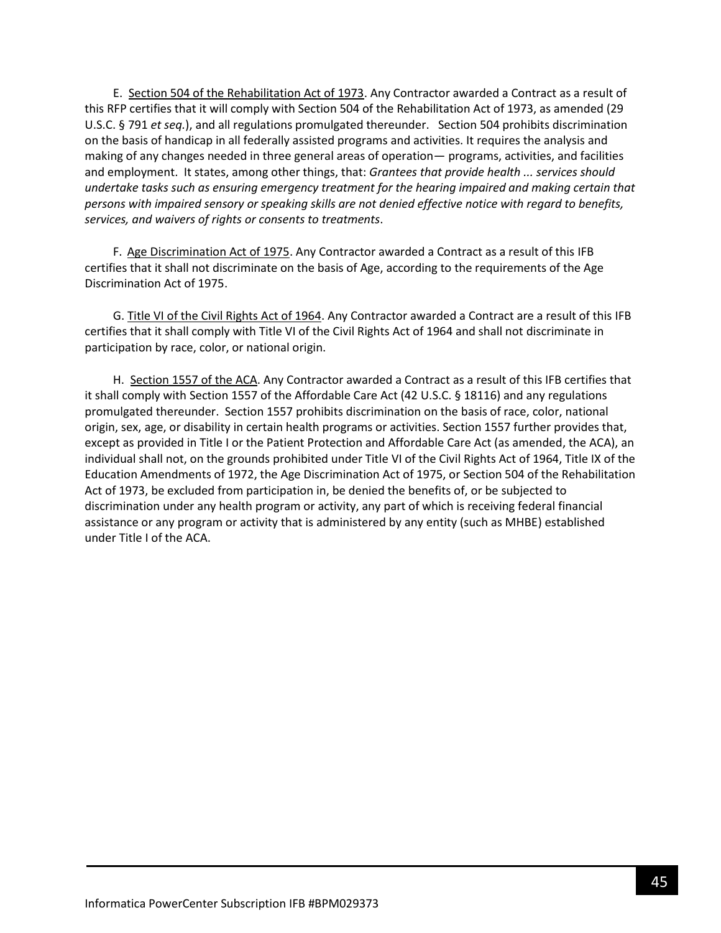E. Section 504 of the Rehabilitation Act of 1973. Any Contractor awarded a Contract as a result of this RFP certifies that it will comply with Section 504 of the Rehabilitation Act of 1973, as amended (29 U.S.C. § 791 *et seq.*), and all regulations promulgated thereunder. Section 504 prohibits discrimination on the basis of handicap in all federally assisted programs and activities. It requires the analysis and making of any changes needed in three general areas of operation— programs, activities, and facilities and employment. It states, among other things, that: *Grantees that provide health ... services should undertake tasks such as ensuring emergency treatment for the hearing impaired and making certain that persons with impaired sensory or speaking skills are not denied effective notice with regard to benefits, services, and waivers of rights or consents to treatments*.

F. Age Discrimination Act of 1975. Any Contractor awarded a Contract as a result of this IFB certifies that it shall not discriminate on the basis of Age, according to the requirements of the Age Discrimination Act of 1975.

G. Title VI of the Civil Rights Act of 1964. Any Contractor awarded a Contract are a result of this IFB certifies that it shall comply with Title VI of the Civil Rights Act of 1964 and shall not discriminate in participation by race, color, or national origin.

H. Section 1557 of the ACA. Any Contractor awarded a Contract as a result of this IFB certifies that it shall comply with Section 1557 of the Affordable Care Act (42 U.S.C. § 18116) and any regulations promulgated thereunder. Section 1557 prohibits discrimination on the basis of race, color, national origin, sex, age, or disability in certain health programs or activities. Section 1557 further provides that, except as provided in Title I or the Patient Protection and Affordable Care Act (as amended, the ACA), an individual shall not, on the grounds prohibited under Title VI of the Civil Rights Act of 1964, Title IX of the Education Amendments of 1972, the Age Discrimination Act of 1975, or Section 504 of the Rehabilitation Act of 1973, be excluded from participation in, be denied the benefits of, or be subjected to discrimination under any health program or activity, any part of which is receiving federal financial assistance or any program or activity that is administered by any entity (such as MHBE) established under Title I of the ACA.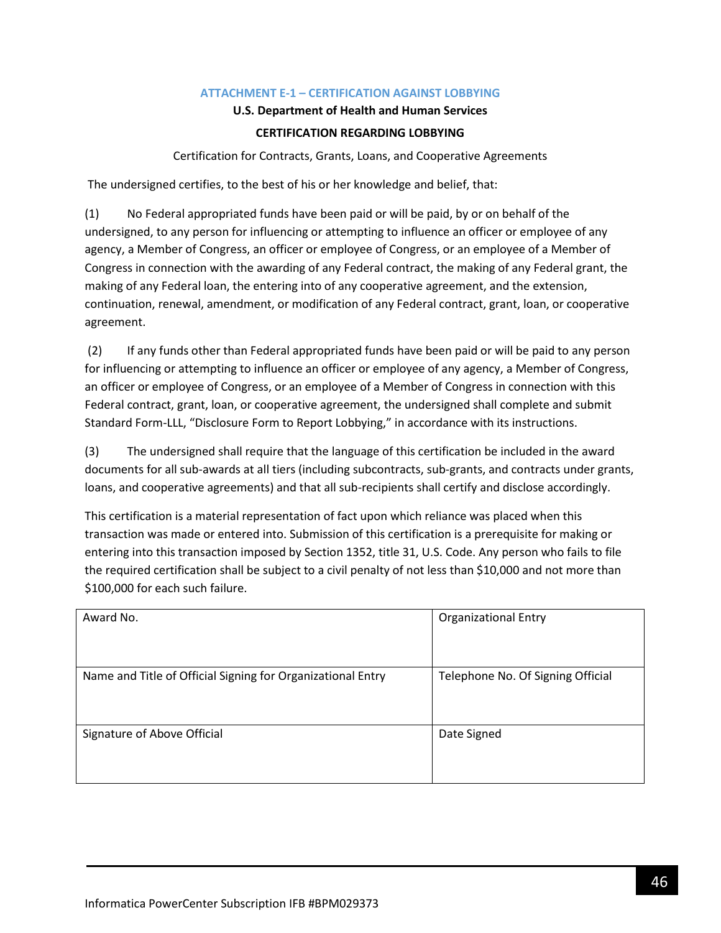### **ATTACHMENT E-1 – CERTIFICATION AGAINST LOBBYING**

### **U.S. Department of Health and Human Services**

### **CERTIFICATION REGARDING LOBBYING**

Certification for Contracts, Grants, Loans, and Cooperative Agreements

<span id="page-45-0"></span>The undersigned certifies, to the best of his or her knowledge and belief, that:

(1) No Federal appropriated funds have been paid or will be paid, by or on behalf of the undersigned, to any person for influencing or attempting to influence an officer or employee of any agency, a Member of Congress, an officer or employee of Congress, or an employee of a Member of Congress in connection with the awarding of any Federal contract, the making of any Federal grant, the making of any Federal loan, the entering into of any cooperative agreement, and the extension, continuation, renewal, amendment, or modification of any Federal contract, grant, loan, or cooperative agreement.

(2) If any funds other than Federal appropriated funds have been paid or will be paid to any person for influencing or attempting to influence an officer or employee of any agency, a Member of Congress, an officer or employee of Congress, or an employee of a Member of Congress in connection with this Federal contract, grant, loan, or cooperative agreement, the undersigned shall complete and submit Standard Form-LLL, "Disclosure Form to Report Lobbying," in accordance with its instructions.

(3) The undersigned shall require that the language of this certification be included in the award documents for all sub-awards at all tiers (including subcontracts, sub-grants, and contracts under grants, loans, and cooperative agreements) and that all sub-recipients shall certify and disclose accordingly.

This certification is a material representation of fact upon which reliance was placed when this transaction was made or entered into. Submission of this certification is a prerequisite for making or entering into this transaction imposed by Section 1352, title 31, U.S. Code. Any person who fails to file the required certification shall be subject to a civil penalty of not less than \$10,000 and not more than \$100,000 for each such failure.

| Award No.                                                   | <b>Organizational Entry</b>       |
|-------------------------------------------------------------|-----------------------------------|
| Name and Title of Official Signing for Organizational Entry | Telephone No. Of Signing Official |
| Signature of Above Official                                 | Date Signed                       |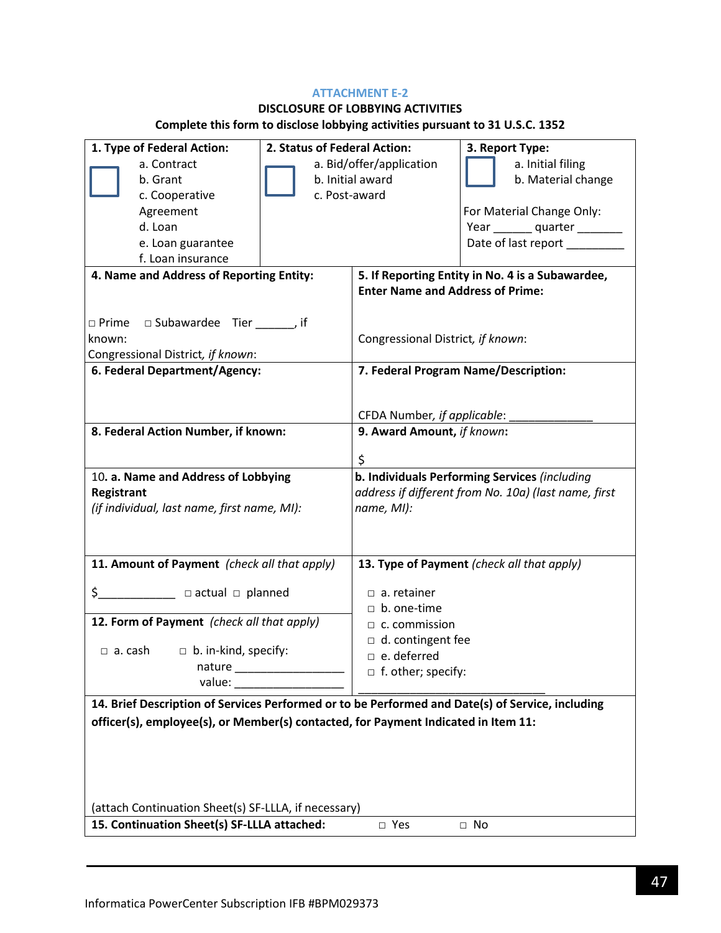### **ATTACHMENT E-2**

# **DISCLOSURE OF LOBBYING ACTIVITIES**

## **Complete this form to disclose lobbying activities pursuant to 31 U.S.C. 1352**

| a. Bid/offer/application<br>a. Initial filing<br>a. Contract<br>b. Initial award<br>b. Material change<br>b. Grant<br>c. Cooperative<br>c. Post-award<br>Agreement<br>For Material Change Only:<br>d. Loan<br>Year ________ quarter ________<br>e. Loan guarantee<br>Date of last report ________<br>f. Loan insurance<br>4. Name and Address of Reporting Entity:<br>5. If Reporting Entity in No. 4 is a Subawardee,<br><b>Enter Name and Address of Prime:</b><br>$\Box$ Prime $\Box$ Subawardee Tier ______, if<br>Congressional District, if known:<br>known:<br>Congressional District, if known:<br>6. Federal Department/Agency:<br>7. Federal Program Name/Description:<br>CFDA Number, if applicable:<br>8. Federal Action Number, if known:<br>9. Award Amount, if known:<br>\$<br>b. Individuals Performing Services (including<br>10. a. Name and Address of Lobbying<br>address if different from No. 10a) (last name, first<br>Registrant<br>(if individual, last name, first name, MI):<br>name, MI):<br>11. Amount of Payment (check all that apply)<br>13. Type of Payment (check all that apply)<br>$\Box$ a. retainer<br>$\Box$ b. one-time<br>12. Form of Payment (check all that apply)<br>$\Box$ c. commission<br>$\Box$ d. contingent fee<br>$\Box$ b. in-kind, specify:<br>$\Box$ a. cash<br>$\Box$ e. deferred<br>nature<br>$\Box$ f. other; specify:<br>14. Brief Description of Services Performed or to be Performed and Date(s) of Service, including<br>officer(s), employee(s), or Member(s) contacted, for Payment Indicated in Item 11: | (attach Continuation Sheet(s) SF-LLLA, if necessary)<br>$\square$ Yes<br>$\Box$ No | 1. Type of Federal Action: | 2. Status of Federal Action: |  | 3. Report Type: |
|---------------------------------------------------------------------------------------------------------------------------------------------------------------------------------------------------------------------------------------------------------------------------------------------------------------------------------------------------------------------------------------------------------------------------------------------------------------------------------------------------------------------------------------------------------------------------------------------------------------------------------------------------------------------------------------------------------------------------------------------------------------------------------------------------------------------------------------------------------------------------------------------------------------------------------------------------------------------------------------------------------------------------------------------------------------------------------------------------------------------------------------------------------------------------------------------------------------------------------------------------------------------------------------------------------------------------------------------------------------------------------------------------------------------------------------------------------------------------------------------------------------------------------------------------------------------------|------------------------------------------------------------------------------------|----------------------------|------------------------------|--|-----------------|
|                                                                                                                                                                                                                                                                                                                                                                                                                                                                                                                                                                                                                                                                                                                                                                                                                                                                                                                                                                                                                                                                                                                                                                                                                                                                                                                                                                                                                                                                                                                                                                           |                                                                                    |                            |                              |  |                 |
|                                                                                                                                                                                                                                                                                                                                                                                                                                                                                                                                                                                                                                                                                                                                                                                                                                                                                                                                                                                                                                                                                                                                                                                                                                                                                                                                                                                                                                                                                                                                                                           |                                                                                    |                            |                              |  |                 |
|                                                                                                                                                                                                                                                                                                                                                                                                                                                                                                                                                                                                                                                                                                                                                                                                                                                                                                                                                                                                                                                                                                                                                                                                                                                                                                                                                                                                                                                                                                                                                                           |                                                                                    |                            |                              |  |                 |
|                                                                                                                                                                                                                                                                                                                                                                                                                                                                                                                                                                                                                                                                                                                                                                                                                                                                                                                                                                                                                                                                                                                                                                                                                                                                                                                                                                                                                                                                                                                                                                           |                                                                                    |                            |                              |  |                 |
|                                                                                                                                                                                                                                                                                                                                                                                                                                                                                                                                                                                                                                                                                                                                                                                                                                                                                                                                                                                                                                                                                                                                                                                                                                                                                                                                                                                                                                                                                                                                                                           |                                                                                    |                            |                              |  |                 |
|                                                                                                                                                                                                                                                                                                                                                                                                                                                                                                                                                                                                                                                                                                                                                                                                                                                                                                                                                                                                                                                                                                                                                                                                                                                                                                                                                                                                                                                                                                                                                                           |                                                                                    |                            |                              |  |                 |
|                                                                                                                                                                                                                                                                                                                                                                                                                                                                                                                                                                                                                                                                                                                                                                                                                                                                                                                                                                                                                                                                                                                                                                                                                                                                                                                                                                                                                                                                                                                                                                           |                                                                                    |                            |                              |  |                 |
|                                                                                                                                                                                                                                                                                                                                                                                                                                                                                                                                                                                                                                                                                                                                                                                                                                                                                                                                                                                                                                                                                                                                                                                                                                                                                                                                                                                                                                                                                                                                                                           |                                                                                    |                            |                              |  |                 |
|                                                                                                                                                                                                                                                                                                                                                                                                                                                                                                                                                                                                                                                                                                                                                                                                                                                                                                                                                                                                                                                                                                                                                                                                                                                                                                                                                                                                                                                                                                                                                                           |                                                                                    |                            |                              |  |                 |
|                                                                                                                                                                                                                                                                                                                                                                                                                                                                                                                                                                                                                                                                                                                                                                                                                                                                                                                                                                                                                                                                                                                                                                                                                                                                                                                                                                                                                                                                                                                                                                           |                                                                                    |                            |                              |  |                 |
|                                                                                                                                                                                                                                                                                                                                                                                                                                                                                                                                                                                                                                                                                                                                                                                                                                                                                                                                                                                                                                                                                                                                                                                                                                                                                                                                                                                                                                                                                                                                                                           |                                                                                    |                            |                              |  |                 |
|                                                                                                                                                                                                                                                                                                                                                                                                                                                                                                                                                                                                                                                                                                                                                                                                                                                                                                                                                                                                                                                                                                                                                                                                                                                                                                                                                                                                                                                                                                                                                                           |                                                                                    |                            |                              |  |                 |
|                                                                                                                                                                                                                                                                                                                                                                                                                                                                                                                                                                                                                                                                                                                                                                                                                                                                                                                                                                                                                                                                                                                                                                                                                                                                                                                                                                                                                                                                                                                                                                           |                                                                                    |                            |                              |  |                 |
|                                                                                                                                                                                                                                                                                                                                                                                                                                                                                                                                                                                                                                                                                                                                                                                                                                                                                                                                                                                                                                                                                                                                                                                                                                                                                                                                                                                                                                                                                                                                                                           |                                                                                    |                            |                              |  |                 |
|                                                                                                                                                                                                                                                                                                                                                                                                                                                                                                                                                                                                                                                                                                                                                                                                                                                                                                                                                                                                                                                                                                                                                                                                                                                                                                                                                                                                                                                                                                                                                                           |                                                                                    |                            |                              |  |                 |
|                                                                                                                                                                                                                                                                                                                                                                                                                                                                                                                                                                                                                                                                                                                                                                                                                                                                                                                                                                                                                                                                                                                                                                                                                                                                                                                                                                                                                                                                                                                                                                           |                                                                                    |                            |                              |  |                 |
|                                                                                                                                                                                                                                                                                                                                                                                                                                                                                                                                                                                                                                                                                                                                                                                                                                                                                                                                                                                                                                                                                                                                                                                                                                                                                                                                                                                                                                                                                                                                                                           |                                                                                    |                            |                              |  |                 |
|                                                                                                                                                                                                                                                                                                                                                                                                                                                                                                                                                                                                                                                                                                                                                                                                                                                                                                                                                                                                                                                                                                                                                                                                                                                                                                                                                                                                                                                                                                                                                                           |                                                                                    |                            |                              |  |                 |
|                                                                                                                                                                                                                                                                                                                                                                                                                                                                                                                                                                                                                                                                                                                                                                                                                                                                                                                                                                                                                                                                                                                                                                                                                                                                                                                                                                                                                                                                                                                                                                           |                                                                                    |                            |                              |  |                 |
|                                                                                                                                                                                                                                                                                                                                                                                                                                                                                                                                                                                                                                                                                                                                                                                                                                                                                                                                                                                                                                                                                                                                                                                                                                                                                                                                                                                                                                                                                                                                                                           |                                                                                    |                            |                              |  |                 |
|                                                                                                                                                                                                                                                                                                                                                                                                                                                                                                                                                                                                                                                                                                                                                                                                                                                                                                                                                                                                                                                                                                                                                                                                                                                                                                                                                                                                                                                                                                                                                                           |                                                                                    |                            |                              |  |                 |
|                                                                                                                                                                                                                                                                                                                                                                                                                                                                                                                                                                                                                                                                                                                                                                                                                                                                                                                                                                                                                                                                                                                                                                                                                                                                                                                                                                                                                                                                                                                                                                           |                                                                                    |                            |                              |  |                 |
|                                                                                                                                                                                                                                                                                                                                                                                                                                                                                                                                                                                                                                                                                                                                                                                                                                                                                                                                                                                                                                                                                                                                                                                                                                                                                                                                                                                                                                                                                                                                                                           |                                                                                    |                            |                              |  |                 |
|                                                                                                                                                                                                                                                                                                                                                                                                                                                                                                                                                                                                                                                                                                                                                                                                                                                                                                                                                                                                                                                                                                                                                                                                                                                                                                                                                                                                                                                                                                                                                                           |                                                                                    |                            |                              |  |                 |
|                                                                                                                                                                                                                                                                                                                                                                                                                                                                                                                                                                                                                                                                                                                                                                                                                                                                                                                                                                                                                                                                                                                                                                                                                                                                                                                                                                                                                                                                                                                                                                           |                                                                                    |                            |                              |  |                 |
|                                                                                                                                                                                                                                                                                                                                                                                                                                                                                                                                                                                                                                                                                                                                                                                                                                                                                                                                                                                                                                                                                                                                                                                                                                                                                                                                                                                                                                                                                                                                                                           |                                                                                    |                            |                              |  |                 |
|                                                                                                                                                                                                                                                                                                                                                                                                                                                                                                                                                                                                                                                                                                                                                                                                                                                                                                                                                                                                                                                                                                                                                                                                                                                                                                                                                                                                                                                                                                                                                                           |                                                                                    |                            |                              |  |                 |
|                                                                                                                                                                                                                                                                                                                                                                                                                                                                                                                                                                                                                                                                                                                                                                                                                                                                                                                                                                                                                                                                                                                                                                                                                                                                                                                                                                                                                                                                                                                                                                           |                                                                                    |                            |                              |  |                 |
|                                                                                                                                                                                                                                                                                                                                                                                                                                                                                                                                                                                                                                                                                                                                                                                                                                                                                                                                                                                                                                                                                                                                                                                                                                                                                                                                                                                                                                                                                                                                                                           |                                                                                    |                            |                              |  |                 |
|                                                                                                                                                                                                                                                                                                                                                                                                                                                                                                                                                                                                                                                                                                                                                                                                                                                                                                                                                                                                                                                                                                                                                                                                                                                                                                                                                                                                                                                                                                                                                                           |                                                                                    |                            |                              |  |                 |
|                                                                                                                                                                                                                                                                                                                                                                                                                                                                                                                                                                                                                                                                                                                                                                                                                                                                                                                                                                                                                                                                                                                                                                                                                                                                                                                                                                                                                                                                                                                                                                           |                                                                                    |                            |                              |  |                 |
|                                                                                                                                                                                                                                                                                                                                                                                                                                                                                                                                                                                                                                                                                                                                                                                                                                                                                                                                                                                                                                                                                                                                                                                                                                                                                                                                                                                                                                                                                                                                                                           |                                                                                    |                            |                              |  |                 |
|                                                                                                                                                                                                                                                                                                                                                                                                                                                                                                                                                                                                                                                                                                                                                                                                                                                                                                                                                                                                                                                                                                                                                                                                                                                                                                                                                                                                                                                                                                                                                                           |                                                                                    |                            |                              |  |                 |
|                                                                                                                                                                                                                                                                                                                                                                                                                                                                                                                                                                                                                                                                                                                                                                                                                                                                                                                                                                                                                                                                                                                                                                                                                                                                                                                                                                                                                                                                                                                                                                           |                                                                                    |                            |                              |  |                 |
|                                                                                                                                                                                                                                                                                                                                                                                                                                                                                                                                                                                                                                                                                                                                                                                                                                                                                                                                                                                                                                                                                                                                                                                                                                                                                                                                                                                                                                                                                                                                                                           |                                                                                    |                            |                              |  |                 |
|                                                                                                                                                                                                                                                                                                                                                                                                                                                                                                                                                                                                                                                                                                                                                                                                                                                                                                                                                                                                                                                                                                                                                                                                                                                                                                                                                                                                                                                                                                                                                                           |                                                                                    |                            |                              |  |                 |
|                                                                                                                                                                                                                                                                                                                                                                                                                                                                                                                                                                                                                                                                                                                                                                                                                                                                                                                                                                                                                                                                                                                                                                                                                                                                                                                                                                                                                                                                                                                                                                           |                                                                                    |                            |                              |  |                 |
|                                                                                                                                                                                                                                                                                                                                                                                                                                                                                                                                                                                                                                                                                                                                                                                                                                                                                                                                                                                                                                                                                                                                                                                                                                                                                                                                                                                                                                                                                                                                                                           |                                                                                    |                            |                              |  |                 |
|                                                                                                                                                                                                                                                                                                                                                                                                                                                                                                                                                                                                                                                                                                                                                                                                                                                                                                                                                                                                                                                                                                                                                                                                                                                                                                                                                                                                                                                                                                                                                                           |                                                                                    |                            |                              |  |                 |
| 15. Continuation Sheet(s) SF-LLLA attached:                                                                                                                                                                                                                                                                                                                                                                                                                                                                                                                                                                                                                                                                                                                                                                                                                                                                                                                                                                                                                                                                                                                                                                                                                                                                                                                                                                                                                                                                                                                               |                                                                                    |                            |                              |  |                 |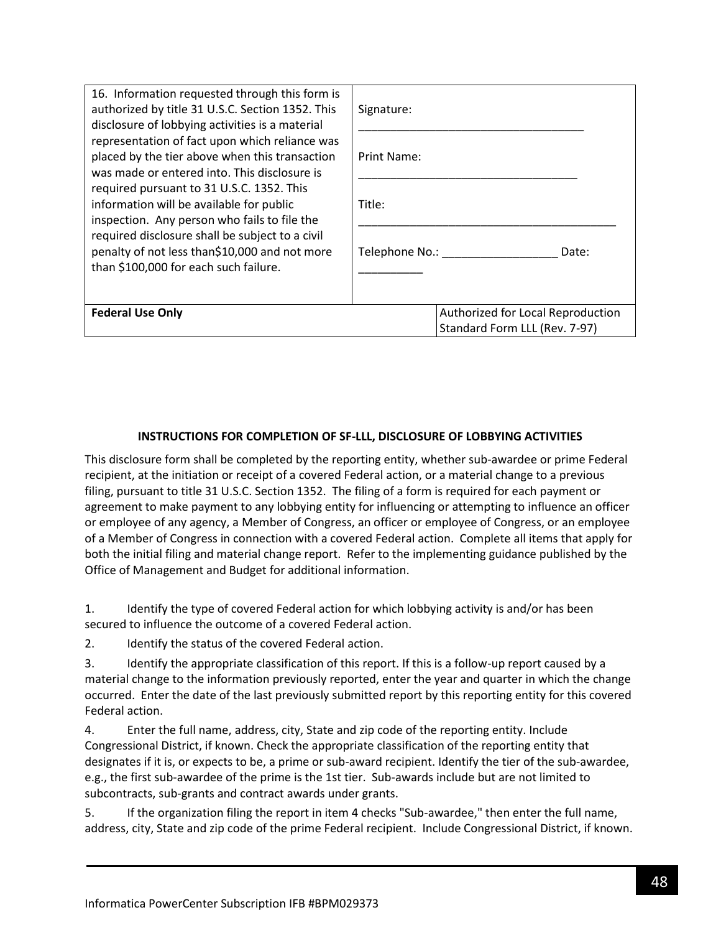| 16. Information requested through this form is<br>authorized by title 31 U.S.C. Section 1352. This<br>disclosure of lobbying activities is a material                                                                                                                                                                                                                                                                                  | Signature:                                                         |  |
|----------------------------------------------------------------------------------------------------------------------------------------------------------------------------------------------------------------------------------------------------------------------------------------------------------------------------------------------------------------------------------------------------------------------------------------|--------------------------------------------------------------------|--|
| representation of fact upon which reliance was<br>placed by the tier above when this transaction<br>was made or entered into. This disclosure is<br>required pursuant to 31 U.S.C. 1352. This<br>information will be available for public<br>inspection. Any person who fails to file the<br>required disclosure shall be subject to a civil<br>penalty of not less than\$10,000 and not more<br>than \$100,000 for each such failure. | Print Name:                                                        |  |
|                                                                                                                                                                                                                                                                                                                                                                                                                                        | Title:                                                             |  |
|                                                                                                                                                                                                                                                                                                                                                                                                                                        | Telephone No.:<br>Date:                                            |  |
| <b>Federal Use Only</b>                                                                                                                                                                                                                                                                                                                                                                                                                | Authorized for Local Reproduction<br>Standard Form LLL (Rev. 7-97) |  |

### **INSTRUCTIONS FOR COMPLETION OF SF-LLL, DISCLOSURE OF LOBBYING ACTIVITIES**

This disclosure form shall be completed by the reporting entity, whether sub-awardee or prime Federal recipient, at the initiation or receipt of a covered Federal action, or a material change to a previous filing, pursuant to title 31 U.S.C. Section 1352. The filing of a form is required for each payment or agreement to make payment to any lobbying entity for influencing or attempting to influence an officer or employee of any agency, a Member of Congress, an officer or employee of Congress, or an employee of a Member of Congress in connection with a covered Federal action. Complete all items that apply for both the initial filing and material change report. Refer to the implementing guidance published by the Office of Management and Budget for additional information.

1. Identify the type of covered Federal action for which lobbying activity is and/or has been secured to influence the outcome of a covered Federal action.

2. Identify the status of the covered Federal action.

3. Identify the appropriate classification of this report. If this is a follow-up report caused by a material change to the information previously reported, enter the year and quarter in which the change occurred. Enter the date of the last previously submitted report by this reporting entity for this covered Federal action.

4. Enter the full name, address, city, State and zip code of the reporting entity. Include Congressional District, if known. Check the appropriate classification of the reporting entity that designates if it is, or expects to be, a prime or sub-award recipient. Identify the tier of the sub-awardee, e.g., the first sub-awardee of the prime is the 1st tier. Sub-awards include but are not limited to subcontracts, sub-grants and contract awards under grants.

5. If the organization filing the report in item 4 checks "Sub-awardee," then enter the full name, address, city, State and zip code of the prime Federal recipient. Include Congressional District, if known.